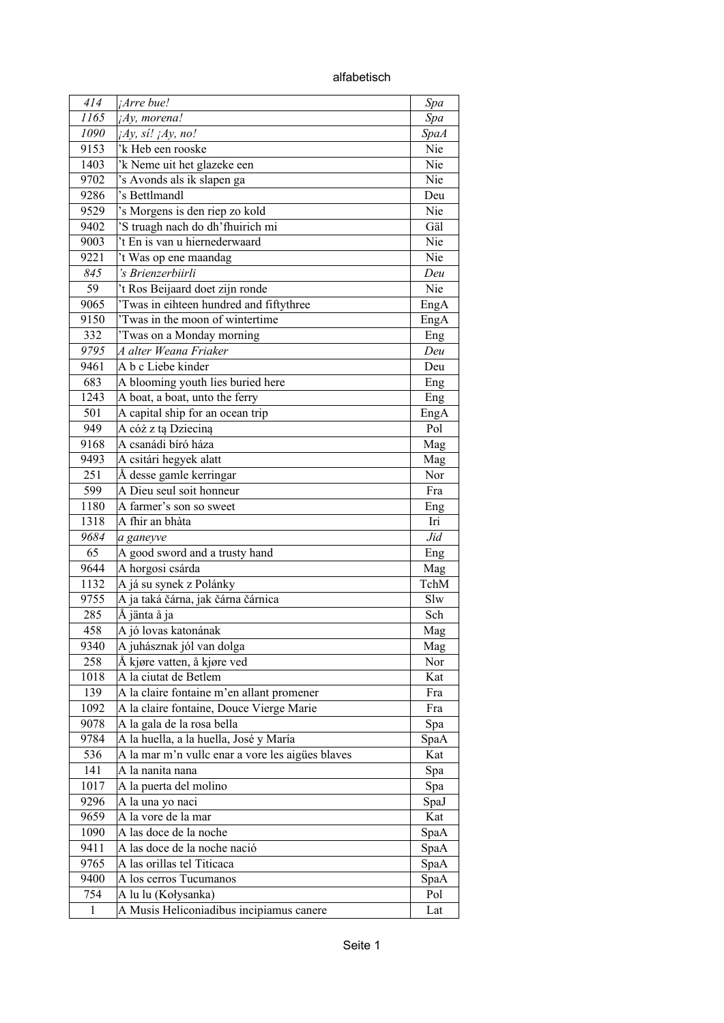alfabetisch

| 414          | ¡Arre bue!                                       | Spa         |
|--------------|--------------------------------------------------|-------------|
| 1165         | ¡Ay, morena!                                     | Spa         |
| 1090         | $iAy$ , si! $iAy$ , no!                          | <b>SpaA</b> |
| 9153         | 'k Heb een rooske                                | Nie         |
| 1403         | 'k Neme uit het glazeke een                      | Nie         |
| 9702         | 's Avonds als ik slapen ga                       | Nie         |
| 9286         | 's Bettlmandl                                    | Deu         |
| 9529         | 's Morgens is den riep zo kold                   | Nie         |
| 9402         | 'S truagh nach do dh'fhuirich mi                 | Gäl         |
| 9003         | 't En is van u hiernederwaard                    | Nie         |
| 9221         | 't Was op ene maandag                            | Nie         |
| 845          | 's Brienzerbiirli                                | Deu         |
| 59           | 't Ros Beijaard doet zijn ronde                  | Nie         |
| 9065         | 'Twas in eihteen hundred and fiftythree          | EngA        |
| 9150         | 'Twas in the moon of wintertime                  | EngA        |
| 332          | 'Twas on a Monday morning                        | Eng         |
| 9795         | A alter Weana Friaker                            | Deu         |
| 9461         | A b c Liebe kinder                               | Deu         |
| 683          | A blooming youth lies buried here                | Eng         |
| 1243         | A boat, a boat, unto the ferry                   | Eng         |
| 501          | A capital ship for an ocean trip                 | EngA        |
| 949          | A cóż z tą Dzieciną                              | Pol         |
| 9168         | A csanádi bíró háza                              | Mag         |
| 9493         | A csitári hegyek alatt                           |             |
| 251          | Å desse gamle kerringar                          | Mag<br>Nor  |
| 599          | A Dieu seul soit honneur                         | Fra         |
|              | A farmer's son so sweet                          |             |
| 1180<br>1318 | A fhir an bhàta                                  | Eng<br>Iri  |
| 9684         |                                                  | Jid         |
| 65           | a ganeyve                                        |             |
|              | A good sword and a trusty hand                   | Eng         |
| 9644         | A horgosi csárda                                 | Mag         |
| 1132         | A já su synek z Polánky                          | TchM        |
| 9755         | A ja taká čárna, jak čárna čárnica               | Slw         |
| 285          | Å jänta å ja                                     | Sch         |
| 458          | A jó lovas katonának                             | Mag         |
| 9340         | A juhásznak jól van dolga                        | Mag         |
| 258          | Å kjøre vatten, å kjøre ved                      | Nor         |
| 1018         | A la ciutat de Betlem                            | Kat         |
| 139          | A la claire fontaine m'en allant promener        | Fra         |
| 1092         | A la claire fontaine, Douce Vierge Marie         | Fra         |
| 9078         | A la gala de la rosa bella                       | Spa         |
| 9784         | A la huella, a la huella, José y María           | SpaA        |
| 536          | A la mar m'n vulle enar a vore les aigües blaves | Kat         |
| 141          | A la nanita nana                                 | Spa         |
| 1017         | A la puerta del molino                           | Spa         |
| 9296         | A la una yo naci                                 | SpaJ        |
| 9659         | A la vore de la mar                              | Kat         |
| 1090         | A las doce de la noche                           | SpaA        |
| 9411         | A las doce de la noche nació                     | SpaA        |
| 9765         | A las orillas tel Titicaca                       | SpaA        |
| 9400         | A los cerros Tucumanos                           | SpaA        |
| 754          | A lu lu (Kołysanka)                              | Pol         |
| 1            | A Musis Heliconiadibus incipiamus canere         | Lat         |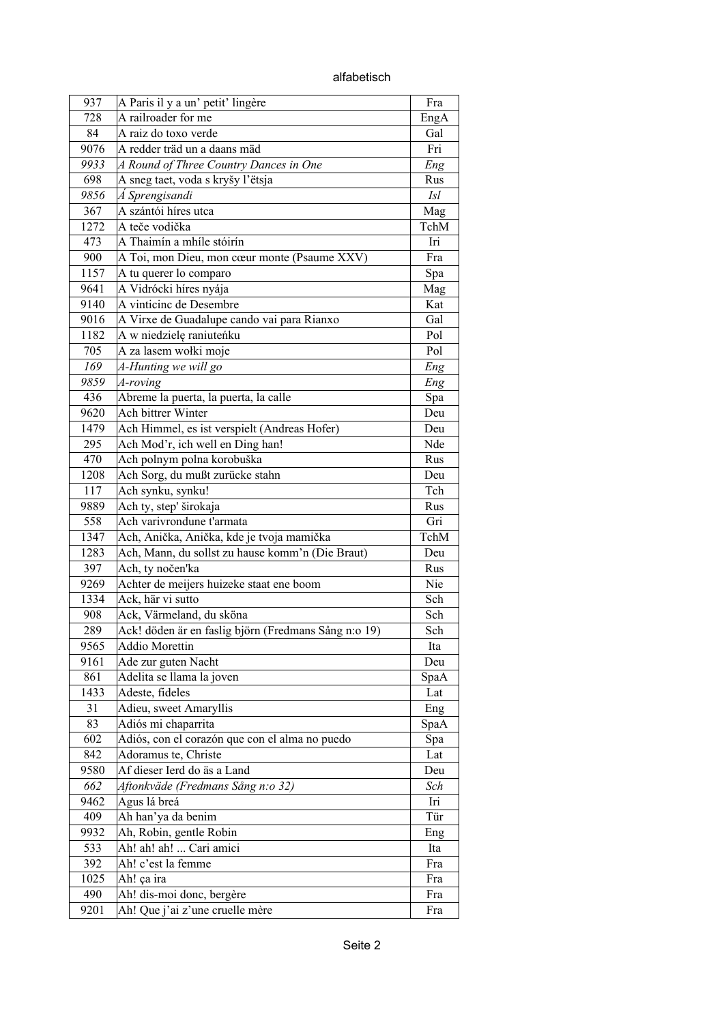alfabetisch

| 937  | A Paris il y a un' petit' lingère                    | Fra        |
|------|------------------------------------------------------|------------|
| 728  | A railroader for me                                  | EngA       |
| 84   | A raiz do toxo verde                                 | Gal        |
| 9076 | A redder träd un a daans mäd                         | Fri        |
| 9933 | A Round of Three Country Dances in One               | Eng        |
| 698  | A sneg taet, voda s kryšy l'ëtsja                    | Rus        |
| 9856 | Á Sprengisandi                                       | <i>Isl</i> |
| 367  | A szántói híres utca                                 | Mag        |
| 1272 | A teče vodička                                       | TchM       |
| 473  | A Thaimín a mhíle stóirín                            | Iri        |
| 900  | A Toi, mon Dieu, mon cœur monte (Psaume XXV)         | Fra        |
| 1157 | A tu querer lo comparo                               | Spa        |
| 9641 | A Vidrócki híres nyája                               | Mag        |
| 9140 | A vinticinc de Desembre                              | Kat        |
| 9016 | A Virxe de Guadalupe cando vai para Rianxo           | Gal        |
| 1182 | A w niedzielę raniuteńku                             | Pol        |
| 705  | A za lasem wołki moje                                | Pol        |
| 169  | A-Hunting we will go                                 | Eng        |
| 9859 | A-roving                                             | Eng        |
| 436  | Abreme la puerta, la puerta, la calle                | Spa        |
| 9620 | Ach bittrer Winter                                   | Deu        |
| 1479 | Ach Himmel, es ist verspielt (Andreas Hofer)         | Deu        |
| 295  | Ach Mod'r, ich well en Ding han!                     | Nde        |
| 470  | Ach polnym polna korobuška                           | Rus        |
| 1208 | Ach Sorg, du mußt zurücke stahn                      | Deu        |
| 117  |                                                      | Tch        |
|      | Ach synku, synku!                                    |            |
| 9889 | Ach ty, step' širokaja                               | Rus        |
| 558  | Ach varivrondune t'armata                            | Gri        |
| 1347 | Ach, Anička, Anička, kde je tvoja mamička            | TchM       |
| 1283 | Ach, Mann, du sollst zu hause komm'n (Die Braut)     | Deu        |
| 397  | Ach, ty nočen'ka                                     | Rus        |
| 9269 | Achter de meijers huizeke staat ene boom             | Nie        |
| 1334 | Ack, här vi sutto                                    | Sch        |
| 908  | Ack, Värmeland, du sköna                             | Sch        |
| 289  | Ack! döden är en faslig björn (Fredmans Sång n:o 19) | Sch        |
| 9565 | Addio Morettin                                       | Ita        |
| 9161 | Ade zur guten Nacht                                  | Deu        |
| 861  | Adelita se llama la joven                            | SpaA       |
| 1433 | Adeste, fideles                                      | Lat        |
| 31   | Adieu, sweet Amaryllis                               | Eng        |
| 83   | Adiós mi chaparrita                                  | SpaA       |
| 602  | Adiós, con el corazón que con el alma no puedo       | Spa        |
| 842  | Adoramus te, Christe                                 | Lat        |
| 9580 | Af dieser Ierd do äs a Land                          | Deu        |
| 662  | Aftonkväde (Fredmans Sång n:o 32)                    | Sch        |
| 9462 | Agus lá breá                                         | Iri        |
| 409  | Ah han'ya da benim                                   | Tür        |
| 9932 | Ah, Robin, gentle Robin                              | Eng        |
| 533  | Ah! ah! ah!  Cari amici                              | Ita        |
| 392  | Ah! c'est la femme                                   | Fra        |
| 1025 | Ah! ça ira                                           | Fra        |
| 490  | Ah! dis-moi donc, bergère                            | Fra        |
| 9201 | Ah! Que j'ai z'une cruelle mère                      | Fra        |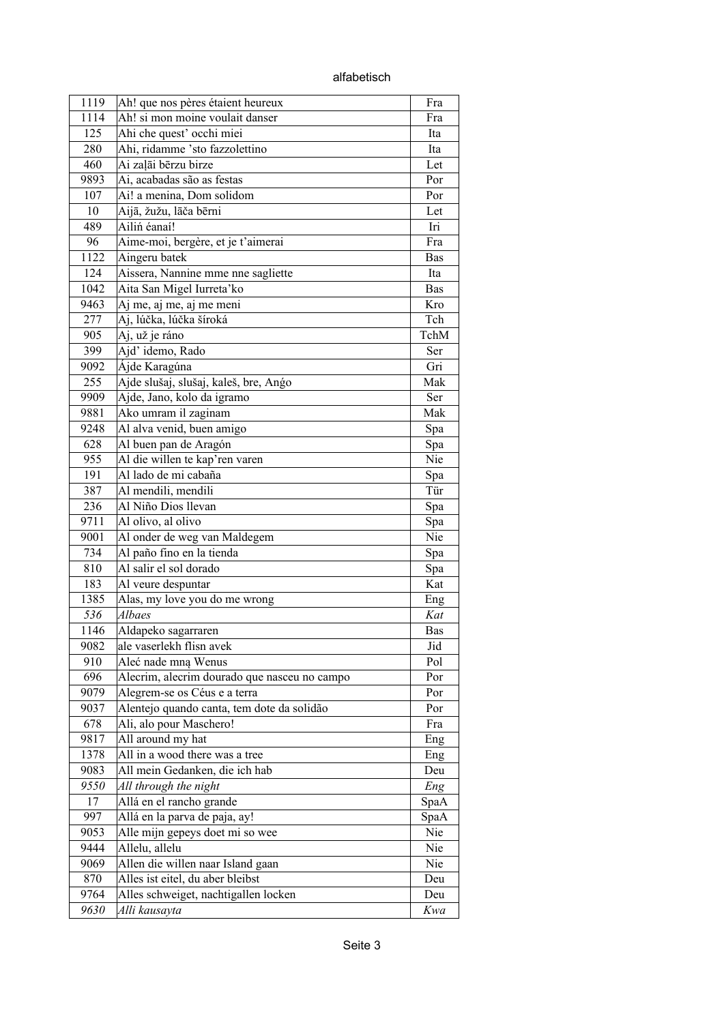| 1119 | Ah! que nos pères étaient heureux            | Fra        |
|------|----------------------------------------------|------------|
| 1114 | Ah! si mon moine voulait danser              | Fra        |
| 125  | Ahi che quest' occhi miei                    | Ita        |
| 280  | Ahi, ridamme 'sto fazzolettino               | Ita        |
| 460  | Ai zaļāi bērzu birze                         | Let        |
| 9893 | Ai, acabadas são as festas                   | Por        |
| 107  | Ai! a menina, Dom solidom                    | Por        |
| 10   | Aijā, žužu, lāča bērni                       | Let        |
| 489  | Ailiń éanaí!                                 | Iri        |
| 96   | Aime-moi, bergère, et je t'aimerai           | Fra        |
| 1122 | Aingeru batek                                | Bas        |
| 124  | Aissera, Nannine mme nne sagliette           | Ita        |
| 1042 | Aita San Migel Iurreta'ko                    | <b>Bas</b> |
| 9463 | Aj me, aj me, aj me meni                     | Kro        |
| 277  | Aj, lúčka, lúčka šíroká                      | Tch        |
| 905  | Aj, už je ráno                               | TchM       |
| 399  | Ajd' idemo, Rado                             | Ser        |
|      | Ájde Karagúna                                | Gri        |
| 9092 |                                              |            |
| 255  | Ajde slušaj, slušaj, kaleš, bre, Ango        | Mak        |
| 9909 | Ajde, Jano, kolo da igramo                   | Ser        |
| 9881 | Ako umram il zaginam                         | Mak        |
| 9248 | Al alva venid, buen amigo                    | Spa        |
| 628  | Al buen pan de Aragón                        | Spa        |
| 955  | Al die willen te kap'ren varen               | Nie        |
| 191  | Al lado de mi cabaña                         | Spa        |
| 387  | Al mendili, mendili                          | Tür        |
| 236  | Al Niño Dios llevan                          | Spa        |
| 9711 | Al olivo, al olivo                           | Spa        |
| 9001 | Al onder de weg van Maldegem                 | Nie        |
| 734  | Al paño fino en la tienda                    | Spa        |
| 810  | Al salir el sol dorado                       | Spa        |
| 183  | Al veure despuntar                           | Kat        |
| 1385 | Alas, my love you do me wrong                | Eng        |
| 536  | Albaes                                       | Kat        |
| 1146 | Aldapeko sagarraren                          | Bas        |
| 9082 | ale vaserlekh flisn avek                     | Jid        |
| 910  | Aleć nade mną Wenus                          | Pol        |
| 696  | Alecrim, alecrim dourado que nasceu no campo | Por        |
| 9079 | Alegrem-se os Céus e a terra                 | Por        |
| 9037 | Alentejo quando canta, tem dote da solidão   | Por        |
| 678  | Ali, alo pour Maschero!                      | Fra        |
| 9817 | All around my hat                            | Eng        |
| 1378 | All in a wood there was a tree               | Eng        |
| 9083 | All mein Gedanken, die ich hab               | Deu        |
| 9550 | All through the night                        | Eng        |
| 17   | Allá en el rancho grande                     | SpaA       |
| 997  | Allá en la parva de paja, ay!                | SpaA       |
| 9053 | Alle mijn gepeys doet mi so wee              | Nie        |
| 9444 | Allelu, allelu                               | Nie        |
| 9069 | Allen die willen naar Island gaan            | Nie        |
| 870  | Alles ist eitel, du aber bleibst             | Deu        |
| 9764 | Alles schweiget, nachtigallen locken         | Deu        |
| 9630 | Alli kausayta                                | Kwa        |
|      |                                              |            |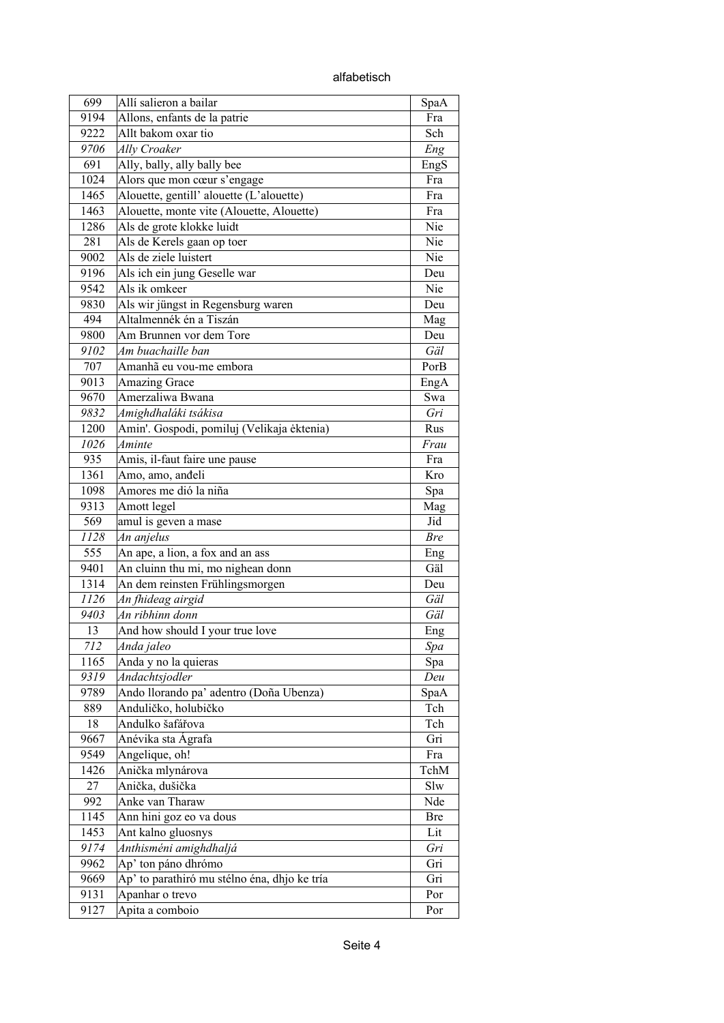alfabetisch

| 699         | Allí salieron a bailar                       | SpaA        |
|-------------|----------------------------------------------|-------------|
| 9194        | Allons, enfants de la patrie                 | Fra         |
| 9222        | Allt bakom oxar tio                          | Sch         |
| 9706        | Ally Croaker                                 | Eng         |
| 691         | Ally, bally, ally bally bee                  | EngS        |
| 1024        | Alors que mon cœur s'engage                  | Fra         |
| 1465        | Alouette, gentill' alouette (L'alouette)     | Fra         |
| 1463        | Alouette, monte vite (Alouette, Alouette)    | Fra         |
| 1286        | Als de grote klokke luidt                    | Nie         |
| 281         | Als de Kerels gaan op toer                   | Nie         |
| 9002        | Als de ziele luistert                        | Nie         |
| 9196        | Als ich ein jung Geselle war                 | Deu         |
| 9542        | Als ik omkeer                                | Nie         |
| 9830        | Als wir jüngst in Regensburg waren           | Deu         |
| 494         | Altalmennék én a Tiszán                      | Mag         |
| 9800        | Am Brunnen vor dem Tore                      | Deu         |
| 9102        | Am buachaille ban                            | Gäl         |
| 707         | Amanhã eu vou-me embora                      | PorB        |
| 9013        | <b>Amazing Grace</b>                         | EngA        |
| 9670        | Amerzaliwa Bwana                             | Swa         |
| 9832        | Amighdhaláki tsákisa                         | Gri         |
| 1200        | Amin'. Gospodi, pomiluj (Velikaja ėktenia)   | Rus         |
| 1026        | Aminte                                       | Frau        |
| 935         | Amis, il-faut faire une pause                | Fra         |
| 1361        | Amo, amo, anđeli                             | Kro         |
| 1098        | Amores me dió la niña                        | Spa         |
| 9313        | Amott legel                                  | Mag         |
| 569         | amul is geven a mase                         | Jid         |
| 1128        | An anjelus                                   | <b>Bre</b>  |
| 555         | An ape, a lion, a fox and an ass             | Eng         |
| 9401        | An cluinn thu mi, mo nighean donn            | Gäl         |
| 1314        | An dem reinsten Frühlingsmorgen              | Deu         |
| 1126        | An fhideag airgid                            | Gäl         |
| 9403        | An ribhinn donn                              | Gäl         |
| 13          | And how should I your true love              | Eng         |
| 712         | Anda jaleo                                   |             |
| 1165        | Anda y no la quieras                         | Spa         |
| 9319        | Andachtsjodler                               | Spa<br>Deu  |
|             | Ando llorando pa' adentro (Doña Ubenza)      |             |
| 9789<br>889 | Anduličko, holubičko                         | SpaA<br>Tch |
| 18          | Andulko šafářova                             | Tch         |
| 9667        | Anévika sta Ágrafa                           | Gri         |
| 9549        |                                              |             |
|             | Angelique, oh!                               | Fra<br>TchM |
| 1426<br>27  | Anička mlynárova<br>Anička, dušička          | Slw         |
|             |                                              |             |
| 992         | Anke van Tharaw                              | Nde         |
| 1145        | Ann hini goz eo va dous                      | <b>Bre</b>  |
| 1453        | Ant kalno gluosnys                           | Lit         |
| 9174        | Anthisméni amighdhaljá                       | Gri         |
| 9962        | Ap' ton páno dhrómo                          | Gri         |
| 9669        | Ap' to parathiró mu stélno éna, dhjo ke tría | Gri         |
| 9131        | Apanhar o trevo                              | Por         |
| 9127        | Apita a comboio                              | Por         |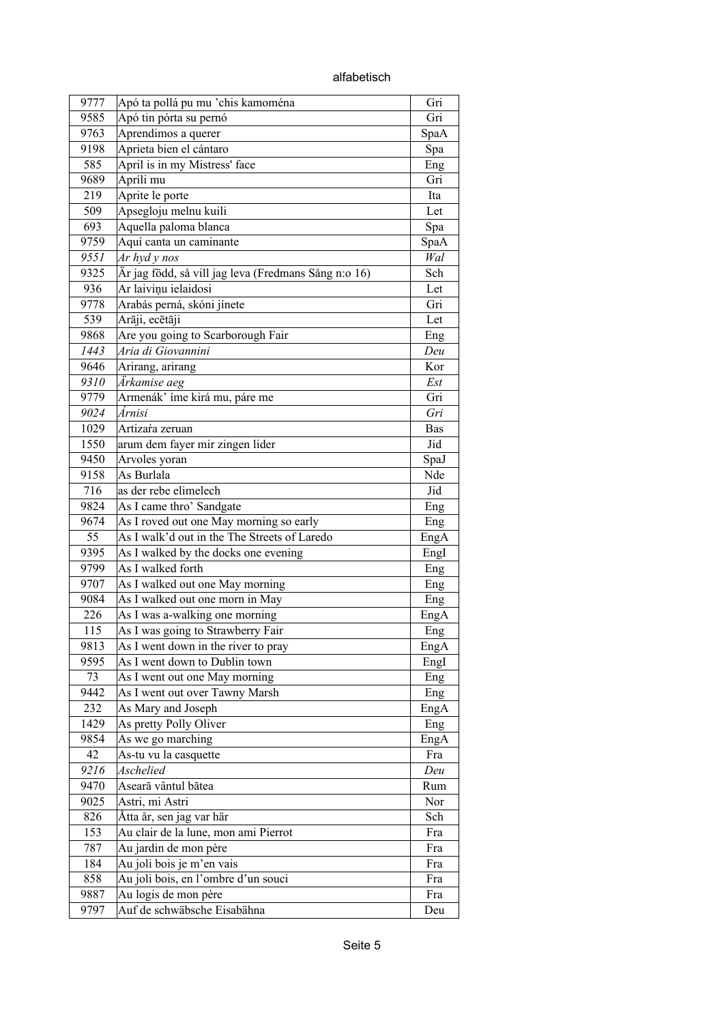| 9777 | Apó ta pollá pu mu 'chis kamoména                    | Gri         |
|------|------------------------------------------------------|-------------|
| 9585 | Apó tin pórta su pernó                               | Gri         |
| 9763 | Aprendimos a querer                                  | SpaA        |
| 9198 | Aprieta bien el cántaro                              | Spa         |
| 585  | April is in my Mistress' face                        | Eng         |
| 9689 | Apríli mu                                            | Gri         |
| 219  | Aprite le porte                                      | Ita         |
| 509  | Apsegloju melnu kuili                                | Let         |
| 693  | Aquella paloma blanca                                | Spa         |
| 9759 | Aquí canta un caminante                              | SpaA        |
| 9551 | $Ar$ hyd y nos                                       | Wal         |
| 9325 | Är jag född, så vill jag leva (Fredmans Sång n:o 16) | Sch         |
| 936  | Ar laiviņu ielaidosi                                 | Let         |
| 9778 | Arabás perná, skóni jínete                           | Gri         |
| 539  | Arāji, ecētāji                                       | Let         |
| 9868 | Are you going to Scarborough Fair                    | Eng         |
| 1443 | Aria di Giovannini                                   | Deu         |
| 9646 | Arirang, arirang                                     | Kor         |
| 9310 | Ärkamise aeg                                         | Est         |
| 9779 | Armenák' íme kirá mu, páre me                        | Gri         |
| 9024 | Árnisi                                               | Gri         |
| 1029 | Artizara zeruan                                      | Bas         |
| 1550 | arum dem fayer mir zingen lider                      | Jid         |
| 9450 | Arvoles yoran                                        | SpaJ        |
| 9158 | As Burlala                                           | Nde         |
| 716  | as der rebe elimelech                                | Jid         |
| 9824 | As I came thro' Sandgate                             | Eng         |
| 9674 | As I roved out one May morning so early              | Eng         |
| 55   | As I walk'd out in the The Streets of Laredo         | EngA        |
| 9395 | As I walked by the docks one evening                 | EngI        |
| 9799 | As I walked forth                                    | Eng         |
| 9707 | As I walked out one May morning                      | Eng         |
| 9084 | As I walked out one morn in May                      | Eng         |
| 226  | As I was a-walking one morning                       | EngA        |
| 115  | As I was going to Strawberry Fair                    | Eng         |
| 9813 | As I went down in the river to pray                  | EngA        |
| 9595 | As I went down to Dublin town                        | EngI        |
| 73   | As I went out one May morning                        | Eng         |
| 9442 | As I went out over Tawny Marsh                       | Eng         |
| 232  | As Mary and Joseph                                   | EngA        |
| 1429 | As pretty Polly Oliver                               | Eng         |
| 9854 | As we go marching                                    |             |
| 42   | As-tu vu la casquette                                | EngA<br>Fra |
|      | Aschelied                                            |             |
| 9216 |                                                      | Deu         |
| 9470 | Aseară vântul bătea                                  | Rum         |
| 9025 | Astri, mi Astri                                      | Nor         |
| 826  | Åtta år, sen jag var här                             | Sch         |
| 153  | Au clair de la lune, mon ami Pierrot                 | Fra         |
| 787  | Au jardin de mon père                                | Fra         |
| 184  | Au joli bois je m'en vais                            | Fra         |
| 858  | Au joli bois, en l'ombre d'un souci                  | Fra         |
| 9887 | Au logis de mon père                                 | Fra         |
| 9797 | Auf de schwäbsche Eisabähna                          | Deu         |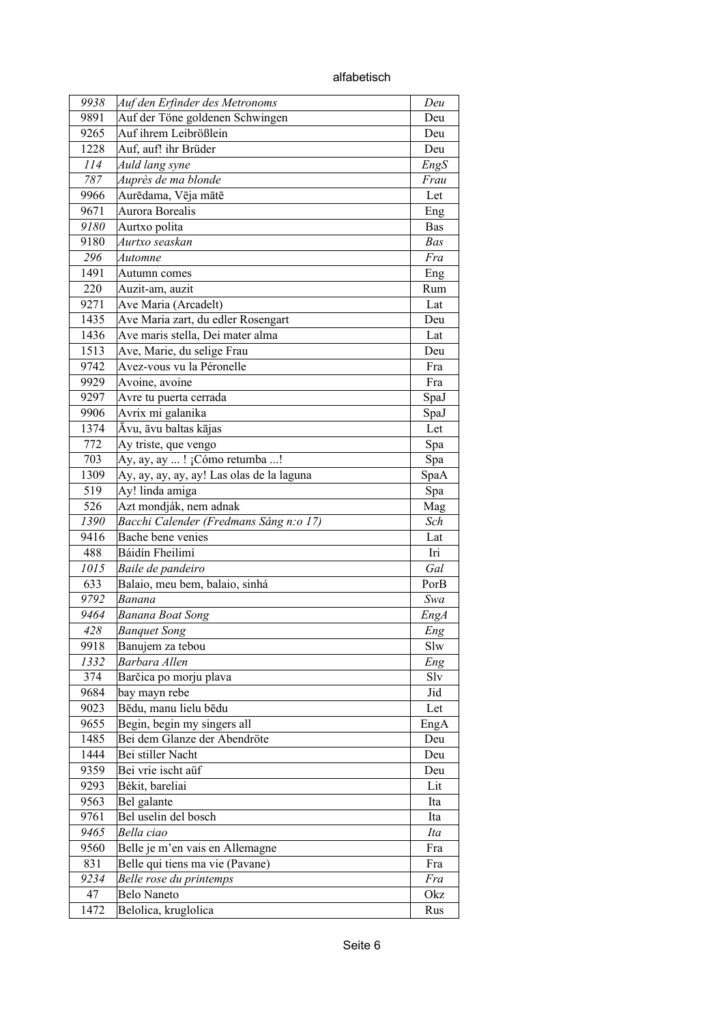| 9938 | Auf den Erfinder des Metronoms            | Deu        |
|------|-------------------------------------------|------------|
| 9891 | Auf der Töne goldenen Schwingen           | Deu        |
| 9265 | Auf ihrem Leibrößlein                     | Deu        |
| 1228 | Auf, auf! ihr Brüder                      | Deu        |
| 114  | Auld lang syne                            | EngS       |
| 787  | Auprès de ma blonde                       | Frau       |
| 9966 | Aurēdama, Vēja mātē                       | Let        |
| 9671 | Aurora Borealis                           | Eng        |
| 9180 | Aurtxo polita                             | <b>Bas</b> |
| 9180 | Aurtxo seaskan                            | Bas        |
| 296  | Automne                                   | Fra        |
| 1491 | Autumn comes                              | Eng        |
| 220  | Auzit-am, auzit                           | Rum        |
| 9271 | Ave Maria (Arcadelt)                      | Lat        |
| 1435 | Ave Maria zart, du edler Rosengart        | Deu        |
| 1436 | Ave maris stella, Dei mater alma          | Lat        |
| 1513 | Ave, Marie, du selige Frau                | Deu        |
| 9742 | Avez-vous vu la Péronelle                 | Fra        |
| 9929 | Avoine, avoine                            | Fra        |
| 9297 | Avre tu puerta cerrada                    | SpaJ       |
| 9906 | Avrix mi galanika                         | SpaJ       |
| 1374 | Āvu, āvu baltas kājas                     | Let        |
| 772  | Ay triste, que vengo                      | Spa        |
| 703  | Ay, ay, ay ! ¡Cómo retumba !              | Spa        |
| 1309 | Ay, ay, ay, ay, ay! Las olas de la laguna | SpaA       |
| 519  | Ay! linda amiga                           | Spa        |
| 526  | Azt mondják, nem adnak                    | Mag        |
| 1390 | Bacchi Calender (Fredmans Sång n:o 17)    | Sch        |
| 9416 | Bache bene venies                         | Lat        |
| 488  | Báidín Fheilimí                           | Iri        |
| 1015 | Baile de pandeiro                         | Gal        |
| 633  | Balaio, meu bem, balaio, sinhá            | PorB       |
| 9792 | Banana                                    | Swa        |
| 9464 | <b>Banana Boat Song</b>                   | EngA       |
| 428  | <b>Banquet Song</b>                       | Eng        |
| 9918 | Banujem za tebou                          | Slw        |
| 1332 | Barbara Allen                             | Eng        |
| 374  | Barčica po morju plava                    | Slv        |
| 9684 |                                           | Jid        |
| 9023 | bay mayn rebe<br>Bēdu, manu lielu bēdu    | Let        |
| 9655 | Begin, begin my singers all               |            |
|      | Bei dem Glanze der Abendröte              | EngA       |
| 1485 | Bei stiller Nacht                         | Deu        |
| 1444 |                                           | Deu        |
| 9359 | Bei vrie ischt aüf                        | Deu        |
| 9293 | Bėkit, bareliai                           | Lit        |
| 9563 | Bel galante                               | Ita        |
| 9761 | Bel uselin del bosch                      | Ita        |
| 9465 | Bella ciao                                | Ita        |
| 9560 | Belle je m'en vais en Allemagne           | Fra        |
| 831  | Belle qui tiens ma vie (Pavane)           | Fra        |
| 9234 | Belle rose du printemps                   | Fra        |
| 47   | <b>Belo Naneto</b>                        | Okz        |
| 1472 | Belolica, kruglolica                      | Rus        |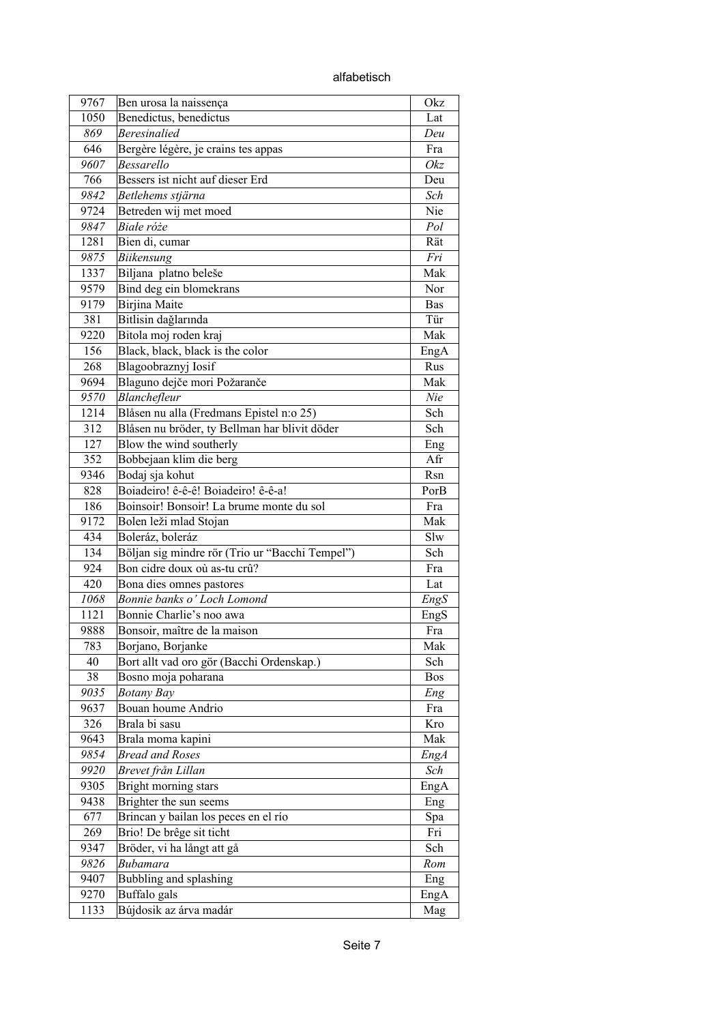alfabetisch

| 9767 | Ben urosa la naissença                          | Okz        |
|------|-------------------------------------------------|------------|
| 1050 | Benedictus, benedictus                          | Lat        |
| 869  | <b>Beresinalied</b>                             | Deu        |
| 646  | Bergère légère, je crains tes appas             | Fra        |
| 9607 | Bessarello                                      | Okz        |
| 766  | Bessers ist nicht auf dieser Erd                | Deu        |
| 9842 | Betlehems stjärna                               | Sch        |
| 9724 | Betreden wij met moed                           | Nie        |
| 9847 | Białe róże                                      | Pol        |
| 1281 | Bien di, cumar                                  | Rät        |
| 9875 | Biikensung                                      | Fri        |
| 1337 | Biljana platno beleše                           | Mak        |
| 9579 | Bind deg ein blomekrans                         | Nor        |
| 9179 | Birjina Maite                                   | <b>Bas</b> |
| 381  | Bitlisin dağlarında                             | Tür        |
| 9220 | Bitola moj roden kraj                           | Mak        |
| 156  | Black, black, black is the color                | EngA       |
| 268  | Blagoobraznyj Iosif                             | Rus        |
| 9694 | Blaguno dejče mori Požaranče                    | Mak        |
| 9570 | Blanchefleur                                    | Nie        |
| 1214 | Blåsen nu alla (Fredmans Epistel n:o 25)        | Sch        |
| 312  | Blåsen nu bröder, ty Bellman har blivit döder   | Sch        |
| 127  | Blow the wind southerly                         | Eng        |
| 352  | Bobbejaan klim die berg                         | Afr        |
| 9346 | Bodaj sja kohut                                 | Rsn        |
| 828  | Boiadeiro! ê-ê-ê! Boiadeiro! ê-ê-a!             | PorB       |
| 186  | Boinsoir! Bonsoir! La brume monte du sol        | Fra        |
| 9172 | Bolen leži mlad Stojan                          | Mak        |
| 434  | Boleráz, boleráz                                | Slw        |
| 134  | Böljan sig mindre rör (Trio ur "Bacchi Tempel") | Sch        |
| 924  | Bon cidre doux où as-tu crû?                    | Fra        |
| 420  | Bona dies omnes pastores                        | Lat        |
| 1068 | Bonnie banks o' Loch Lomond                     |            |
|      | Bonnie Charlie's noo awa                        | EngS       |
| 1121 |                                                 | EngS       |
| 9888 | Bonsoir, maître de la maison                    | Fra        |
| 783  | Borjano, Borjanke                               | Mak        |
| 40   | Bort allt vad oro gör (Bacchi Ordenskap.)       | Sch        |
| 38   | Bosno moja poharana                             | Bos        |
| 9035 | <b>Botany Bay</b>                               | Eng        |
| 9637 | Bouan houme Andrio                              | Fra        |
| 326  | Brala bi sasu                                   | Kro        |
| 9643 | Brala moma kapini                               | Mak        |
| 9854 | <b>Bread and Roses</b>                          | EngA       |
| 9920 | Brevet från Lillan                              | Sch        |
| 9305 | Bright morning stars                            | EngA       |
| 9438 | Brighter the sun seems                          | Eng        |
| 677  | Brincan y bailan los peces en el río            | Spa        |
| 269  | Brio! De brêge sit ticht                        | Fri        |
| 9347 | Bröder, vi ha långt att gå                      | Sch        |
| 9826 | <b>Bubamara</b>                                 | Rom        |
| 9407 | Bubbling and splashing                          | Eng        |
| 9270 | Buffalo gals                                    | EngA       |
| 1133 | Bújdosik az árva madár                          | Mag        |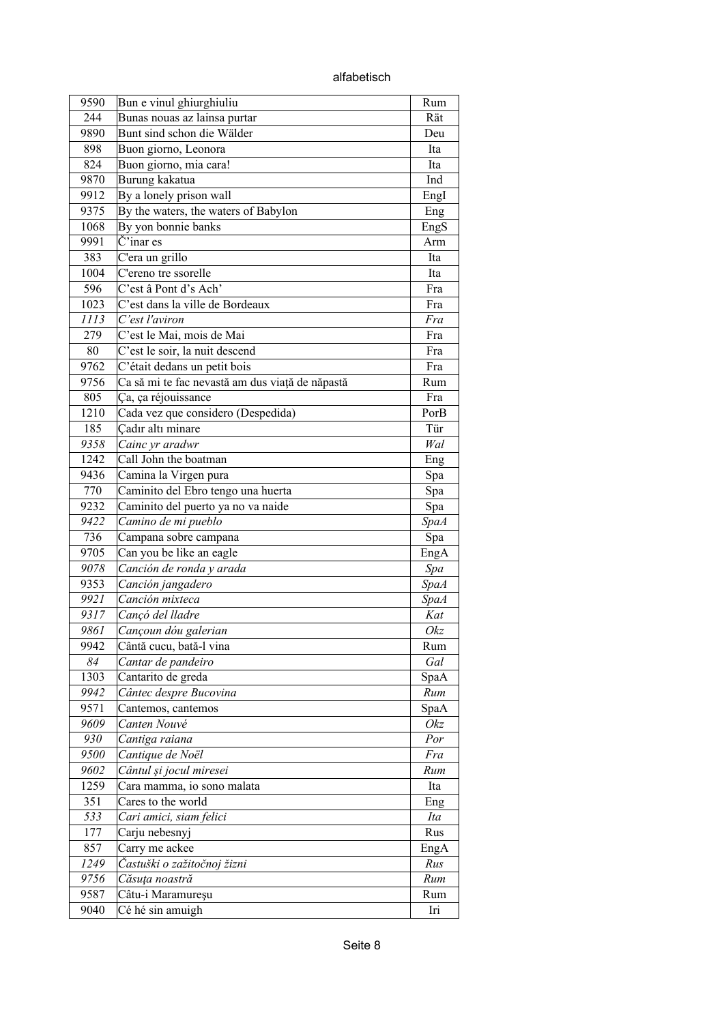alfabetisch

| 9590 | Bun e vinul ghiurghiuliu                        | Rum         |
|------|-------------------------------------------------|-------------|
| 244  | Bunas nouas az lainsa purtar                    | Rät         |
| 9890 | Bunt sind schon die Wälder                      | Deu         |
| 898  | Buon giorno, Leonora                            | Ita         |
| 824  | Buon giorno, mia cara!                          | Ita         |
| 9870 | Burung kakatua                                  | Ind         |
| 9912 | By a lonely prison wall                         | Engl        |
| 9375 | By the waters, the waters of Babylon            | Eng         |
| 1068 | By yon bonnie banks                             | EngS        |
| 9991 | $\check{C}$ 'inar es                            | Arm         |
| 383  | C'era un grillo                                 | Ita         |
| 1004 | C'ereno tre ssorelle                            | Ita         |
| 596  | C'est â Pont d's Ach'                           | Fra         |
| 1023 | C'est dans la ville de Bordeaux                 | Fra         |
| 1113 | C'est l'aviron                                  | Fra         |
| 279  | C'est le Mai, mois de Mai                       | Fra         |
| 80   | C'est le soir, la nuit descend                  | Fra         |
| 9762 | C'était dedans un petit bois                    | Fra         |
| 9756 | Ca să mi te fac nevastă am dus viață de năpastă | Rum         |
| 805  | Ça, ça réjouissance                             | Fra         |
| 1210 | Cada vez que considero (Despedida)              | PorB        |
| 185  | Cadır altı minare                               | Tür         |
| 9358 | Cainc yr aradwr                                 | Wal         |
| 1242 | Call John the boatman                           | Eng         |
| 9436 | Camina la Virgen pura                           | Spa         |
| 770  | Caminito del Ebro tengo una huerta              | Spa         |
| 9232 | Caminito del puerto ya no va naide              | Spa         |
| 9422 | Camino de mi pueblo                             | <b>SpaA</b> |
| 736  | Campana sobre campana                           | Spa         |
| 9705 | Can you be like an eagle                        | EngA        |
| 9078 | Canción de ronda y arada                        | Spa         |
| 9353 | Canción jangadero                               | <b>SpaA</b> |
| 9921 | Canción mixteca                                 | <b>SpaA</b> |
| 9317 | Cançó del lladre                                | Kat         |
| 9861 | Cançoun dóu galerian                            | Okz         |
| 9942 | Cântă cucu, bată-l vina                         | Rum         |
| 84   | Cantar de pandeiro                              | Gal         |
| 1303 | Cantarito de greda                              | SpaA        |
| 9942 | Cântec despre Bucovina                          | Rum         |
| 9571 | Cantemos, cantemos                              | SpaA        |
| 9609 | Canten Nouvé                                    | Okz         |
| 930  | Cantiga raiana                                  | Por         |
| 9500 | Cantique de Noël                                | Fra         |
| 9602 | Cântul și jocul miresei                         | Run         |
| 1259 | Cara mamma, io sono malata                      | Ita         |
| 351  | Cares to the world                              | Eng         |
| 533  | Cari amici, siam felici                         | Ita         |
| 177  | Carju nebesnyj                                  | Rus         |
| 857  | Carry me ackee                                  |             |
| 1249 | Častuški o zažitočnoj žizni                     | EngA<br>Rus |
| 9756 | Căsuța noastră                                  | Rum         |
| 9587 | Câtu-i Maramureșu                               | Rum         |
| 9040 | Cé hé sin amuigh                                | Iri         |
|      |                                                 |             |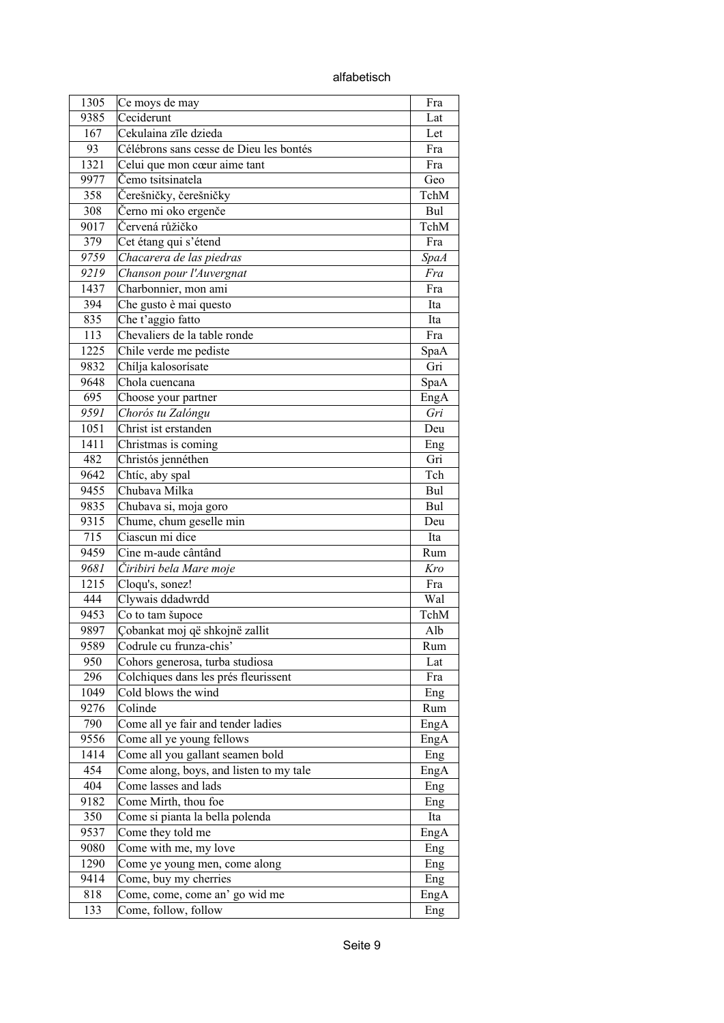alfabetisch

| 1305 | Ce moys de may                                   | Fra         |
|------|--------------------------------------------------|-------------|
| 9385 | Ceciderunt                                       | Lat         |
| 167  | Cekulaina zīle dzieda                            | Let         |
| 93   | Célébrons sans cesse de Dieu les bontés          | Fra         |
| 1321 | Celui que mon cœur aime tant                     | Fra         |
| 9977 | Čemo tsitsinatela                                | Geo         |
| 358  | Čerešničky, čerešničky                           | TchM        |
| 308  | Černo mi oko ergenče                             | Bul         |
| 9017 | Červená růžičko                                  | TchM        |
| 379  | Cet étang qui s'étend                            | Fra         |
| 9759 | Chacarera de las piedras                         | <b>SpaA</b> |
| 9219 | Chanson pour l'Auvergnat                         | Fra         |
| 1437 | Charbonnier, mon ami                             | Fra         |
| 394  | Che gusto è mai questo                           | Ita         |
| 835  | Che t'aggio fatto                                | Ita         |
| 113  | Chevaliers de la table ronde                     | Fra         |
| 1225 | Chile verde me pediste                           | SpaA        |
| 9832 | Chílja kalosorísate                              | Gri         |
| 9648 | Chola cuencana                                   | SpaA        |
| 695  | Choose your partner                              | EngA        |
| 9591 | Chorós tu Zalóngu                                | Gri         |
| 1051 | Christ ist erstanden                             | Deu         |
| 1411 | Christmas is coming                              | Eng         |
| 482  | Christós jennéthen                               | Gri         |
| 9642 | Chtíc, aby spal                                  | Tch         |
| 9455 | Chubava Milka                                    | Bul         |
| 9835 |                                                  |             |
| 9315 | Chubava si, moja goro<br>Chume, chum geselle min | Bul<br>Deu  |
| 715  | Ciascun mi dice                                  | Ita         |
| 9459 | Cine m-aude cântând                              |             |
| 9681 | Čiribiri bela Mare moje                          | Rum<br>Kro  |
| 1215 | Cloqu's, sonez!                                  | Fra         |
| 444  | Clywais ddadwrdd                                 | Wal         |
|      | Co to tam šupoce                                 | TchM        |
| 9453 |                                                  |             |
| 9897 | Çobankat moj që shkojnë zallit                   | Alb         |
| 9589 | Codrule cu frunza-chis'                          | Rum         |
| 950  | Cohors generosa, turba studiosa                  | Lat         |
| 296  | Colchiques dans les prés fleurissent             | Fra         |
| 1049 | Cold blows the wind                              | Eng         |
| 9276 | Colinde                                          | Rum         |
| 790  | Come all ye fair and tender ladies               | EngA        |
| 9556 | Come all ye young fellows                        | EngA        |
| 1414 | Come all you gallant seamen bold                 | Eng         |
| 454  | Come along, boys, and listen to my tale          | EngA        |
| 404  | Come lasses and lads                             | Eng         |
| 9182 | Come Mirth, thou foe                             | Eng         |
| 350  | Come si pianta la bella polenda                  | Ita         |
| 9537 | Come they told me                                | EngA        |
| 9080 | Come with me, my love                            | Eng         |
| 1290 | Come ye young men, come along                    | Eng         |
| 9414 | Come, buy my cherries                            | Eng         |
| 818  | Come, come, come an' go wid me                   | EngA        |
| 133  | Come, follow, follow                             | Eng         |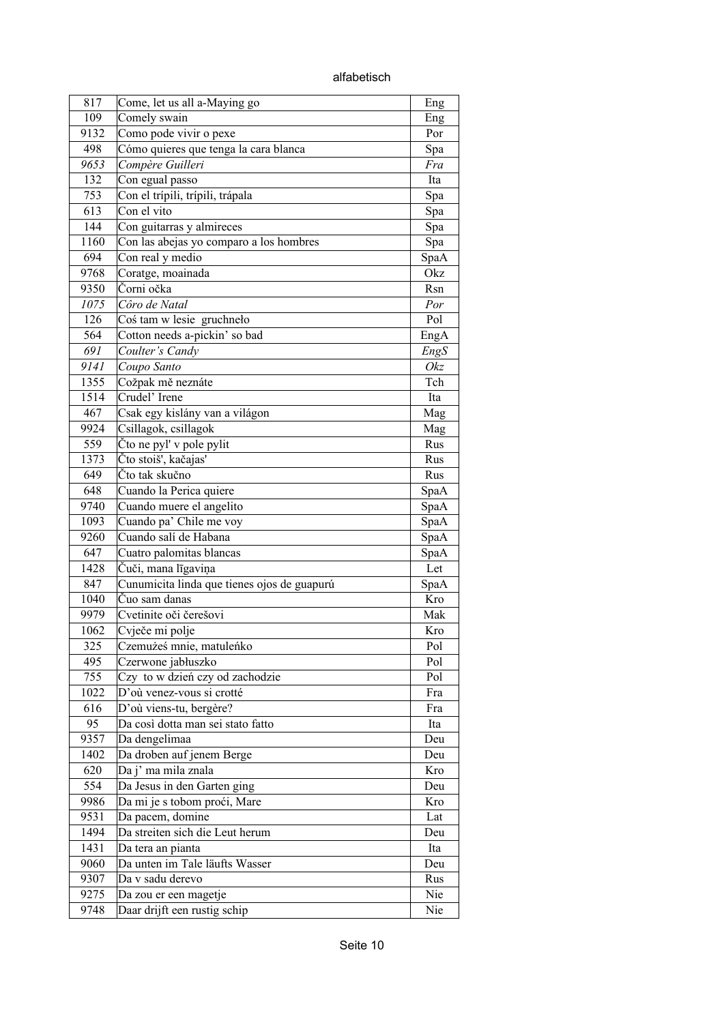| 817  | Come, let us all a-Maying go                | Eng  |
|------|---------------------------------------------|------|
| 109  | Comely swain                                | Eng  |
| 9132 | Como pode vivir o pexe                      | Por  |
| 498  | Cómo quieres que tenga la cara blanca       | Spa  |
| 9653 | Compère Guilleri                            | Fra  |
| 132  | Con egual passo                             | Ita  |
| 753  | Con el trípili, trípili, trápala            | Spa  |
| 613  | Con el vito                                 | Spa  |
| 144  | Con guitarras y almireces                   | Spa  |
| 1160 | Con las abejas yo comparo a los hombres     | Spa  |
| 694  | Con real y medio                            | SpaA |
| 9768 | Coratge, moainada                           | Okz  |
| 9350 | Čorni očka                                  | Rsn  |
| 1075 | Côro de Natal                               | Por  |
| 126  | Coś tam w lesie gruchneło                   | Pol  |
| 564  | Cotton needs a-pickin' so bad               | EngA |
| 691  | Coulter's Candy                             | EngS |
| 9141 | Coupo Santo                                 | Okz  |
| 1355 | Cožpak mě neznáte                           | Tch  |
| 1514 | Crudel' Irene                               | Ita  |
| 467  | Csak egy kislány van a világon              | Mag  |
| 9924 | Csillagok, csillagok                        | Mag  |
| 559  | Čto ne pyl' v pole pylit                    | Rus  |
| 1373 | Čto stoiš', kačajas'                        | Rus  |
| 649  | Čto tak skučno                              | Rus  |
| 648  | Cuando la Perica quiere                     | SpaA |
| 9740 | Cuando muere el angelito                    | SpaA |
| 1093 | Cuando pa' Chile me voy                     | SpaA |
| 9260 | Cuando salí de Habana                       | SpaA |
| 647  | Cuatro palomitas blancas                    | SpaA |
| 1428 | Čuči, mana līgaviņa                         | Let  |
| 847  | Cunumicita linda que tienes ojos de guapurú | SpaA |
| 1040 | Čuo sam danas                               | Kro  |
| 9979 | Cvetinite oči čerešovi                      | Mak  |
| 1062 | Cvječe mi polje                             | Kro  |
| 325  | Czemużeś mnie, matuleńko                    | Pol  |
| 495  | Czerwone jabłuszko                          | Pol  |
| 755  | Czy to w dzień czy od zachodzie             | Pol  |
| 1022 | D'où venez-vous si crotté                   | Fra  |
| 616  | D'où viens-tu, bergère?                     | Fra  |
| 95   | Da così dotta man sei stato fatto           | Ita  |
| 9357 | Da dengelimaa                               | Deu  |
| 1402 | Da droben auf jenem Berge                   | Deu  |
| 620  | Da j' ma mila znala                         | Kro  |
| 554  | Da Jesus in den Garten ging                 | Deu  |
| 9986 | Da mi je s tobom proći, Mare                | Kro  |
| 9531 | Da pacem, domine                            | Lat  |
| 1494 | Da streiten sich die Leut herum             | Deu  |
| 1431 | Da tera an pianta                           | Ita  |
| 9060 | Da unten im Tale läufts Wasser              | Deu  |
| 9307 | Da v sadu derevo                            | Rus  |
| 9275 | Da zou er een magetje                       | Nie  |
| 9748 | Daar drijft een rustig schip                | Nie  |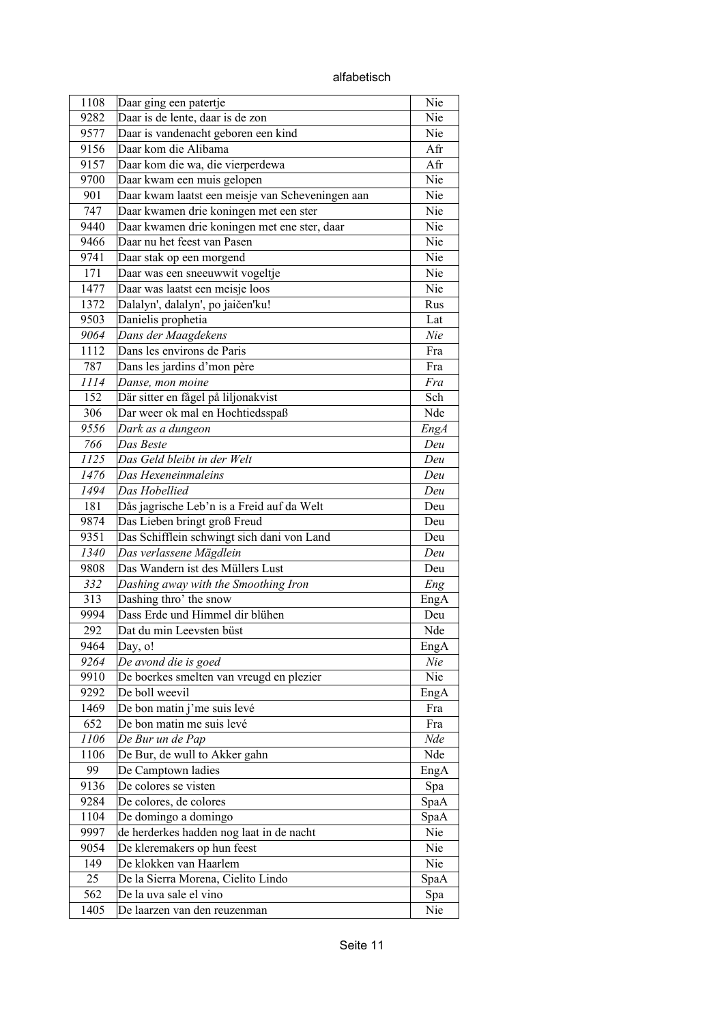alfabetisch

| 1108 | Daar ging een patertje                           | Nie        |
|------|--------------------------------------------------|------------|
| 9282 | Daar is de lente, daar is de zon                 | Nie        |
| 9577 | Daar is vandenacht geboren een kind              | Nie        |
| 9156 | Daar kom die Alibama                             | Afr        |
| 9157 | Daar kom die wa, die vierperdewa                 | Afr        |
| 9700 | Daar kwam een muis gelopen                       | Nie        |
| 901  | Daar kwam laatst een meisje van Scheveningen aan | Nie        |
| 747  | Daar kwamen drie koningen met een ster           | Nie        |
| 9440 | Daar kwamen drie koningen met ene ster, daar     | Nie        |
| 9466 | Daar nu het feest van Pasen                      | Nie        |
| 9741 | Daar stak op een morgend                         | Nie        |
| 171  | Daar was een sneeuwwit vogeltje                  | Nie        |
| 1477 | Daar was laatst een meisje loos                  | Nie        |
| 1372 | Dalalyn', dalalyn', po jaičen'ku!                | Rus        |
| 9503 | Danielis prophetia                               | Lat        |
| 9064 | Dans der Maagdekens                              | Nie        |
| 1112 | Dans les environs de Paris                       | Fra        |
| 787  | Dans les jardins d'mon père                      | Fra        |
|      |                                                  |            |
| 1114 | Danse, mon moine                                 | Fra<br>Sch |
| 152  | Där sitter en fågel på liljonakvist              |            |
| 306  | Dar weer ok mal en Hochtiedsspaß                 | Nde        |
| 9556 | Dark as a dungeon                                | EngA       |
| 766  | Das Beste                                        | Deu        |
| 1125 | Das Geld bleibt in der Welt                      | Deu        |
| 1476 | Das Hexeneinmaleins                              | Deu        |
| 1494 | Das Hobellied                                    | Deu        |
| 181  | Dås jagrische Leb'n is a Freid auf da Welt       | Deu        |
| 9874 | Das Lieben bringt groß Freud                     | Deu        |
| 9351 | Das Schifflein schwingt sich dani von Land       | Deu        |
| 1340 | Das verlassene Mägdlein                          | Deu        |
| 9808 | Das Wandern ist des Müllers Lust                 | Deu        |
| 332  | Dashing away with the Smoothing Iron             | Eng        |
| 313  | Dashing thro' the snow                           | EngA       |
| 9994 | Dass Erde und Himmel dir blühen                  | Deu        |
| 292  | Dat du min Leevsten büst                         | Nde        |
| 9464 | Day, o!                                          | EngA       |
| 9264 | De avond die is goed                             | Nie        |
| 9910 | De boerkes smelten van vreugd en plezier         | Nie        |
| 9292 | De boll weevil                                   | EngA       |
| 1469 | De bon matin j'me suis levé                      | Fra        |
| 652  | De bon matin me suis levé                        | Fra        |
| 1106 | De Bur un de Pap                                 | Nde        |
| 1106 | De Bur, de wull to Akker gahn                    | Nde        |
| 99   | De Camptown ladies                               | EngA       |
| 9136 | De colores se visten                             | Spa        |
| 9284 | De colores, de colores                           | SpaA       |
| 1104 | De domingo a domingo                             | SpaA       |
| 9997 | de herderkes hadden nog laat in de nacht         | Nie        |
| 9054 | De kleremakers op hun feest                      | Nie        |
| 149  | De klokken van Haarlem                           | Nie        |
| 25   | De la Sierra Morena, Cielito Lindo               | SpaA       |
| 562  | De la uva sale el vino                           | Spa        |
| 1405 | De laarzen van den reuzenman                     | Nie        |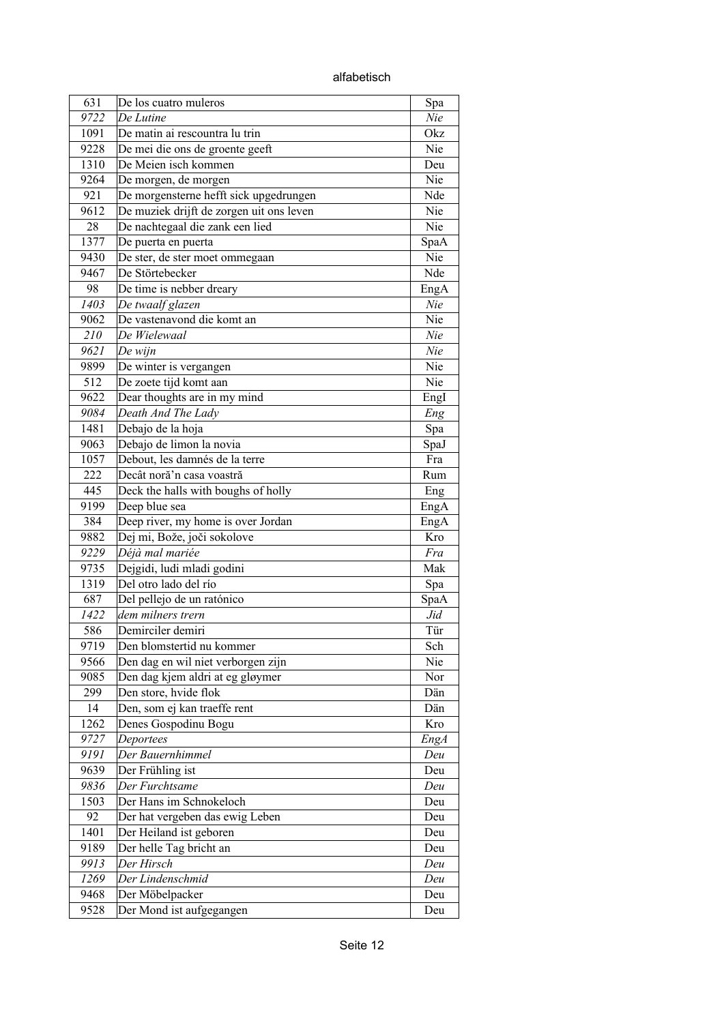alfabetisch

| 631          | De los cuatro muleros                    | Spa        |
|--------------|------------------------------------------|------------|
| 9722         | De Lutine                                | Nie        |
| 1091         | De matin ai rescountra lu trin           | Okz        |
| 9228         | De mei die ons de groente geeft          | Nie        |
| 1310         | De Meien isch kommen                     | Deu        |
| 9264         | De morgen, de morgen                     | Nie        |
| 921          | De morgensterne hefft sick upgedrungen   | Nde        |
| 9612         | De muziek drijft de zorgen uit ons leven | Nie        |
| 28           | De nachtegaal die zank een lied          | Nie        |
| 1377         | De puerta en puerta                      | SpaA       |
| 9430         | De ster, de ster moet ommegaan           | Nie        |
| 9467         | De Störtebecker                          | Nde        |
| 98           | De time is nebber dreary                 | EngA       |
| 1403         | De twaalf glazen                         | Nie        |
| 9062         | De vastenavond die komt an               | Nie        |
| 210          | De Wielewaal                             | Nie        |
| 9621         | $De$ wijn                                | Nie        |
| 9899         | De winter is vergangen                   | Nie        |
| 512          | De zoete tijd komt aan                   | Nie        |
| 9622         | Dear thoughts are in my mind             | Engl       |
| 9084         | Death And The Lady                       | Eng        |
| 1481         | Debajo de la hoja                        | Spa        |
| 9063         | Debajo de limon la novia                 | SpaJ       |
| 1057         | Debout, les damnés de la terre           | Fra        |
| 222          | Decât noră'n casa voastră                | Rum        |
| 445          | Deck the halls with boughs of holly      | Eng        |
| 9199         | Deep blue sea                            | EngA       |
| 384          | Deep river, my home is over Jordan       | EngA       |
| 9882         | Dej mi, Bože, joči sokolove              | Kro        |
| 9229         | Déjà mal mariée                          | Fra        |
| 9735         | Dejgidi, ludi mladi godini               | Mak        |
| 1319         | Del otro lado del río                    | Spa        |
| 687          | Del pellejo de un ratónico               | SpaA       |
| 1422         | dem milners trern                        | Jid        |
| 586          | Demirciler demiri                        |            |
|              | Den blomstertid nu kommer                | Tür        |
| 9719<br>9566 | Den dag en wil niet verborgen zijn       | Sch<br>Nie |
|              |                                          |            |
| 9085         | Den dag kjem aldri at eg gløymer         | Nor        |
| 299<br>14    | Den store, hvide flok                    | Dän        |
| 1262         | Den, som ej kan traeffe rent             | Dän<br>Kro |
|              | Denes Gospodinu Bogu                     |            |
| 9727         | Deportees                                | EngA       |
| 9191         | Der Bauernhimmel                         | Deu        |
| 9639         | Der Frühling ist                         | Deu        |
| 9836         | Der Furchtsame                           | Deu        |
| 1503         | Der Hans im Schnokeloch                  | Deu        |
| 92           | Der hat vergeben das ewig Leben          | Deu        |
| 1401         | Der Heiland ist geboren                  | Deu        |
| 9189         | Der helle Tag bricht an                  | Deu        |
| 9913         | Der Hirsch                               | Deu        |
| 1269         | Der Lindenschmid                         | Deu        |
| 9468         | Der Möbelpacker                          | Deu        |
| 9528         | Der Mond ist aufgegangen                 | Deu        |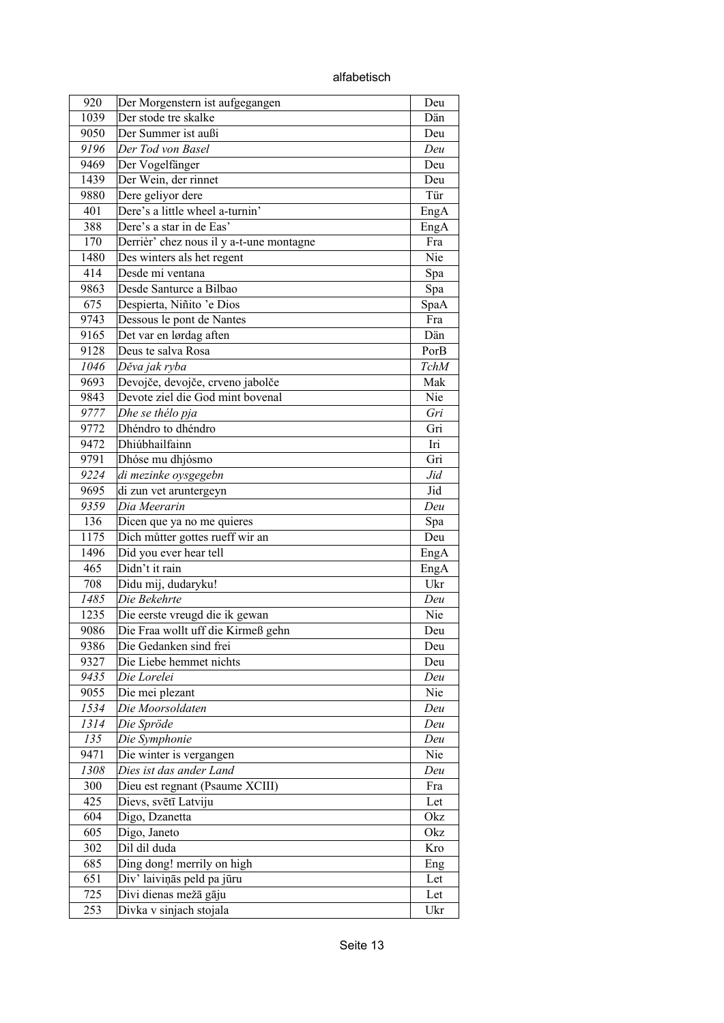| alfabetisch |
|-------------|
|-------------|

| 920  | Der Morgenstern ist aufgegangen          | Deu        |
|------|------------------------------------------|------------|
| 1039 | Der stode tre skalke                     | Dän        |
| 9050 | Der Summer ist außi                      | Deu        |
| 9196 | Der Tod von Basel                        | Deu        |
| 9469 | Der Vogelfänger                          | Deu        |
| 1439 | Der Wein, der rinnet                     | Deu        |
| 9880 | Dere geliyor dere                        | Tür        |
| 401  | Dere's a little wheel a-turnin'          | EngA       |
| 388  | Dere's a star in de Eas'                 | EngA       |
| 170  | Derrièr' chez nous il y a-t-une montagne | Fra        |
| 1480 | Des winters als het regent               | Nie        |
| 414  | Desde mi ventana                         | Spa        |
| 9863 | Desde Santurce a Bilbao                  | Spa        |
| 675  | Despierta, Niñito 'e Dios                | SpaA       |
| 9743 | Dessous le pont de Nantes                | Fra        |
| 9165 | Det var en lørdag aften                  | Dän        |
| 9128 | Deus te salva Rosa                       | PorB       |
| 1046 | Děva jak ryba                            | TchM       |
| 9693 | Devojče, devojče, crveno jabolče         | Mak        |
| 9843 | Devote ziel die God mint bovenal         | Nie        |
| 9777 | Dhe se thélo pja                         | Gri        |
| 9772 | Dhéndro to dhéndro                       | Gri        |
| 9472 | Dhiúbhailfainn                           | Iri        |
| 9791 | Dhóse mu dhjósmo                         | Gri        |
| 9224 | di mezinke oysgegebn                     | Jid        |
| 9695 | di zun vet aruntergeyn                   | Jid        |
| 9359 | Dia Meerarin                             | Deu        |
| 136  | Dicen que ya no me quieres               | Spa        |
| 1175 | Dich můtter gottes rueff wir an          | Deu        |
| 1496 | Did you ever hear tell                   | EngA       |
| 465  | Didn't it rain                           | EngA       |
| 708  | Didu mij, dudaryku!                      | Ukr        |
| 1485 | Die Bekehrte                             | Deu        |
| 1235 | Die eerste vreugd die ik gewan           | Nie        |
| 9086 | Die Fraa wollt uff die Kirmeß gehn       |            |
|      | Die Gedanken sind frei                   | Deu<br>Deu |
| 9386 | Die Liebe hemmet nichts                  |            |
| 9327 |                                          | Deu        |
| 9435 | Die Lorelei                              | Deu        |
| 9055 | Die mei plezant                          | Nie        |
| 1534 | Die Moorsoldaten                         | Deu        |
| 1314 | Die Spröde                               | Deu        |
| 135  | Die Symphonie                            | Deu        |
| 9471 | Die winter is vergangen                  | Nie        |
| 1308 | Dies ist das ander Land                  | Deu        |
| 300  | Dieu est regnant (Psaume XCIII)          | Fra        |
| 425  | Dievs, svētī Latviju                     | Let        |
| 604  | Digo, Dzanetta                           | Okz        |
| 605  | Digo, Janeto                             | Okz        |
| 302  | Dil dil duda                             | Kro        |
| 685  | Ding dong! merrily on high               | Eng        |
| 651  | Div' laiviņās peld pa jūru               | Let        |
| 725  | Divi dienas mežā gāju                    | Let        |
| 253  | Divka v sinjach stojala                  | Ukr        |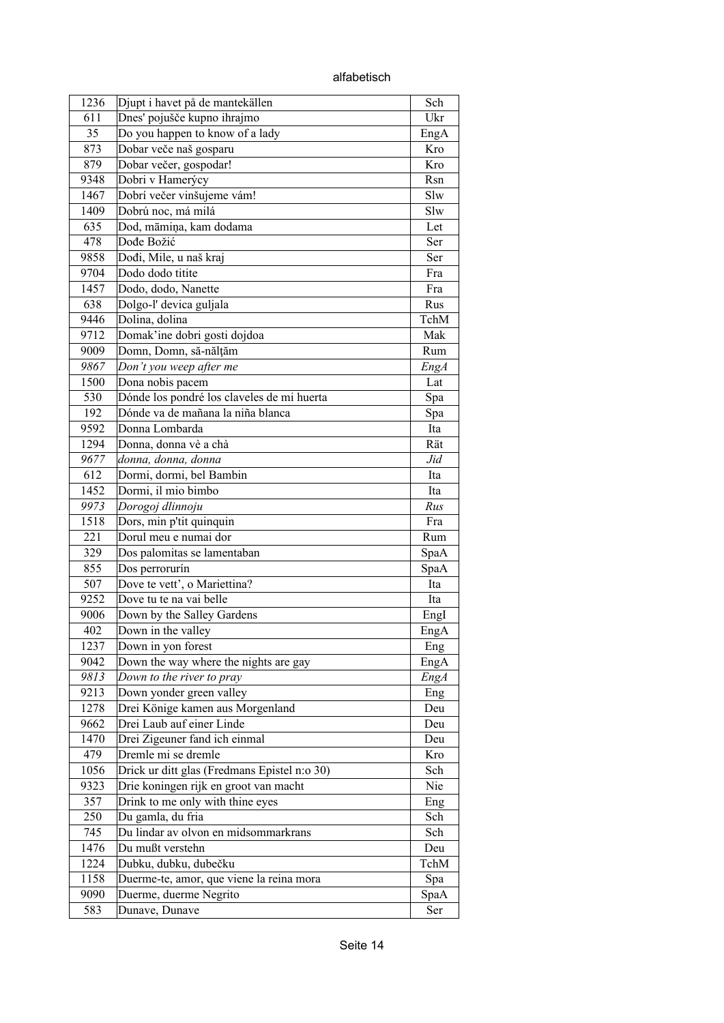| 1236         | Djupt i havet på de mantekällen                                    | Sch         |
|--------------|--------------------------------------------------------------------|-------------|
| 611          | Dnes' pojušče kupno ihrajmo                                        | Ukr         |
| 35           | Do you happen to know of a lady                                    | EngA        |
| 873          | Dobar veče naš gosparu                                             | Kro         |
| 879          | Dobar večer, gospodar!                                             | Kro         |
| 9348         | Dobri v Hamerýcy                                                   | Rsn         |
| 1467         | Dobrí večer vinšujeme vám!                                         | Slw         |
| 1409         | Dobrú noc, má milá                                                 | Slw         |
| 635          | Dod, māmina, kam dodama                                            | Let         |
| 478          | Dođe Božić                                                         | Ser         |
| 9858         | Dođi, Mile, u naš kraj                                             | Ser         |
| 9704         | Dodo dodo titite                                                   | Fra         |
| 1457         | Dodo, dodo, Nanette                                                | Fra         |
| 638          | Dolgo-l' devica guljala                                            | Rus         |
| 9446         | Dolina, dolina                                                     | TchM        |
| 9712         | Domak'ine dobri gosti dojdoa                                       | Mak         |
| 9009         | Domn, Domn, să-nălțăm                                              | Rum         |
| 9867         | Don't you weep after me                                            | <b>EngA</b> |
| 1500         | Dona nobis pacem                                                   | Lat         |
| 530          | Dónde los pondré los claveles de mi huerta                         | Spa         |
| 192          | Dónde va de mañana la niña blanca                                  | Spa         |
| 9592         | Donna Lombarda                                                     | Ita         |
| 1294         | Donna, donna vè a chà                                              | Rät         |
| 9677         | donna, donna, donna                                                | Jid         |
| 612          | Dormi, dormi, bel Bambin                                           | Ita         |
| 1452         | Dormi, il mio bimbo                                                | Ita         |
| 9973         | Dorogoj dlinnoju                                                   | Rus         |
| 1518         | Dors, min p'tit quinquin                                           | Fra         |
| 221          | Dorul meu e numai dor                                              | Rum         |
| 329          | Dos palomitas se lamentaban                                        | SpaA        |
| 855          | Dos perrorurín                                                     | SpaA        |
| 507          | Dove te vett', o Mariettina?                                       | Ita         |
| 9252         | Dove tu te na vai belle                                            | Ita         |
| 9006         | Down by the Salley Gardens                                         | EngI        |
| 402          | Down in the valley                                                 | EngA        |
| 1237         | Down in yon forest                                                 | Eng         |
| 9042         | Down the way where the nights are gay                              | EngA        |
| 9813         | Down to the river to pray                                          | EngA        |
| 9213         | Down yonder green valley                                           | Eng         |
| 1278         | Drei Könige kamen aus Morgenland                                   | Deu         |
| 9662         | Drei Laub auf einer Linde                                          | Deu         |
| 1470         | Drei Zigeuner fand ich einmal                                      | Deu         |
| 479          | Dremle mi se dremle                                                | Kro         |
| 1056         | Drick ur ditt glas (Fredmans Epistel n:o 30)                       | Sch         |
| 9323         | Drie koningen rijk en groot van macht                              | Nie         |
| 357          | Drink to me only with thine eyes                                   |             |
| 250          | Du gamla, du fria                                                  | Eng<br>Sch  |
| 745          | Du lindar av olvon en midsommarkrans                               | Sch         |
|              |                                                                    |             |
| 1476<br>1224 | Du mußt verstehn                                                   | Deu         |
| 1158         | Dubku, dubku, dubečku                                              | TchM        |
| 9090         | Duerme-te, amor, que viene la reina mora<br>Duerme, duerme Negrito | Spa         |
|              |                                                                    | SpaA        |
| 583          | Dunave, Dunave                                                     | Ser         |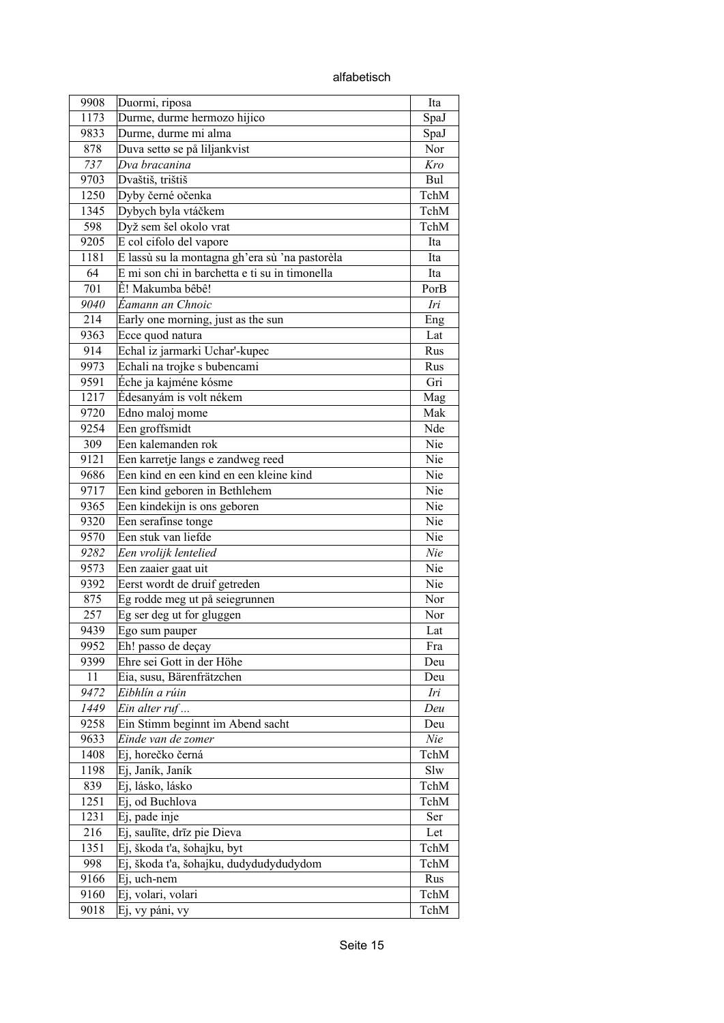alfabetisch

| 9908         | Duormi, riposa                                    | Ita          |
|--------------|---------------------------------------------------|--------------|
| 1173         | Durme, durme hermozo hijico                       | SpaJ         |
| 9833         | Durme, durme mi alma                              | SpaJ         |
| 878          | Duva settø se på liljankvist                      | Nor          |
| 737          | Dva bracanina                                     | Kro          |
| 9703         | Dvaštiš, trištiš                                  | Bul          |
| 1250         | Dyby černé očenka                                 | TchM         |
| 1345         | Dybych byla vtáčkem                               | TchM         |
| 598          | Dyž sem šel okolo vrat                            | TchM         |
| 9205         | E col cifolo del vapore                           | Ita          |
| 1181         | E lassù su la montagna gh'era sù 'na pastorèla    | Ita          |
| 64           | E mi son chi in barchetta e ti su in timonella    | Ita          |
| 701          | Ê! Makumba bêbê!                                  | PorB         |
| 9040         | Éamann an Chnoic                                  | Iri          |
| 214          | Early one morning, just as the sun                | Eng          |
| 9363         | Ecce quod natura                                  | Lat          |
| 914          | Echal iz jarmarki Uchar'-kupec                    | Rus          |
| 9973         | Echali na trojke s bubencami                      | Rus          |
| 9591         | Éche ja kajméne kósme                             | Gri          |
| 1217         | Édesanyám is volt nékem                           | Mag          |
| 9720         | Edno maloj mome                                   | Mak          |
| 9254         | Een groffsmidt                                    | Nde          |
| 309          | Een kalemanden rok                                | Nie          |
| 9121         | Een karretje langs e zandweg reed                 | Nie          |
| 9686         | Een kind en een kind en een kleine kind           | Nie          |
| 9717         | Een kind geboren in Bethlehem                     | Nie          |
| 9365         | Een kindekijn is ons geboren                      | Nie          |
| 9320         | Een serafinse tonge                               | Nie          |
| 9570         | Een stuk van liefde                               | Nie          |
| 9282         | Een vrolijk lentelied                             | Nie          |
| 9573         | Een zaaier gaat uit                               | Nie          |
| 9392         | Eerst wordt de druif getreden                     | Nie          |
| 875          | Eg rodde meg ut på seiegrunnen                    | Nor          |
| 257          | Eg ser deg ut for gluggen                         | Nor          |
| 9439         | Ego sum pauper                                    | Lat          |
| 9952         | Eh! passo de deçay                                | Fra          |
| 9399         | Ehre sei Gott in der Höhe                         | Deu          |
| 11           | Eia, susu, Bärenfrätzchen                         | Deu          |
| 9472         | Eibhlín a rúin                                    | Iri          |
| 1449         |                                                   | Deu          |
| 9258         | Ein alter ruf<br>Ein Stimm beginnt im Abend sacht | Deu          |
| 9633         | Einde van de zomer                                | Nie          |
| 1408         | Ej, horečko černá                                 | TchM         |
| 1198         | Ej, Janík, Janík                                  | Slw          |
|              |                                                   |              |
| 839          | Ej, lásko, lásko<br>Ej, od Buchlova               | TchM<br>TchM |
| 1251<br>1231 |                                                   |              |
|              | Ej, pade inje                                     | Ser          |
| 216          | Ej, saulīte, drīz pie Dieva                       | Let          |
| 1351         | Ej, škoda t'a, šohajku, byt                       | TchM         |
| 998          | Ej, škoda ťa, šohajku, dudydudydudydom            | TchM         |
| 9166         | Ej, uch-nem                                       | Rus          |
| 9160         | Ej, volari, volari                                | TchM         |
| 9018         | Ej, vy páni, vy                                   | TchM         |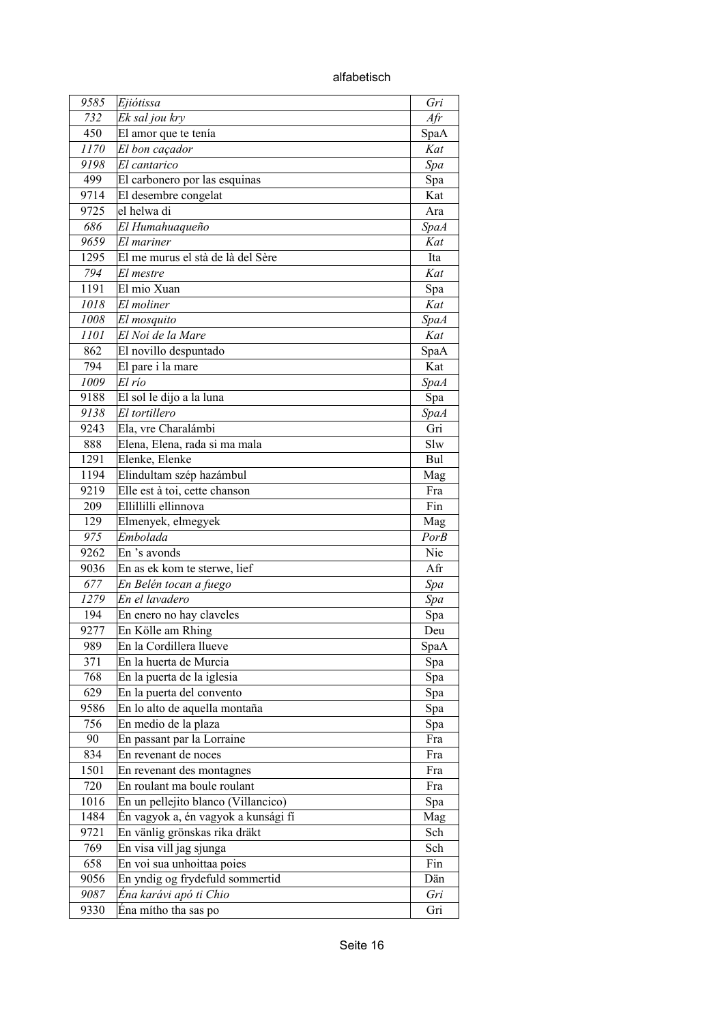alfabetisch

| 9585 | Ejiótissa                           | Gri         |
|------|-------------------------------------|-------------|
| 732  | Ek sal jou kry                      | Afr         |
| 450  | El amor que te tenía                | SpaA        |
| 1170 | El bon caçador                      | Kat         |
| 9198 | El cantarico                        | Spa         |
| 499  | El carbonero por las esquinas       | Spa         |
| 9714 | El desembre congelat                | Kat         |
| 9725 | el helwa di                         | Ara         |
| 686  | El Humahuaqueño                     | <b>SpaA</b> |
| 9659 | El mariner                          | Kat         |
| 1295 | El me murus el stà de là del Sère   | Ita         |
| 794  | El mestre                           | Kat         |
| 1191 | El mio Xuan                         |             |
| 1018 | El moliner                          | Spa         |
|      |                                     | Kat         |
| 1008 | El mosquito                         | SpaA        |
| 1101 | El Noi de la Mare                   | Kat         |
| 862  | El novillo despuntado               | SpaA        |
| 794  | El pare i la mare                   | Kat         |
| 1009 | El río                              | <b>SpaA</b> |
| 9188 | El sol le dijo a la luna            | Spa         |
| 9138 | El tortillero                       | <b>SpaA</b> |
| 9243 | Ela, vre Charalámbi                 | Gri         |
| 888  | Elena, Elena, rada si ma mala       | Slw         |
| 1291 | Elenke, Elenke                      | Bul         |
| 1194 | Elindultam szép hazámbul            | Mag         |
| 9219 | Elle est à toi, cette chanson       | Fra         |
| 209  | Ellillilli ellinnova                | Fin         |
| 129  | Elmenyek, elmegyek                  | Mag         |
| 975  | Embolada                            | <b>PorB</b> |
| 9262 | En 's avonds                        | Nie         |
| 9036 | En as ek kom te sterwe, lief        | Afr         |
| 677  | En Belén tocan a fuego              | Spa         |
| 1279 | En el lavadero                      | Spa         |
| 194  | En enero no hay claveles            | Spa         |
| 9277 | En Kölle am Rhing                   | Deu         |
| 989  | En la Cordillera llueve             | SpaA        |
| 371  | En la huerta de Murcia              | Spa         |
| 768  | En la puerta de la iglesia          | Spa         |
| 629  | En la puerta del convento           | Spa         |
| 9586 | En lo alto de aquella montaña       | Spa         |
| 756  | En medio de la plaza                | Spa         |
| 90   | En passant par la Lorraine          | Fra         |
| 834  | En revenant de noces                | Fra         |
| 1501 | En revenant des montagnes           | Fra         |
| 720  | En roulant ma boule roulant         | Fra         |
| 1016 | En un pellejito blanco (Villancico) | Spa         |
| 1484 | Én vagyok a, én vagyok a kunsági fí | Mag         |
|      |                                     |             |
| 9721 | En vänlig grönskas rika dräkt       | Sch         |
| 769  | En visa vill jag sjunga             | Sch         |
| 658  | En voi sua unhoittaa poies          | Fin         |
| 9056 | En yndig og frydefuld sommertid     | Dän         |
| 9087 | Éna karávi apó ti Chio              | Gri         |
| 9330 | Éna mítho tha sas po                | Gri         |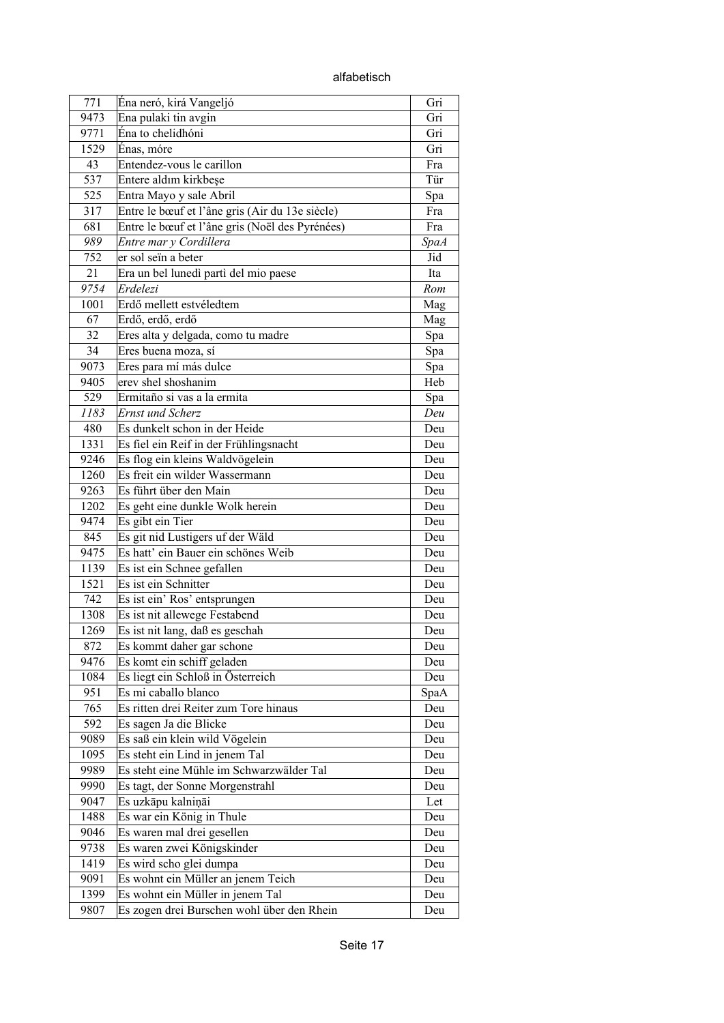alfabetisch

| 771  | Éna neró, kirá Vangeljó                         | Gri         |
|------|-------------------------------------------------|-------------|
| 9473 | Ena pulaki tin avgin                            | Gri         |
| 9771 | Éna to chelidhóni                               | Gri         |
| 1529 | Énas, móre                                      | Gri         |
| 43   | Entendez-vous le carillon                       | Fra         |
| 537  | Entere aldım kirkbeşe                           | Tür         |
| 525  | Entra Mayo y sale Abril                         | Spa         |
| 317  | Entre le bœuf et l'âne gris (Air du 13e siècle) | Fra         |
| 681  | Entre le bœuf et l'âne gris (Noël des Pyrénées) | Fra         |
| 989  | Entre mar y Cordillera                          | <b>SpaA</b> |
| 752  | er sol seïn a beter                             | Jid         |
| 21   | Era un bel lunedì partì del mio paese           | Ita         |
| 9754 | Erdelezi                                        | Rom         |
| 1001 | Erdő mellett estvéledtem                        | Mag         |
| 67   | Erdő, erdő, erdő                                | Mag         |
| 32   | Eres alta y delgada, como tu madre              | Spa         |
| 34   | Eres buena moza, sí                             | Spa         |
| 9073 | Eres para mí más dulce                          | Spa         |
| 9405 | erev shel shoshanim                             | Heb         |
| 529  | Ermitaño si vas a la ermita                     | Spa         |
| 1183 | <b>Ernst und Scherz</b>                         | Deu         |
| 480  | Es dunkelt schon in der Heide                   | Deu         |
| 1331 | Es fiel ein Reif in der Frühlingsnacht          | Deu         |
| 9246 | Es flog ein kleins Waldvögelein                 | Deu         |
| 1260 | Es freit ein wilder Wassermann                  | Deu         |
| 9263 | Es führt über den Main                          | Deu         |
| 1202 | Es geht eine dunkle Wolk herein                 | Deu         |
| 9474 | Es gibt ein Tier                                | Deu         |
| 845  | Es git nid Lustigers uf der Wäld                | Deu         |
| 9475 | Es hatt' ein Bauer ein schönes Weib             | Deu         |
| 1139 | Es ist ein Schnee gefallen                      | Deu         |
| 1521 | Es ist ein Schnitter                            | Deu         |
| 742  | Es ist ein' Ros' entsprungen                    | Deu         |
| 1308 | Es ist nit allewege Festabend                   | Deu         |
| 1269 | Es ist nit lang, daß es geschah                 | Deu         |
| 872  | Es kommt daher gar schone                       | Deu         |
| 9476 | Es komt ein schiff geladen                      | Deu         |
| 1084 | Es liegt ein Schloß in Österreich               | Deu         |
| 951  | Es mi caballo blanco                            | SpaA        |
| 765  | Es ritten drei Reiter zum Tore hinaus           | Deu         |
| 592  | Es sagen Ja die Blicke                          | Deu         |
| 9089 | Es saß ein klein wild Vögelein                  | Deu         |
| 1095 | Es steht ein Lind in jenem Tal                  | Deu         |
| 9989 | Es steht eine Mühle im Schwarzwälder Tal        | Deu         |
| 9990 | Es tagt, der Sonne Morgenstrahl                 | Deu         |
| 9047 | Es uzkāpu kalniņāi                              | Let         |
| 1488 | Es war ein König in Thule                       | Deu         |
| 9046 | Es waren mal drei gesellen                      | Deu         |
| 9738 | Es waren zwei Königskinder                      | Deu         |
| 1419 | Es wird scho glei dumpa                         | Deu         |
| 9091 | Es wohnt ein Müller an jenem Teich              | Deu         |
| 1399 | Es wohnt ein Müller in jenem Tal                | Deu         |
| 9807 | Es zogen drei Burschen wohl über den Rhein      | Deu         |
|      |                                                 |             |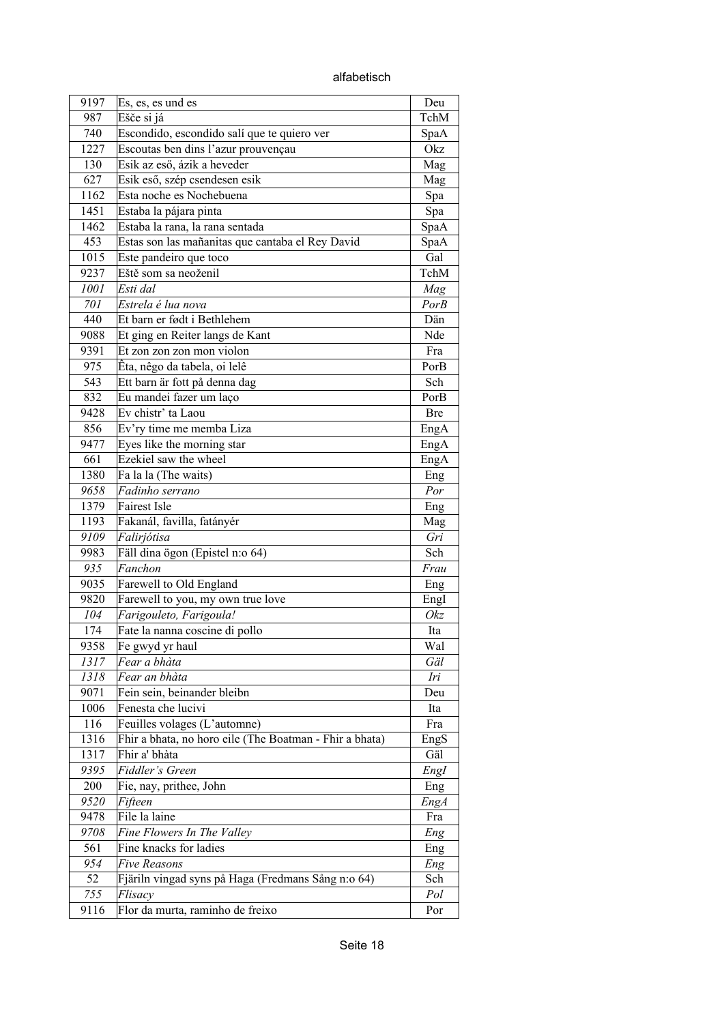alfabetisch

| 9197         | Es, es, es und es                                                        | Deu         |
|--------------|--------------------------------------------------------------------------|-------------|
| 987          | Ešče si já                                                               | TchM        |
| 740          | Escondido, escondido salí que te quiero ver                              | SpaA        |
| 1227         | Escoutas ben dins l'azur prouvençau                                      | Okz         |
| 130          | Esik az eső, ázik a heveder                                              | Mag         |
| 627          | Esik eső, szép csendesen esik                                            | Mag         |
| 1162         | Esta noche es Nochebuena                                                 | Spa         |
| 1451         | Estaba la pájara pinta                                                   | Spa         |
| 1462         | Estaba la rana, la rana sentada                                          | SpaA        |
| 453          | Estas son las mañanitas que cantaba el Rey David                         | SpaA        |
| 1015         | Este pandeiro que toco                                                   | Gal         |
| 9237         | Eště som sa neoženil                                                     | TchM        |
| 1001         | Esti dal                                                                 | Mag         |
| 701          | Estrela é lua nova                                                       | PorB        |
| 440          | Et barn er født i Bethlehem                                              | Dän         |
| 9088         | Et ging en Reiter langs de Kant                                          | Nde         |
| 9391         | Et zon zon zon mon violon                                                | Fra         |
| 975          | Êta, nêgo da tabela, oi lelê                                             | PorB        |
| 543          | Ett barn är fott på denna dag                                            | Sch         |
| 832          | Eu mandei fazer um laço                                                  | PorB        |
| 9428         | Ev chistr' ta Laou                                                       | <b>Bre</b>  |
| 856          | Ev'ry time me memba Liza                                                 | EngA        |
| 9477         | Eyes like the morning star                                               | EngA        |
| 661          | Ezekiel saw the wheel                                                    |             |
| 1380         | Fa la la (The waits)                                                     | EngA        |
| 9658         | Fadinho serrano                                                          | Eng<br>Por  |
| 1379         | Fairest Isle                                                             |             |
| 1193         | Fakanál, favilla, fatányér                                               | Eng         |
| 9109         | Falirjótisa                                                              | Mag<br>Gri  |
|              | Fäll dina ögon (Epistel n:o 64)                                          | Sch         |
| 9983<br>935  | Fanchon                                                                  | Frau        |
| 9035         | Farewell to Old England                                                  |             |
| 9820         |                                                                          | Eng         |
| 104          | Farewell to you, my own true love                                        | EngI<br>Okz |
| 174          | Farigouleto, Farigoula!                                                  |             |
|              | Fate la nanna coscine di pollo                                           | Ita         |
| 9358         | Fe gwyd yr haul<br>Fear a bhàta                                          | Wal         |
| 1317         |                                                                          | Gäl         |
| 1318         | Fear an bhàta                                                            | Iri         |
| 9071         | Fein sein, beinander bleibn<br>Fenesta che lucivi                        | Deu         |
| 1006         |                                                                          | Ita         |
| 116          | Feuilles volages (L'automne)                                             | Fra         |
| 1316         | Fhir a bhata, no horo eile (The Boatman - Fhir a bhata)<br>Fhir a' bhàta | EngS        |
| 1317<br>9395 | Fiddler's Green                                                          | Gäl         |
|              |                                                                          | EngI        |
| 200          | Fie, nay, prithee, John                                                  | Eng         |
| 9520         | Fifteen<br>File la laine                                                 | <b>EngA</b> |
| 9478         |                                                                          | Fra         |
| 9708         | Fine Flowers In The Valley                                               | Eng         |
| 561          | Fine knacks for ladies                                                   | Eng         |
| 954<br>52    | Five Reasons                                                             | Eng         |
| 755          | Fjäriln vingad syns på Haga (Fredmans Sång n:o 64)<br>Flisacy            | Sch<br>Pol  |
| 9116         | Flor da murta, raminho de freixo                                         |             |
|              |                                                                          | Por         |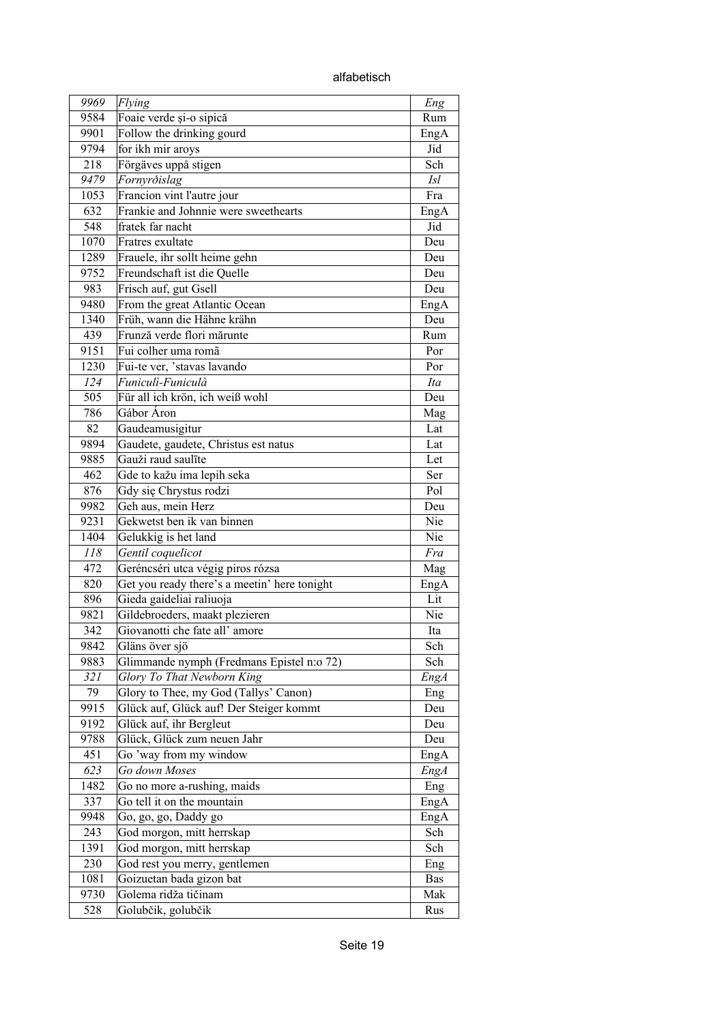alfabetisch

| 9969        | Flying                                                             | Eng         |
|-------------|--------------------------------------------------------------------|-------------|
| 9584        | Foaie verde și-o sipică                                            | Rum         |
| 9901        | Follow the drinking gourd                                          | EngA        |
| 9794        | for ikh mir aroys                                                  | Jid         |
| 218         | Förgäves uppå stigen                                               | Sch         |
| 9479        | Fornyrðislag                                                       | <i>Isl</i>  |
|             |                                                                    | Fra         |
| 1053<br>632 | Francion vint l'autre jour<br>Frankie and Johnnie were sweethearts |             |
| 548         |                                                                    | EngA        |
|             | fratek far nacht                                                   | Jid         |
| 1070        | Fratres exultate                                                   | Deu         |
| 1289        | Frauele, ihr sollt heime gehn                                      | Deu         |
| 9752        | Freundschaft ist die Quelle                                        | Deu         |
| 983         | Frisch auf, gut Gsell                                              | Deu         |
| 9480        | From the great Atlantic Ocean                                      | EngA        |
| 1340        | Früh, wann die Hähne krähn                                         | Deu         |
| 439         | Frunză verde flori mărunte                                         | Rum         |
| 9151        | Fui colher uma romã                                                | Por         |
| 1230        | Fui-te ver, 'stavas lavando                                        | Por         |
| 124         | Funiculì-Funiculà                                                  | Ita         |
| 505         | Für all ich krön, ich weiß wohl                                    | Deu         |
| 786         | Gábor Áron                                                         | Mag         |
| 82          | Gaudeamusigitur                                                    | Lat         |
| 9894        | Gaudete, gaudete, Christus est natus                               | Lat         |
| 9885        | Gauži raud saulīte                                                 | Let         |
| 462         | Gde to kažu ima lepih seka                                         | Ser         |
| 876         | Gdy się Chrystus rodzi                                             | Pol         |
| 9982        | Geh aus, mein Herz                                                 | Deu         |
| 9231        | Gekwetst ben ik van binnen                                         | Nie         |
| 1404        | Gelukkig is het land                                               | Nie         |
| 118         | Gentil coquelicot                                                  | Fra         |
| 472         | Geréncséri utca végig piros rózsa                                  | Mag         |
| 820         | Get you ready there's a meetin' here tonight                       | EngA        |
| 896         | Gieda gaideliai raliuoja                                           | Lit         |
| 9821        | Gildebroeders, maakt plezieren                                     | Nie         |
| 342         | Giovanotti che fate all'amore                                      | Ita         |
| 9842        | Gläns över sjö                                                     | Sch         |
| 9883        | Glimmande nymph (Fredmans Epistel n:o 72)                          | Sch         |
| 321         | Glory To That Newborn King                                         | <b>EngA</b> |
| 79          | Glory to Thee, my God (Tallys' Canon)                              | Eng         |
| 9915        | Glück auf, Glück auf! Der Steiger kommt                            | Deu         |
| 9192        | Glück auf, ihr Bergleut                                            | Deu         |
| 9788        | Glück, Glück zum neuen Jahr                                        | Deu         |
| 451         | Go 'way from my window                                             | EngA        |
| 623         | Go down Moses                                                      | <b>EngA</b> |
| 1482        | Go no more a-rushing, maids                                        |             |
| 337         | Go tell it on the mountain                                         | Eng         |
| 9948        |                                                                    | EngA        |
|             | Go, go, go, Daddy go                                               | EngA        |
| 243         | God morgon, mitt herrskap                                          | Sch         |
| 1391        | God morgon, mitt herrskap                                          | Sch         |
| 230         | God rest you merry, gentlemen                                      | Eng         |
| 1081        | Goizuetan bada gizon bat                                           | Bas         |
| 9730        | Golema ridža tičinam                                               | Mak         |
| 528         | Golubčik, golubčik                                                 | Rus         |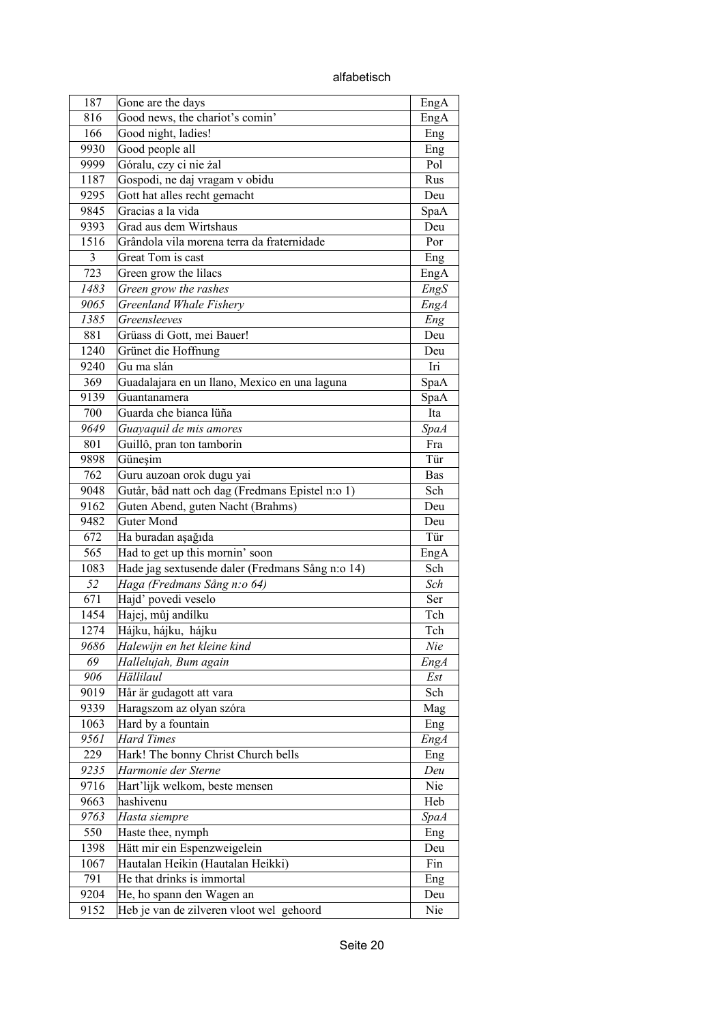alfabetisch

| 187         | Gone are the days                                      | EngA        |
|-------------|--------------------------------------------------------|-------------|
| 816         | Good news, the chariot's comin'                        | EngA        |
| 166         | Good night, ladies!                                    | Eng         |
| 9930        | Good people all                                        | Eng         |
| 9999        | Góralu, czy ci nie żal                                 | Pol         |
| 1187        | Gospodi, ne daj vragam v obidu                         | Rus         |
| 9295        | Gott hat alles recht gemacht                           | Deu         |
| 9845        | Gracias a la vida                                      | SpaA        |
| 9393        | Grad aus dem Wirtshaus                                 | Deu         |
| 1516        | Grândola vila morena terra da fraternidade             | Por         |
| 3           | Great Tom is cast                                      | Eng         |
| 723         | Green grow the lilacs                                  | EngA        |
| 1483        | Green grow the rashes                                  | EngS        |
| 9065        | Greenland Whale Fishery                                | <b>EngA</b> |
| 1385        | Greensleeves                                           | Eng         |
| 881         | Grüass di Gott, mei Bauer!                             | Deu         |
| 1240        | Grünet die Hoffnung                                    | Deu         |
| 9240        | Gu ma slán                                             | Iri         |
| 369         | Guadalajara en un llano, Mexico en una laguna          | SpaA        |
| 9139        |                                                        |             |
| 700         | Guantanamera<br>Guarda che bianca lüña                 | SpaA<br>Ita |
| 9649        |                                                        |             |
|             | Guayaquil de mis amores                                | <b>SpaA</b> |
| 801         | Guillô, pran ton tamborin                              | Fra         |
| 9898        | Güneşim                                                | Tür         |
| 762         | Guru auzoan orok dugu yai                              | Bas         |
| 9048        | Gutår, båd natt och dag (Fredmans Epistel n:o 1)       | Sch         |
| 9162        | Guten Abend, guten Nacht (Brahms)<br><b>Guter Mond</b> | Deu         |
| 9482<br>672 |                                                        | Deu         |
|             | Ha buradan aşağıda                                     | Tür         |
| 565         | Had to get up this mornin' soon                        | EngA<br>Sch |
| 1083        | Hade jag sextusende daler (Fredmans Sång n:o 14)       |             |
| 52          | Haga (Fredmans Sång n:o 64)                            | Sch         |
| 671         | Hajd' povedi veselo                                    | Ser         |
| 1454        | Hajej, můj andílku                                     | Tch         |
| 1274        | Hájku, hájku, hájku                                    | Tch         |
| 9686        | Halewijn en het kleine kind                            | Nie         |
| 69          | Hallelujah, Bum again                                  | <b>EngA</b> |
| 906         | Hällilaul                                              | Est         |
| 9019        | Hår är gudagott att vara                               | Sch         |
| 9339        | Haragszom az olyan szóra                               | Mag         |
| 1063        | Hard by a fountain                                     | Eng         |
| 9561        | <b>Hard Times</b>                                      | <b>EngA</b> |
| 229         | Hark! The bonny Christ Church bells                    | Eng         |
| 9235        | Harmonie der Sterne                                    | Deu         |
| 9716        | Hart'lijk welkom, beste mensen                         | Nie         |
| 9663        | hashivenu                                              | Heb         |
| 9763        | Hasta siempre                                          | <i>SpaA</i> |
| 550         | Haste thee, nymph                                      | Eng         |
| 1398        | Hätt mir ein Espenzweigelein                           | Deu         |
| 1067        | Hautalan Heikin (Hautalan Heikki)                      | Fin         |
| 791         | He that drinks is immortal                             | Eng         |
| 9204        | He, ho spann den Wagen an                              | Deu         |
| 9152        | Heb je van de zilveren vloot wel gehoord               | Nie         |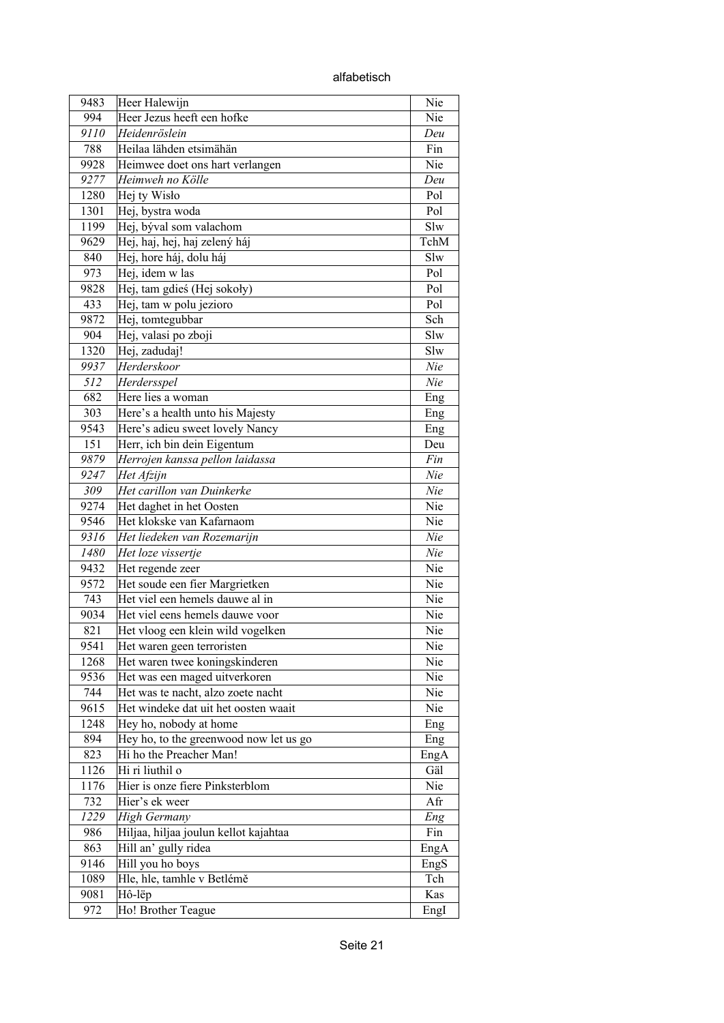alfabetisch

| 9483 | Heer Halewijn                          | Nie  |
|------|----------------------------------------|------|
| 994  | Heer Jezus heeft een hofke             | Nie  |
| 9110 | Heidenröslein                          | Deu  |
| 788  | Heilaa lähden etsimähän                | Fin  |
| 9928 | Heimwee doet ons hart verlangen        | Nie  |
| 9277 | Heimweh no Kölle                       | Deu  |
| 1280 | Hej ty Wisło                           | Pol  |
| 1301 | Hej, bystra woda                       | Pol  |
| 1199 | Hej, býval som valachom                | Slw  |
| 9629 | Hej, haj, hej, haj zelený háj          | TchM |
| 840  | Hej, hore háj, dolu háj                | Slw  |
| 973  | Hej, idem w las                        | Pol  |
| 9828 | Hej, tam gdieś (Hej sokoły)            | Pol  |
| 433  | Hej, tam w polu jezioro                | Pol  |
| 9872 | Hej, tomtegubbar                       | Sch  |
| 904  | Hej, valasi po zboji                   | Slw  |
| 1320 | Hej, zadudaj!                          | Slw  |
| 9937 | Herderskoor                            | Nie  |
|      |                                        |      |
| 512  | Herdersspel                            | Nie  |
| 682  | Here lies a woman                      | Eng  |
| 303  | Here's a health unto his Majesty       | Eng  |
| 9543 | Here's adieu sweet lovely Nancy        | Eng  |
| 151  | Herr, ich bin dein Eigentum            | Deu  |
| 9879 | Herrojen kanssa pellon laidassa        | Fin  |
| 9247 | Het Afzijn                             | Nie  |
| 309  | Het carillon van Duinkerke             | Nie  |
| 9274 | Het daghet in het Oosten               | Nie  |
| 9546 | Het klokske van Kafarnaom              | Nie  |
| 9316 | Het liedeken van Rozemarijn            | Nie  |
| 1480 | Het loze vissertje                     | Nie  |
| 9432 | Het regende zeer                       | Nie  |
| 9572 | Het soude een fier Margrietken         | Nie  |
| 743  | Het viel een hemels dauwe al in        | Nie  |
| 9034 | Het viel eens hemels dauwe voor        | Nie  |
| 821  | Het vloog een klein wild vogelken      | Nie  |
| 9541 | Het waren geen terroristen             | Nie  |
| 1268 | Het waren twee koningskinderen         | Nie  |
| 9536 | Het was een maged uitverkoren          | Nie  |
| 744  | Het was te nacht, alzo zoete nacht     | Nie  |
| 9615 | Het windeke dat uit het oosten waait   | Nie  |
| 1248 | Hey ho, nobody at home                 | Eng  |
| 894  | Hey ho, to the greenwood now let us go | Eng  |
| 823  | Hi ho the Preacher Man!                | EngA |
| 1126 | Hi ri liuthil o                        | Gäl  |
| 1176 | Hier is onze fiere Pinksterblom        | Nie  |
| 732  | Hier's ek weer                         | Afr  |
| 1229 | <b>High Germany</b>                    | Eng  |
| 986  | Hiljaa, hiljaa joulun kellot kajahtaa  | Fin  |
| 863  | Hill an' gully ridea                   | EngA |
| 9146 | Hill you ho boys                       | EngS |
| 1089 | Hle, hle, tamhle v Betlémě             | Tch  |
| 9081 | Hô-lëp                                 | Kas  |
| 972  | Ho! Brother Teague                     | EngI |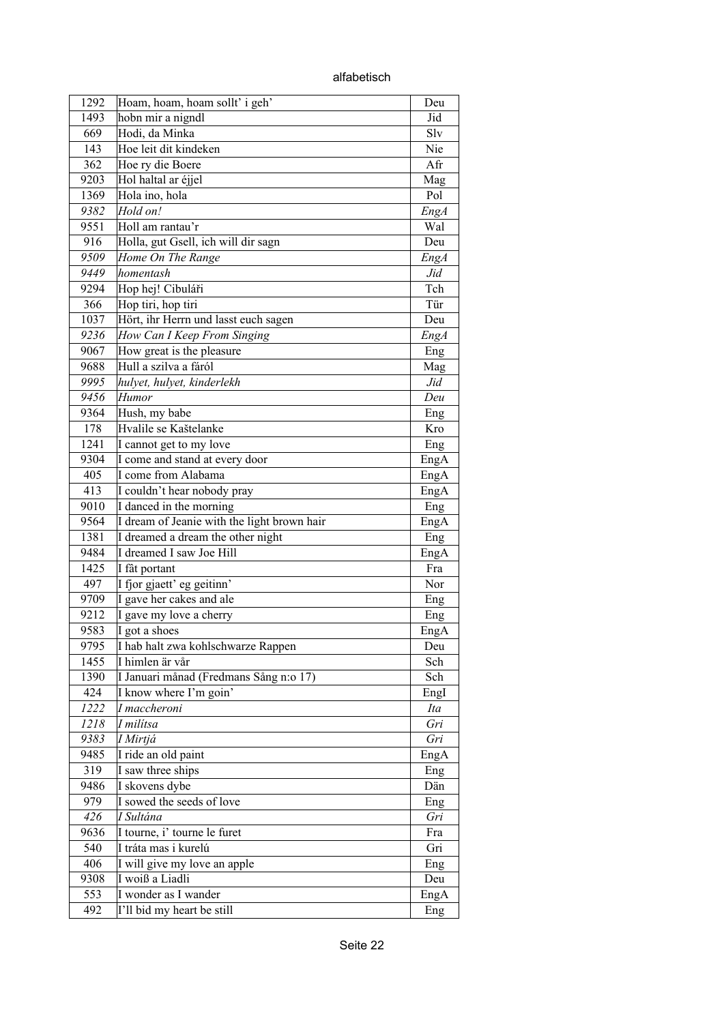| alfabetisch |
|-------------|
|-------------|

| 1292 | Hoam, hoam, hoam sollt' i geh'              | Deu  |
|------|---------------------------------------------|------|
| 1493 | hobn mir a nigndl                           | Jid  |
| 669  | Hodi, da Minka                              | Slv  |
| 143  | Hoe leit dit kindeken                       | Nie  |
| 362  | Hoe ry die Boere                            | Afr  |
| 9203 | Hol haltal ar éjjel                         | Mag  |
| 1369 | Hola ino, hola                              | Pol  |
| 9382 | Hold on!                                    | EngA |
| 9551 | Holl am rantau'r                            | Wal  |
| 916  | Holla, gut Gsell, ich will dir sagn         | Deu  |
| 9509 | Home On The Range                           | EngA |
| 9449 | homentash                                   | Jid  |
| 9294 | Hop hej! Cibuláři                           | Tch  |
| 366  | Hop tiri, hop tiri                          | Tür  |
| 1037 | Hört, ihr Herrn und lasst euch sagen        | Deu  |
| 9236 | How Can I Keep From Singing                 | EngA |
| 9067 | How great is the pleasure                   | Eng  |
| 9688 | Hull a szilva a fáról                       | Mag  |
| 9995 | hulyet, hulyet, kinderlekh                  | Jid  |
|      |                                             |      |
| 9456 | Humor                                       | Deu  |
| 9364 | Hush, my babe                               | Eng  |
| 178  | Hvalile se Kaštelanke                       | Kro  |
| 1241 | I cannot get to my love                     | Eng  |
| 9304 | I come and stand at every door              | EngA |
| 405  | I come from Alabama                         | EngA |
| 413  | I couldn't hear nobody pray                 | EngA |
| 9010 | I danced in the morning                     | Eng  |
| 9564 | I dream of Jeanie with the light brown hair | EngA |
| 1381 | I dreamed a dream the other night           | Eng  |
| 9484 | I dreamed I saw Joe Hill                    | EngA |
| 1425 | I fât portant                               | Fra  |
| 497  | I fjor gjaett' eg geitinn'                  | Nor  |
| 9709 | I gave her cakes and ale                    | Eng  |
| 9212 | I gave my love a cherry                     | Eng  |
| 9583 | I got a shoes                               | EngA |
| 9795 | I hab halt zwa kohlschwarze Rappen          | Deu  |
| 1455 | I himlen är vår                             | Sch  |
| 1390 | I Januari månad (Fredmans Sång n:o 17)      | Sch  |
| 424  | I know where I'm goin'                      | EngI |
| 1222 | I maccheroni                                | Ita  |
| 1218 | I milítsa                                   | Gri  |
| 9383 | I Mirtjá                                    | Gri  |
| 9485 | I ride an old paint                         | EngA |
| 319  | I saw three ships                           | Eng  |
| 9486 | I skovens dybe                              | Dän  |
| 979  | I sowed the seeds of love                   | Eng  |
| 426  | I Sultána                                   | Gri  |
| 9636 | I tourne, i' tourne le furet                | Fra  |
| 540  | I tráta mas i kurelú                        | Gri  |
| 406  | I will give my love an apple                | Eng  |
| 9308 | I woiß a Liadli                             | Deu  |
| 553  | I wonder as I wander                        | EngA |
| 492  | I'll bid my heart be still                  | Eng  |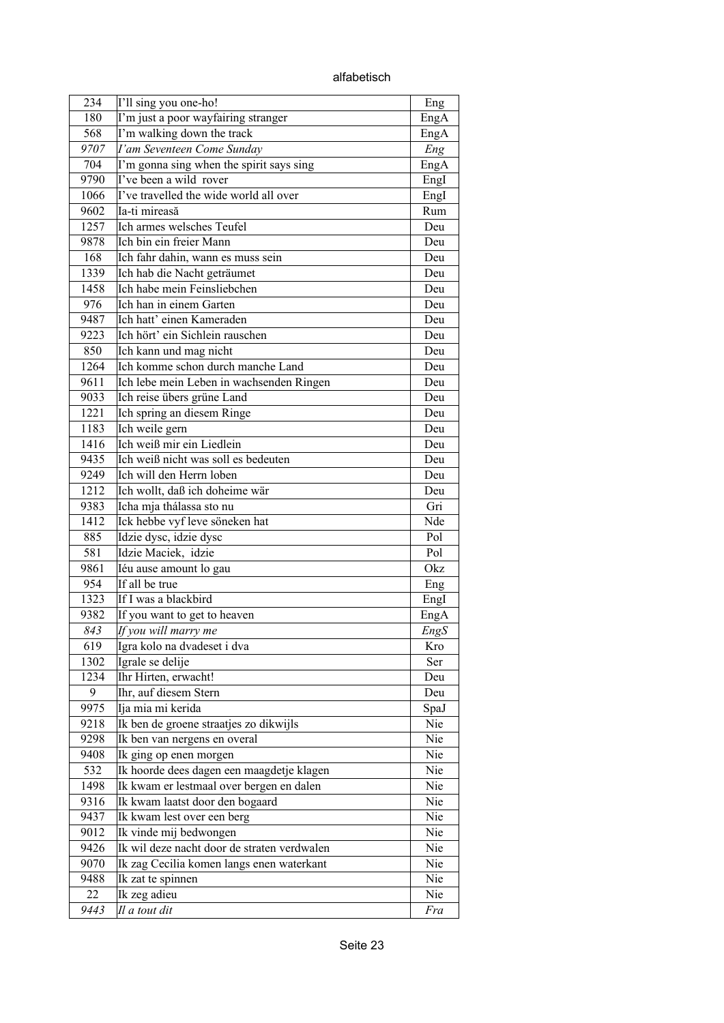alfabetisch

| 234  | I'll sing you one-ho!                       | Eng  |
|------|---------------------------------------------|------|
| 180  | I'm just a poor wayfairing stranger         | EngA |
| 568  | I'm walking down the track                  | EngA |
| 9707 | I'am Seventeen Come Sunday                  | Eng  |
| 704  | I'm gonna sing when the spirit says sing    | EngA |
| 9790 | I've been a wild rover                      | EngI |
| 1066 | I've travelled the wide world all over      | EngI |
| 9602 | Ia-ti mireasă                               | Rum  |
| 1257 | Ich armes welsches Teufel                   | Deu  |
| 9878 | Ich bin ein freier Mann                     | Deu  |
| 168  | Ich fahr dahin, wann es muss sein           | Deu  |
| 1339 | Ich hab die Nacht geträumet                 | Deu  |
| 1458 | Ich habe mein Feinsliebchen                 | Deu  |
| 976  | Ich han in einem Garten                     | Deu  |
| 9487 | Ich hatt' einen Kameraden                   | Deu  |
| 9223 | Ich hört' ein Sichlein rauschen             | Deu  |
| 850  | Ich kann und mag nicht                      | Deu  |
| 1264 | Ich komme schon durch manche Land           | Deu  |
| 9611 | Ich lebe mein Leben in wachsenden Ringen    | Deu  |
| 9033 | Ich reise übers grüne Land                  | Deu  |
| 1221 | Ich spring an diesem Ringe                  | Deu  |
| 1183 | Ich weile gern                              | Deu  |
| 1416 | Ich weiß mir ein Liedlein                   | Deu  |
| 9435 | Ich weiß nicht was soll es bedeuten         | Deu  |
| 9249 | Ich will den Herrn loben                    | Deu  |
| 1212 | Ich wollt, daß ich doheime wär              | Deu  |
| 9383 | Icha mja thálassa sto nu                    | Gri  |
| 1412 | Ick hebbe vyf leve söneken hat              | Nde  |
| 885  | Idzie dysc, idzie dysc                      | Pol  |
| 581  | Idzie Maciek, idzie                         | Pol  |
| 9861 | Iéu ause amount lo gau                      | Okz  |
| 954  | If all be true                              | Eng  |
| 1323 | If I was a blackbird                        | EngI |
| 9382 | If you want to get to heaven                | EngA |
| 843  | If you will marry me                        | EngS |
| 619  | Igra kolo na dvadeset i dva                 | Kro  |
| 1302 | Igrale se delije                            | Ser  |
| 1234 | Ihr Hirten, erwacht!                        | Deu  |
| 9    | Ihr, auf diesem Stern                       | Deu  |
| 9975 | Ija mia mi kerida                           | SpaJ |
| 9218 | Ik ben de groene straatjes zo dikwijls      | Nie  |
| 9298 | Ik ben van nergens en overal                | Nie  |
| 9408 | Ik ging op enen morgen                      | Nie  |
| 532  | Ik hoorde dees dagen een maagdetje klagen   | Nie  |
| 1498 | Ik kwam er lestmaal over bergen en dalen    | Nie  |
| 9316 | Ik kwam laatst door den bogaard             | Nie  |
| 9437 | Ik kwam lest over een berg                  | Nie  |
| 9012 | Ik vinde mij bedwongen                      | Nie  |
| 9426 | Ik wil deze nacht door de straten verdwalen | Nie  |
| 9070 | Ik zag Cecilia komen langs enen waterkant   | Nie  |
| 9488 | Ik zat te spinnen                           | Nie  |
| 22   | Ik zeg adieu                                | Nie  |
| 9443 | Il a tout dit                               | Fra  |
|      |                                             |      |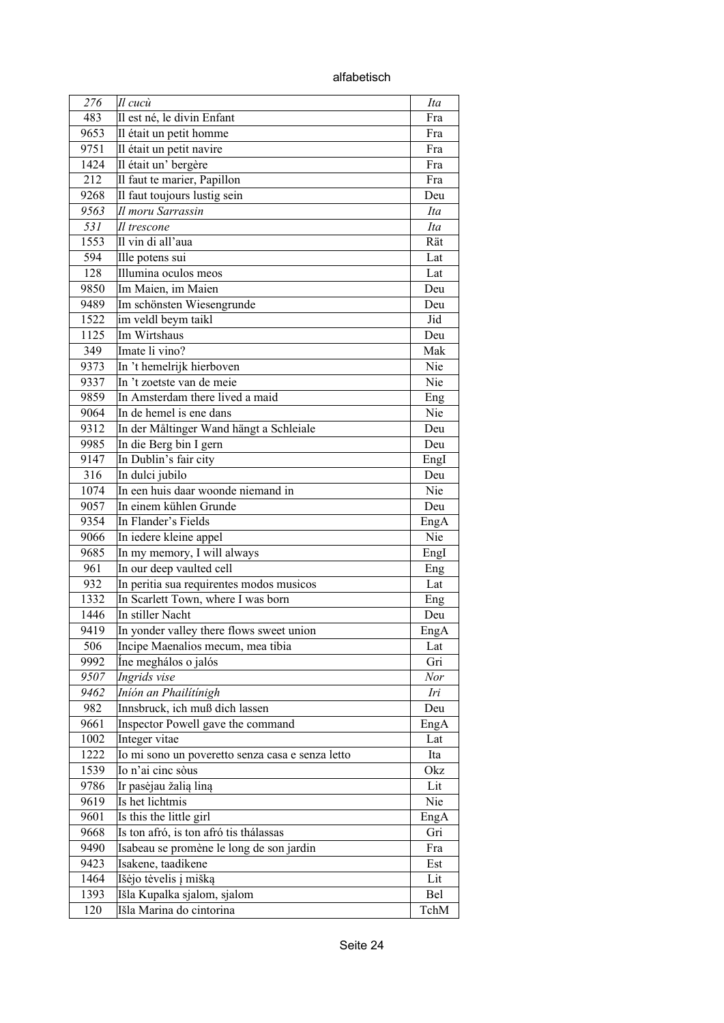alfabetisch

| 276  | $ I $ cucù                                       | Ita        |
|------|--------------------------------------------------|------------|
| 483  | Il est né, le divin Enfant                       | Fra        |
| 9653 | Il était un petit homme                          | Fra        |
| 9751 | Il était un petit navire                         | Fra        |
| 1424 | Il était un' bergère                             | Fra        |
| 212  | Il faut te marier, Papillon                      | Fra        |
| 9268 | Il faut toujours lustig sein                     | Deu        |
| 9563 | Il moru Sarrassin                                | Ita        |
| 531  | Il trescone                                      | Ita        |
| 1553 | Il vin di all'aua                                | Rät        |
| 594  | Ille potens sui                                  | Lat        |
| 128  | Illumina oculos meos                             | Lat        |
| 9850 | Im Maien, im Maien                               | Deu        |
| 9489 | Im schönsten Wiesengrunde                        | Deu        |
| 1522 | im veldl beym taikl                              | Jid        |
| 1125 | Im Wirtshaus                                     | Deu        |
| 349  | Imate li vino?                                   | Mak        |
| 9373 | In 't hemelrijk hierboven                        | Nie        |
| 9337 | In 't zoetste van de meie                        | Nie        |
| 9859 | In Amsterdam there lived a maid                  | Eng        |
| 9064 | In de hemel is ene dans                          | Nie        |
| 9312 | In der Måltinger Wand hängt a Schleiale          | Deu        |
| 9985 | In die Berg bin I gern                           | Deu        |
| 9147 | In Dublin's fair city                            | EngI       |
| 316  | In dulci jubilo                                  | Deu        |
| 1074 | In een huis daar woonde niemand in               | Nie        |
| 9057 | In einem kühlen Grunde                           | Deu        |
| 9354 | In Flander's Fields                              | EngA       |
| 9066 | In iedere kleine appel                           | Nie        |
| 9685 | In my memory, I will always                      | EngI       |
| 961  | In our deep vaulted cell                         | Eng        |
| 932  | In peritia sua requirentes modos musicos         | Lat        |
| 1332 | In Scarlett Town, where I was born               | Eng        |
| 1446 | In stiller Nacht                                 | Deu        |
| 9419 | In yonder valley there flows sweet union         | EngA       |
| 506  | Incipe Maenalios mecum, mea tibia                | Lat        |
| 9992 | Ine meghálos o jalós                             | Gri        |
| 9507 | Ingrids vise                                     | Nor        |
| 9462 | Iníón an Phailítínigh                            | Iri        |
| 982  | Innsbruck, ich muß dich lassen                   | Deu        |
| 9661 | Inspector Powell gave the command                | EngA       |
| 1002 | Integer vitae                                    | Lat        |
| 1222 | Io mi sono un poveretto senza casa e senza letto | Ita        |
| 1539 | Io n'ai cinc sòus                                | Okz        |
| 9786 | Ir pasėjau žalią liną                            | Lit        |
| 9619 | Is het lichtmis                                  | Nie        |
| 9601 | Is this the little girl                          |            |
|      | Is ton afró, is ton afró tis thálassas           | EngA       |
| 9668 |                                                  | Gri        |
| 9490 | Isabeau se promène le long de son jardin         | Fra        |
| 9423 | Isakene, taadikene                               | Est<br>Lit |
| 1464 | Išėjo tėvelis į mišką                            |            |
| 1393 | Išla Kupalka sjalom, sjalom                      | Bel        |
| 120  | Išla Marina do cintorina                         | TchM       |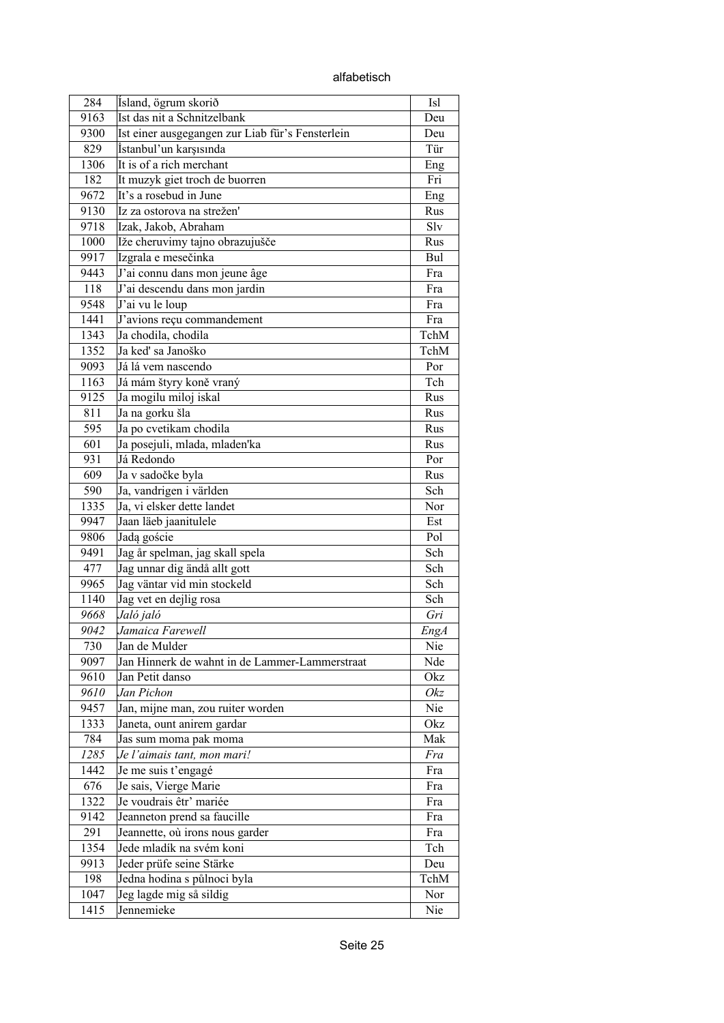alfabetisch

| 284  | Ísland, ögrum skorið                             | Isl  |
|------|--------------------------------------------------|------|
| 9163 | Ist das nit a Schnitzelbank                      | Deu  |
| 9300 | Ist einer ausgegangen zur Liab für's Fensterlein | Deu  |
| 829  | İstanbul'un karşısında                           | Tür  |
| 1306 | It is of a rich merchant                         | Eng  |
| 182  | It muzyk giet troch de buorren                   | Fri  |
| 9672 | It's a rosebud in June                           | Eng  |
| 9130 | Iz za ostorova na strežen'                       | Rus  |
| 9718 | Izak, Jakob, Abraham                             | Slv  |
| 1000 | Iže cheruvimy tajno obrazujušče                  | Rus  |
| 9917 | Izgrala e mesečinka                              | Bul  |
| 9443 | J'ai connu dans mon jeune âge                    | Fra  |
| 118  | J'ai descendu dans mon jardin                    | Fra  |
| 9548 | J'ai vu le loup                                  | Fra  |
| 1441 | J'avions reçu commandement                       | Fra  |
| 1343 | Ja chodila, chodila                              | TchM |
| 1352 | Ja keď sa Janoško                                | TchM |
| 9093 | Já lá vem nascendo                               | Por  |
| 1163 | Já mám štyry koně vraný                          | Tch  |
| 9125 | Ja mogilu miloj iskal                            | Rus  |
| 811  | Ja na gorku šla                                  | Rus  |
| 595  | Ja po cvetikam chodila                           | Rus  |
| 601  | Ja posejuli, mlada, mladen'ka                    | Rus  |
| 931  | Já Redondo                                       | Por  |
| 609  | Ja v sadočke byla                                | Rus  |
| 590  | Ja, vandrigen i världen                          | Sch  |
| 1335 | Ja, vi elsker dette landet                       | Nor  |
| 9947 | Jaan läeb jaanitulele                            | Est  |
| 9806 | Jadą goście                                      | Pol  |
| 9491 | Jag år spelman, jag skall spela                  | Sch  |
| 477  | Jag unnar dig ändå allt gott                     | Sch  |
| 9965 | Jag väntar vid min stockeld                      | Sch  |
| 1140 | Jag vet en dejlig rosa                           | Sch  |
| 9668 | Jaló jaló                                        | Gri  |
| 9042 | Jamaica Farewell                                 | EngA |
| 730  | Jan de Mulder                                    | Nie  |
| 9097 | Jan Hinnerk de wahnt in de Lammer-Lammerstraat   | Nde  |
| 9610 | Jan Petit danso                                  | Okz  |
| 9610 | Jan Pichon                                       | Okz  |
| 9457 | Jan, mijne man, zou ruiter worden                | Nie  |
| 1333 | Janeta, ount anirem gardar                       | Okz  |
| 784  | Jas sum moma pak moma                            | Mak  |
| 1285 | Je l'aimais tant, mon mari!                      | Fra  |
| 1442 | Je me suis t'engagé                              | Fra  |
| 676  | Je sais, Vierge Marie                            | Fra  |
| 1322 | Je voudrais êtr' mariée                          | Fra  |
| 9142 | Jeanneton prend sa faucille                      | Fra  |
| 291  | Jeannette, où irons nous garder                  | Fra  |
| 1354 | Jede mladík na svém koni                         | Tch  |
| 9913 | Jeder prüfe seine Stärke                         | Deu  |
| 198  | Jedna hodina s půlnoci byla                      | TchM |
| 1047 | Jeg lagde mig så sildig                          | Nor  |
| 1415 | Jennemieke                                       | Nie  |
|      |                                                  |      |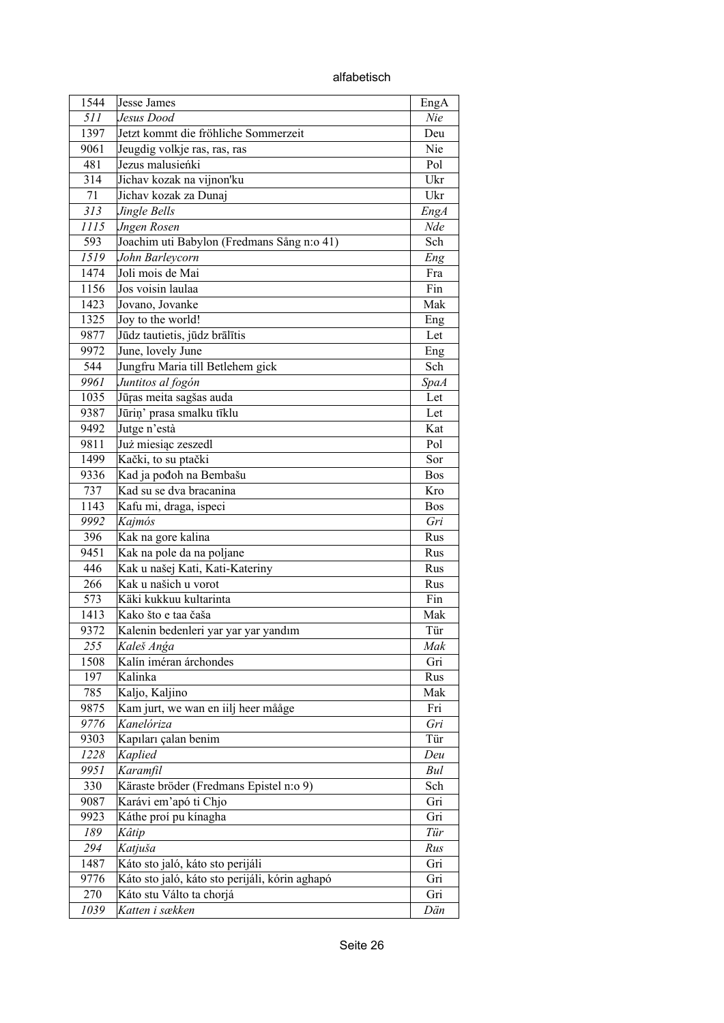alfabetisch

| 1544 | Jesse James                                    | EngA               |
|------|------------------------------------------------|--------------------|
| 511  | Jesus Dood                                     | Nie                |
| 1397 | Jetzt kommt die fröhliche Sommerzeit           | Deu                |
| 9061 | Jeugdig volkje ras, ras, ras                   | Nie                |
| 481  | Jezus malusieńki                               | Pol                |
| 314  | Jichav kozak na vijnon'ku                      | Ukr                |
| 71   | Jichav kozak za Dunaj                          | Ukr                |
| 313  | Jingle Bells                                   | EngA               |
| 1115 | <b>Jngen Rosen</b>                             | Nde                |
| 593  | Joachim uti Babylon (Fredmans Sång n:o 41)     | Sch                |
| 1519 | John Barleycorn                                | Eng                |
| 1474 | Joli mois de Mai                               | Fra                |
| 1156 | Jos voisin laulaa                              | Fin                |
| 1423 | Jovano, Jovanke                                | Mak                |
| 1325 | Joy to the world!                              | Eng                |
| 9877 | Jūdz tautietis, jūdz brālītis                  | Let                |
| 9972 | June, lovely June                              | Eng                |
| 544  | Jungfru Maria till Betlehem gick               | Sch                |
| 9961 | Juntitos al fogón                              |                    |
| 1035 | Jūras meita sagšas auda                        | <b>SpaA</b><br>Let |
| 9387 | Jūriņ' prasa smalku tīklu                      | Let                |
|      |                                                | Kat                |
| 9492 | Jutge n'està                                   |                    |
| 9811 | Już miesiąc zeszedl                            | Pol                |
| 1499 | Kački, to su ptački                            | Sor                |
| 9336 | Kad ja pođoh na Bembašu                        | <b>Bos</b>         |
| 737  | Kad su se dva bracanina                        | Kro                |
| 1143 | Kafu mi, draga, ispeci                         | <b>Bos</b>         |
| 9992 | Kajmós                                         | Gri                |
| 396  | Kak na gore kalina                             | Rus                |
| 9451 | Kak na pole da na poljane                      | Rus                |
| 446  | Kak u našej Kati, Kati-Kateriny                | Rus                |
| 266  | Kak u našich u vorot                           | Rus                |
| 573  | Käki kukkuu kultarinta                         | Fin                |
| 1413 | Kako što e taa čaša                            | Mak                |
| 9372 | Kalenin bedenleri yar yar yar yandım           | Tür                |
| 255  | Kaleš Anga                                     | Mak                |
| 1508 | Kalín iméran árchondes                         | Gri                |
| 197  | Kalinka                                        | Rus                |
| 785  | Kaljo, Kaljino                                 | Mak                |
| 9875 | Kam jurt, we wan en iilj heer mååge            | Fri                |
| 9776 | Kanelóriza                                     | Gri                |
| 9303 | Kapıları çalan benim                           | Tür                |
| 1228 | Kaplied                                        | Deu                |
| 9951 | Karamfil                                       | Bul                |
| 330  | Käraste bröder (Fredmans Epistel n:o 9)        | Sch                |
| 9087 | Karávi em'apó ti Chjo                          | Gri                |
| 9923 | Káthe proí pu kínagha                          | Gri                |
| 189  | Kâtip                                          | Tür                |
| 294  | Katjuša                                        | Rus                |
| 1487 | Káto sto jaló, káto sto perijáli               | Gri                |
| 9776 | Káto sto jaló, káto sto perijáli, kórin aghapó | Gri                |
| 270  | Káto stu Válto ta chorjá                       | Gri                |
| 1039 | Katten i sækken                                | Dän                |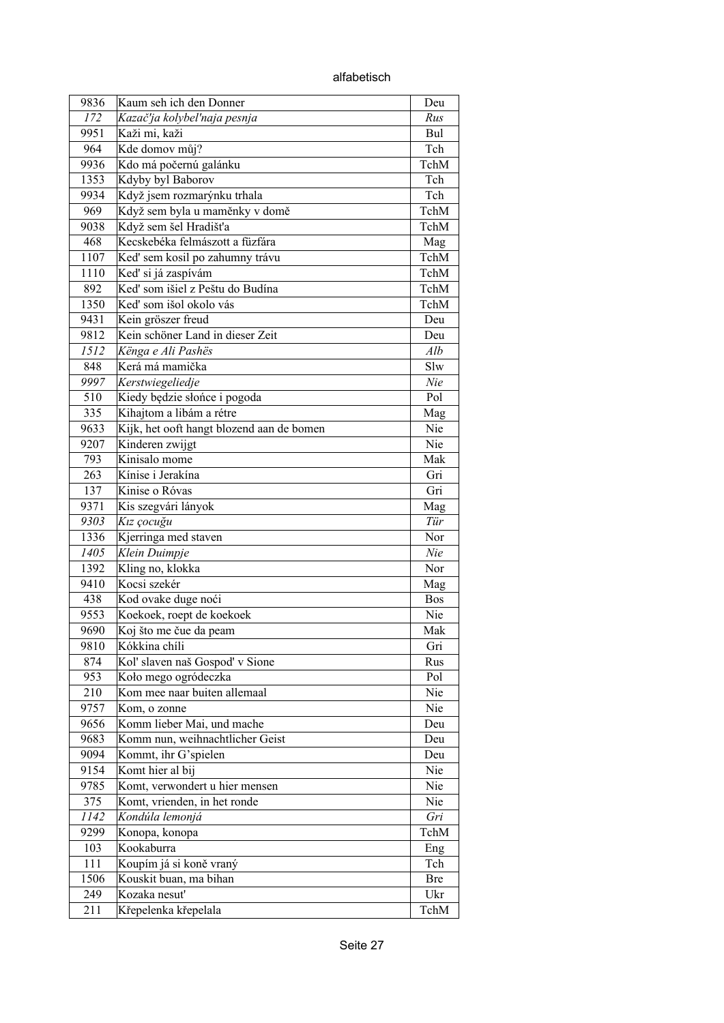| 9836 | Kaum seh ich den Donner                   | Deu  |
|------|-------------------------------------------|------|
| 172  | Kazač'ja kolybel'naja pesnja              | Rus  |
| 9951 | Kaži mi, kaži                             | Bul  |
| 964  | Kde domov můj?                            | Tch  |
| 9936 | Kdo má počernú galánku                    | TchM |
| 1353 | Kdyby byl Baborov                         | Tch  |
| 9934 | Když jsem rozmarýnku trhala               | Tch  |
| 969  | Když sem byla u maměnky v domě            | TchM |
| 9038 | Když sem šel Hradišťa                     | TchM |
| 468  | Kecskebéka felmászott a füzfára           | Mag  |
| 1107 | Keď sem kosil po zahumny trávu            | TchM |
| 1110 | Keď si já zaspívám                        | TchM |
| 892  | Ked' som išiel z Peštu do Budína          | TchM |
| 1350 | Keď som išol okolo vás                    | TchM |
| 9431 | Kein gröszer freud                        | Deu  |
| 9812 | Kein schöner Land in dieser Zeit          | Deu  |
| 1512 | Kënga e Ali Pashës                        | Alb  |
| 848  | Kerá má mamička                           | Slw  |
|      |                                           |      |
| 9997 | Kerstwiegeliedje                          | Nie  |
| 510  | Kiedy będzie słońce i pogoda              | Pol  |
| 335  | Kihajtom a libám a rétre                  | Mag  |
| 9633 | Kijk, het ooft hangt blozend aan de bomen | Nie  |
| 9207 | Kinderen zwijgt                           | Nie  |
| 793  | Kinisalo mome                             | Mak  |
| 263  | Kínise i Jerakína                         | Gri  |
| 137  | Kinise o Róvas                            | Gri  |
| 9371 | Kis szegvári lányok                       | Mag  |
| 9303 | Kız çocuğu                                | Tür  |
| 1336 | Kjerringa med staven                      | Nor  |
| 1405 | Klein Duimpje                             | Nie  |
| 1392 | Kling no, klokka                          | Nor  |
| 9410 | Kocsi szekér                              | Mag  |
| 438  | Kod ovake duge noći                       | Bos  |
| 9553 | Koekoek, roept de koekoek                 | Nie  |
| 9690 | Koj što me čue da peam                    | Mak  |
| 9810 | Kókkina chíli                             | Gri  |
| 874  | Kol' slaven naš Gospod' v Sione           | Rus  |
| 953  | Koło mego ogródeczka                      | Pol  |
| 210  | Kom mee naar buiten allemaal              | Nie  |
| 9757 | Kom, o zonne                              | Nie  |
| 9656 | Komm lieber Mai, und mache                | Deu  |
| 9683 | Komm nun, weihnachtlicher Geist           | Deu  |
| 9094 | Kommt, ihr G'spielen                      | Deu  |
| 9154 | Komt hier al bij                          | Nie  |
| 9785 | Komt, verwondert u hier mensen            | Nie  |
| 375  | Komt, vrienden, in het ronde              | Nie  |
| 1142 | Kondúla lemonjá                           | Gri  |
| 9299 | Konopa, konopa                            | TchM |
| 103  | Kookaburra                                | Eng  |
| 111  | Koupím já si koně vraný                   | Tch  |
| 1506 | Kouskit buan, ma bihan                    | Bre  |
| 249  | Kozaka nesut'                             | Ukr  |
| 211  | Křepelenka křepelala                      | TchM |
|      |                                           |      |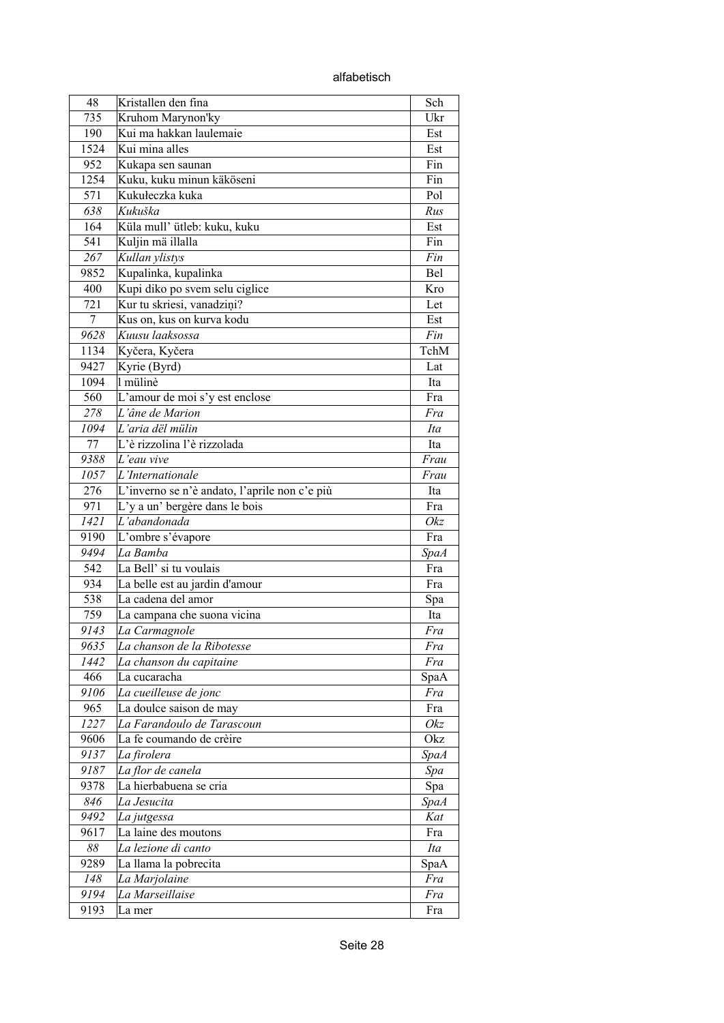alfabetisch

| 48   | Kristallen den fina                           | Sch         |
|------|-----------------------------------------------|-------------|
| 735  | Kruhom Marynon'ky                             | Ukr         |
| 190  | Kui ma hakkan laulemaie                       | Est         |
| 1524 | Kui mina alles                                | Est         |
| 952  | Kukapa sen saunan                             | Fin         |
| 1254 | Kuku, kuku minun käköseni                     | Fin         |
| 571  | Kukułeczka kuka                               | Pol         |
| 638  | Kukuška                                       | Rus         |
| 164  | Küla mull' ütleb: kuku, kuku                  |             |
|      |                                               | Est         |
| 541  | Kuljin mä illalla                             | Fin         |
| 267  | Kullan ylistys                                | Fin         |
| 9852 | Kupalinka, kupalinka                          | Bel         |
| 400  | Kupi diko po svem selu ciglice                | Kro         |
| 721  | Kur tu skriesi, vanadzini?                    | Let         |
| 7    | Kus on, kus on kurva kodu                     | Est         |
| 9628 | Kuusu laaksossa                               | Fin         |
| 1134 | Kyčera, Kyčera                                | TchM        |
| 9427 | Kyrie (Byrd)                                  | Lat         |
| 1094 | l mülinè                                      | Ita         |
| 560  | L'amour de moi s'y est enclose                | Fra         |
| 278  | L'âne de Marion                               | Fra         |
| 1094 | L'aria dël mülin                              | Ita         |
| 77   | L'è rizzolina l'è rizzolada                   | Ita         |
| 9388 | L'eau vive                                    | Frau        |
| 1057 | L'Internationale                              | Frau        |
| 276  | L'inverno se n'è andato, l'aprile non c'e più | Ita         |
| 971  | L'y a un' bergère dans le bois                | Fra         |
| 1421 | L'abandonada                                  | Okz         |
| 9190 | L'ombre s'évapore                             | Fra         |
| 9494 | La Bamba                                      | <b>SpaA</b> |
| 542  | La Bell' si tu voulais                        | Fra         |
| 934  | La belle est au jardin d'amour                | Fra         |
| 538  | La cadena del amor                            |             |
|      |                                               | Spa         |
| 759  | La campana che suona vicina                   | Ita         |
| 9143 | La Carmagnole                                 | Fra         |
| 9635 | La chanson de la Ribotesse                    | Fra         |
| 1442 | La chanson du capitaine                       | Fra         |
| 466  | La cucaracha                                  | SpaA        |
| 9106 | La cueilleuse de jonc                         | Fra         |
| 965  | La doulce saison de may                       | Fra         |
| 1227 | La Farandoulo de Tarascoun                    | Okz         |
| 9606 | La fe coumando de crèire                      | Okz         |
| 9137 | La firolera                                   | <b>SpaA</b> |
| 9187 | La flor de canela                             | Spa         |
| 9378 | La hierbabuena se cria                        | Spa         |
| 846  | La Jesucita                                   | <b>SpaA</b> |
| 9492 | La jutgessa                                   | Kat         |
| 9617 | La laine des moutons                          | Fra         |
| 88   | La lezione di canto                           | Ita         |
| 9289 | La llama la pobrecita                         | SpaA        |
| 148  | La Marjolaine                                 | Fra         |
| 9194 | La Marseillaise                               | Fra         |
| 9193 | La mer                                        | Fra         |
|      |                                               |             |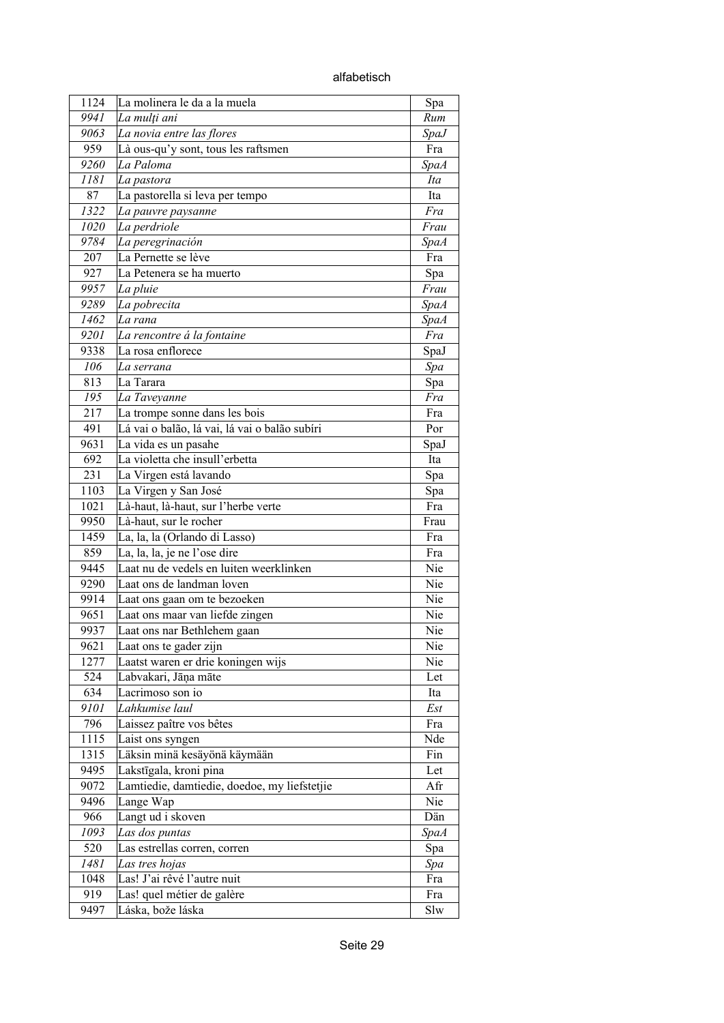| 1124 | La molinera le da a la muela                  | Spa         |
|------|-----------------------------------------------|-------------|
| 9941 | La mulți ani                                  | Rum         |
| 9063 | La novia entre las flores                     | <b>SpaJ</b> |
| 959  | Là ous-qu'y sont, tous les raftsmen           | Fra         |
| 9260 | La Paloma                                     | <b>SpaA</b> |
| 1181 | La pastora                                    | Ita         |
| 87   | La pastorella si leva per tempo               | Ita         |
| 1322 | La pauvre paysanne                            | Fra         |
| 1020 | La perdriole                                  | Frau        |
| 9784 | La peregrinación                              | <b>SpaA</b> |
| 207  | La Pernette se lève                           | Fra         |
| 927  | La Petenera se ha muerto                      | Spa         |
| 9957 | La pluie                                      | Frau        |
| 9289 | La pobrecita                                  | <b>SpaA</b> |
| 1462 | La rana                                       | <b>SpaA</b> |
| 9201 | La rencontre á la fontaine                    | Fra         |
| 9338 | La rosa enflorece                             | SpaJ        |
| 106  | La serrana                                    | Spa         |
| 813  | La Tarara                                     | Spa         |
| 195  | La Taveyanne                                  | Fra         |
| 217  | La trompe sonne dans les bois                 | Fra         |
| 491  | Lá vai o balão, lá vai, lá vai o balão subíri | Por         |
| 9631 | La vida es un pasahe                          | SpaJ        |
| 692  | La violetta che insull'erbetta                | Ita         |
| 231  | La Virgen está lavando                        | Spa         |
| 1103 | La Virgen y San José                          | Spa         |
| 1021 | Là-haut, là-haut, sur l'herbe verte           | Fra         |
| 9950 | Là-haut, sur le rocher                        | Frau        |
| 1459 | La, la, la (Orlando di Lasso)                 | Fra         |
| 859  | La, la, la, je ne l'ose dire                  | Fra         |
| 9445 | Laat nu de vedels en luiten weerklinken       | Nie         |
| 9290 | Laat ons de landman loven                     | Nie         |
| 9914 | Laat ons gaan om te bezoeken                  | Nie         |
| 9651 | Laat ons maar van liefde zingen               | Nie         |
| 9937 | Laat ons nar Bethlehem gaan                   | Nie         |
| 9621 | Laat ons te gader zijn                        | Nie         |
| 1277 | Laatst waren er drie koningen wijs            | Nie         |
| 524  | Labvakari, Jāņa māte                          | Let         |
| 634  | Lacrimoso son io                              | Ita         |
| 9101 | Lahkumise laul                                | Est         |
| 796  | Laissez paître vos bêtes                      | Fra         |
| 1115 | Laist ons syngen                              | Nde         |
| 1315 | Läksin minä kesäyönä käymään                  | Fin         |
| 9495 | Lakstīgala, kroni pina                        | Let         |
| 9072 | Lamtiedie, damtiedie, doedoe, my liefstetjie  | Afr         |
| 9496 | Lange Wap                                     | Nie         |
| 966  | Langt ud i skoven                             | Dän         |
| 1093 | Las dos puntas                                | <b>SpaA</b> |
| 520  | Las estrellas corren, corren                  |             |
| 1481 |                                               | Spa         |
| 1048 | Las tres hojas<br>Las! J'ai rêvé l'autre nuit | Spa<br>Fra  |
| 919  | Las! quel métier de galère                    | Fra         |
| 9497 |                                               | Slw         |
|      | Láska, bože láska                             |             |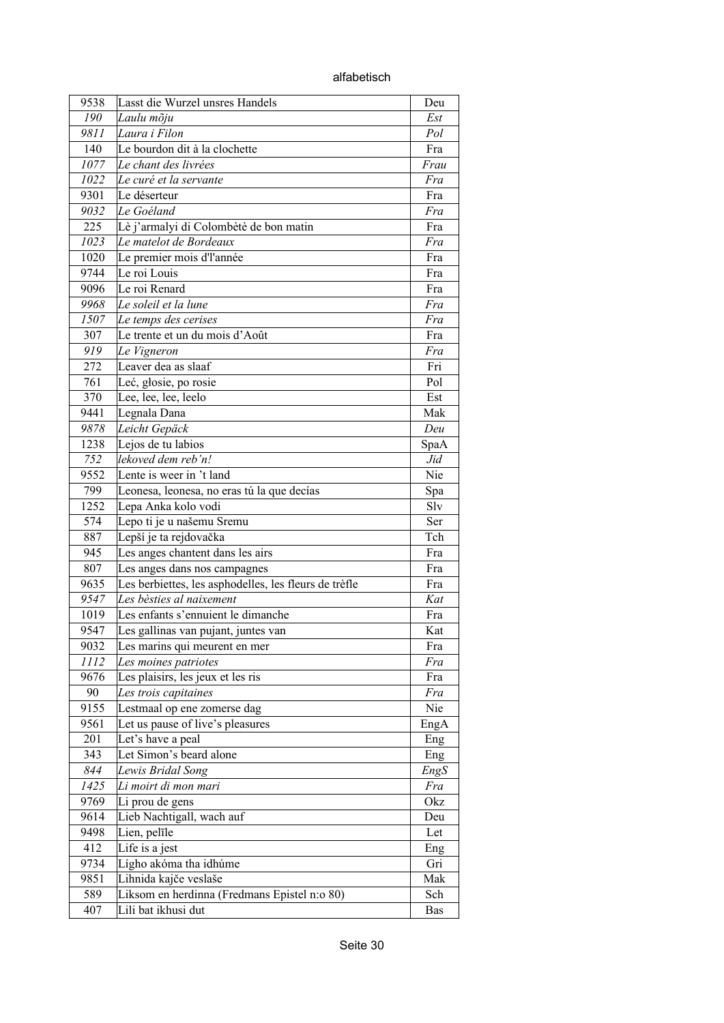| alfabetisch |
|-------------|
|-------------|

| 9538 | Lasst die Wurzel unsres Handels                       | Deu  |
|------|-------------------------------------------------------|------|
| 190  | Laulu mõju                                            | Est  |
| 9811 | Laura i Filon                                         | Pol  |
| 140  | Le bourdon dit à la clochette                         | Fra  |
| 1077 | Le chant des livrées                                  | Frau |
| 1022 | Le curé et la servante                                | Fra  |
| 9301 | Le déserteur                                          | Fra  |
| 9032 | Le Goéland                                            | Fra  |
| 225  | Lè j'armalyi di Colombètè de bon matin                | Fra  |
| 1023 | Le matelot de Bordeaux                                | Fra  |
| 1020 | Le premier mois d'l'année                             | Fra  |
| 9744 | Le roi Louis                                          | Fra  |
| 9096 | Le roi Renard                                         | Fra  |
| 9968 | Le soleil et la lune                                  | Fra  |
| 1507 | Le temps des cerises                                  | Fra  |
| 307  | Le trente et un du mois d'Août                        | Fra  |
| 919  | Le Vigneron                                           | Fra  |
| 272  | Leaver dea as slaaf                                   | Fri  |
| 761  | Leć, głosie, po rosie                                 | Pol  |
| 370  | Lee, lee, lee, leelo                                  | Est  |
| 9441 | Legnala Dana                                          | Mak  |
| 9878 | Leicht Gepäck                                         | Deu  |
| 1238 | Lejos de tu labios                                    | SpaA |
| 752  | lekoved dem reb'n!                                    | Jid  |
| 9552 | Lente is weer in 't land                              | Nie  |
| 799  | Leonesa, leonesa, no eras tú la que decías            | Spa  |
| 1252 | Lepa Anka kolo vodi                                   | Slv  |
| 574  | Lepo ti je u našemu Sremu                             | Ser  |
| 887  | Lepší je ta rejdovačka                                | Tch  |
| 945  | Les anges chantent dans les airs                      | Fra  |
| 807  | Les anges dans nos campagnes                          | Fra  |
| 9635 | Les berbiettes, les asphodelles, les fleurs de trèfle | Fra  |
| 9547 | Les bèsties al naixement                              | Kat  |
| 1019 | Les enfants s'ennuient le dimanche                    | Fra  |
| 9547 | Les gallinas van pujant, juntes van                   | Kat  |
| 9032 | Les marins qui meurent en mer                         | Fra  |
| 1112 | Les moines patriotes                                  | Fra  |
| 9676 | Les plaisirs, les jeux et les ris                     | Fra  |
| 90   | Les trois capitaines                                  | Fra  |
| 9155 | Lestmaal op ene zomerse dag                           | Nie  |
| 9561 | Let us pause of live's pleasures                      | EngA |
| 201  | Let's have a peal                                     | Eng  |
| 343  | Let Simon's beard alone                               | Eng  |
| 844  | Lewis Bridal Song                                     | EngS |
| 1425 | Li moirt di mon mari                                  | Fra  |
| 9769 | Li prou de gens                                       | Okz  |
| 9614 | Lieb Nachtigall, wach auf                             | Deu  |
| 9498 | Lien, pelīle                                          | Let  |
| 412  | Life is a jest                                        | Eng  |
| 9734 | Lígho akóma tha idhúme                                | Gri  |
| 9851 | Lihnida kajče veslaše                                 | Mak  |
| 589  | Liksom en herdinna (Fredmans Epistel n:o 80)          | Sch  |
| 407  | Lili bat ikhusi dut                                   | Bas  |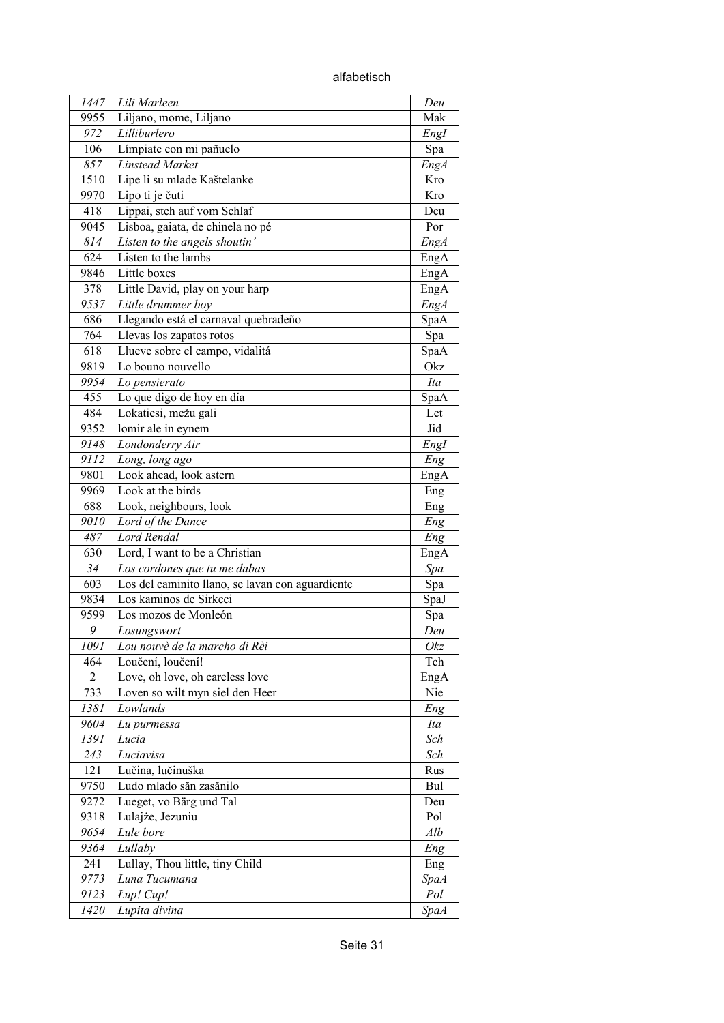alfabetisch

| 1447 | Lili Marleen                                     | Deu         |
|------|--------------------------------------------------|-------------|
| 9955 | Liljano, mome, Liljano                           | Mak         |
| 972  | Lilliburlero                                     | EngI        |
| 106  | Límpiate con mi pañuelo                          | Spa         |
| 857  | <b>Linstead Market</b>                           | EngA        |
| 1510 | Lipe li su mlade Kaštelanke                      | Kro         |
| 9970 | Lipo ti je čuti                                  | Kro         |
| 418  | Lippai, steh auf vom Schlaf                      | Deu         |
| 9045 | Lisboa, gaiata, de chinela no pé                 | Por         |
| 814  | Listen to the angels shoutin'                    | EngA        |
| 624  | Listen to the lambs                              | EngA        |
| 9846 | Little boxes                                     | EngA        |
| 378  | Little David, play on your harp                  | EngA        |
| 9537 | Little drummer boy                               | <b>EngA</b> |
| 686  | Llegando está el carnaval quebradeño             | SpaA        |
| 764  | Llevas los zapatos rotos                         | Spa         |
| 618  | Llueve sobre el campo, vidalitá                  | SpaA        |
| 9819 | Lo bouno nouvello                                | Okz         |
| 9954 | Lo pensierato                                    | Ita         |
| 455  | Lo que digo de hoy en día                        | SpaA        |
| 484  | Lokatiesi, mežu gali                             | Let         |
| 9352 | lomir ale in eynem                               | Jid         |
| 9148 | Londonderry Air                                  |             |
| 9112 | Long, long ago                                   | EngI        |
| 9801 | Look ahead, look astern                          | Eng         |
| 9969 | Look at the birds                                | EngA        |
| 688  | Look, neighbours, look                           | Eng         |
| 9010 | Lord of the Dance                                | Eng         |
| 487  | <b>Lord Rendal</b>                               | Eng         |
| 630  | Lord, I want to be a Christian                   | Eng<br>EngA |
| 34   | Los cordones que tu me dabas                     | Spa         |
| 603  | Los del caminito llano, se lavan con aguardiente | Spa         |
| 9834 | Los kaminos de Sirkeci                           | SpaJ        |
| 9599 | Los mozos de Monleón                             | Spa         |
| 9    | Losungswort                                      | Deu         |
| 1091 | Lou nouvè de la marcho di Rèi                    | Okz         |
| 464  | Loučení, loučení!                                | Tch         |
| 2    | Love, oh love, oh careless love                  | EngA        |
| 733  | Loven so wilt myn siel den Heer                  | Nie         |
| 1381 | Lowlands                                         | Eng         |
| 9604 | Lu purmessa                                      | Ita         |
| 1391 | Lucia                                            | Sch         |
| 243  | Luciavisa                                        | Sch         |
| 121  | Lučina, lučinuška                                | Rus         |
| 9750 | Ludo mlado săn zasănilo                          | Bul         |
| 9272 | Lueget, vo Bärg und Tal                          | Deu         |
| 9318 | Lulajże, Jezuniu                                 | Pol         |
| 9654 | Lule bore                                        | Alb         |
| 9364 | Lullaby                                          | Eng         |
| 241  | Lullay, Thou little, tiny Child                  | Eng         |
| 9773 | Luna Tucumana                                    | <b>SpaA</b> |
| 9123 | Lup! Cup!                                        | Pol         |
| 1420 | Lupita divina                                    | <i>SpaA</i> |
|      |                                                  |             |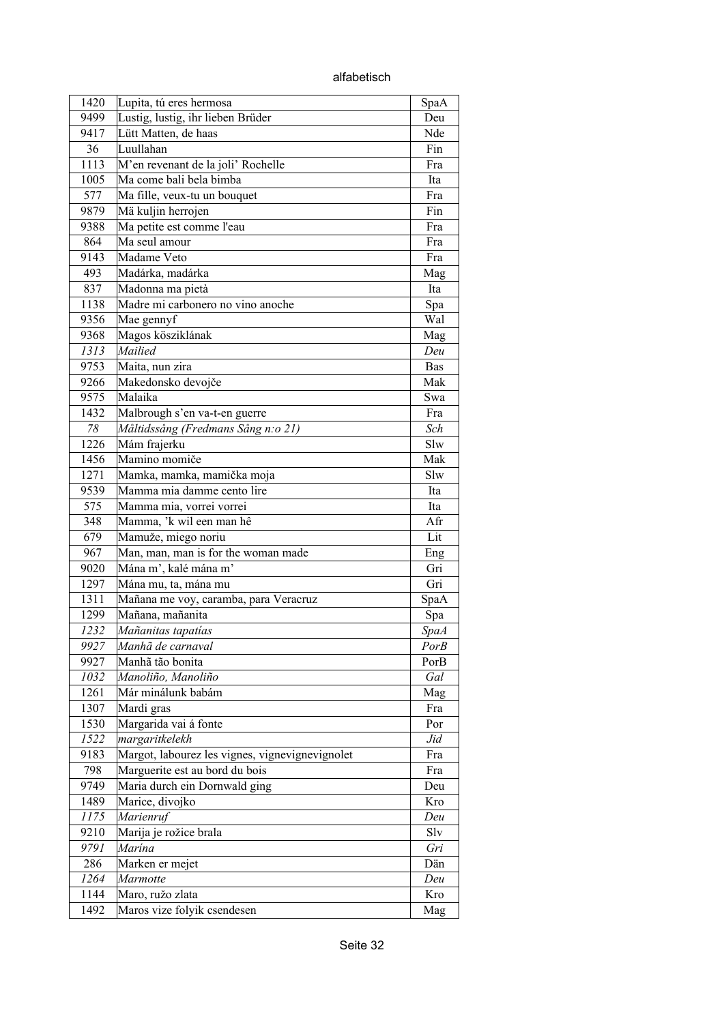alfabetisch

| 1420 | Lupita, tú eres hermosa                         | SpaA        |
|------|-------------------------------------------------|-------------|
| 9499 | Lustig, lustig, ihr lieben Brüder               | Deu         |
| 9417 | Lütt Matten, de haas                            | Nde         |
| 36   | Luullahan                                       | Fin         |
| 1113 | M'en revenant de la joli' Rochelle              | Fra         |
| 1005 | Ma come bali bela bimba                         | Ita         |
| 577  | Ma fille, veux-tu un bouquet                    | Fra         |
| 9879 | Mä kuljin herrojen                              | Fin         |
| 9388 | Ma petite est comme l'eau                       | Fra         |
| 864  | Ma seul amour                                   | Fra         |
| 9143 | Madame Veto                                     | Fra         |
| 493  | Madárka, madárka                                | Mag         |
| 837  | Madonna ma pietà                                | Ita         |
| 1138 | Madre mi carbonero no vino anoche               | Spa         |
| 9356 | Mae gennyf                                      | Wal         |
| 9368 | Magos kösziklának                               | Mag         |
| 1313 | Mailied                                         | Deu         |
| 9753 | Maita, nun zira                                 | <b>Bas</b>  |
|      |                                                 |             |
| 9266 | Makedonsko devojče                              | Mak         |
| 9575 | Malaika                                         | Swa         |
| 1432 | Malbrough s'en va-t-en guerre                   | Fra         |
| 78   | Måltidssång (Fredmans Sång n:o 21)              | Sch         |
| 1226 | Mám frajerku                                    | Slw         |
| 1456 | Mamino momiče                                   | Mak         |
| 1271 | Mamka, mamka, mamička moja                      | Slw         |
| 9539 | Mamma mia damme cento lire                      | Ita         |
| 575  | Mamma mia, vorrei vorrei                        | Ita         |
| 348  | Mamma, 'k wil een man hê                        | Afr         |
| 679  | Mamuže, miego noriu                             | Lit         |
| 967  | Man, man, man is for the woman made             | Eng         |
| 9020 | Mána m', kalé mána m'                           | Gri         |
| 1297 | Mána mu, ta, mána mu                            | Gri         |
| 1311 | Mañana me voy, caramba, para Veracruz           | SpaA        |
| 1299 | Mañana, mañanita                                | Spa         |
| 1232 | Mañanitas tapatías                              | <b>SpaA</b> |
| 9927 | Manhã de carnaval                               | PorB        |
| 9927 | Manhã tão bonita                                | PorB        |
| 1032 | Manoliño, Manoliño                              | Gal         |
| 1261 | Már minálunk babám                              | Mag         |
| 1307 | Mardi gras                                      | Fra         |
| 1530 | Margarida vai á fonte                           | Por         |
| 1522 | margaritkelekh                                  | Jid         |
| 9183 | Margot, labourez les vignes, vignevignevignolet | Fra         |
| 798  | Marguerite est au bord du bois                  | Fra         |
| 9749 | Maria durch ein Dornwald ging                   | Deu         |
| 1489 | Marice, divojko                                 | Kro         |
| 1175 | Marienruf                                       | Deu         |
| 9210 | Marija je rožice brala                          | Slv         |
| 9791 | Marína                                          | Gri         |
| 286  | Marken er mejet                                 | Dän         |
| 1264 | Marmotte                                        | Deu         |
| 1144 | Maro, ružo zlata                                | Kro         |
| 1492 | Maros vize folyik csendesen                     | Mag         |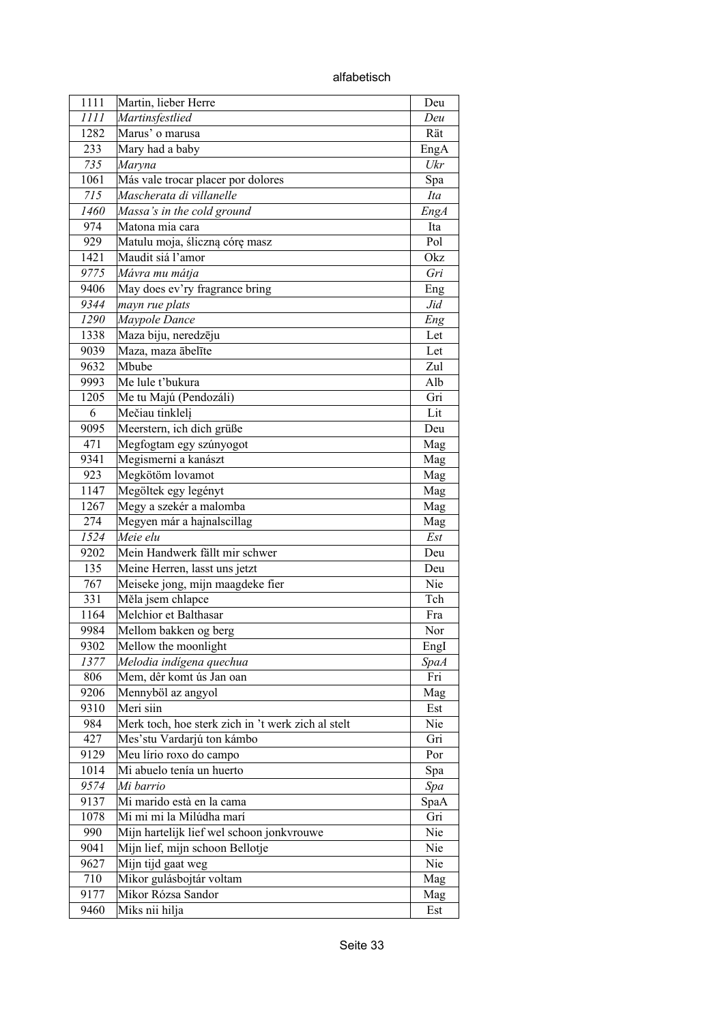alfabetisch

| 1111 | Martin, lieber Herre                               | Deu         |
|------|----------------------------------------------------|-------------|
| 1111 | Martinsfestlied                                    | Deu         |
| 1282 | Marus' o marusa                                    | Rät         |
| 233  | Mary had a baby                                    | EngA        |
| 735  | Maryna                                             | Ukr         |
| 1061 | Más vale trocar placer por dolores                 | Spa         |
| 715  | Mascherata di villanelle                           | Ita         |
| 1460 | Massa's in the cold ground                         | <b>EngA</b> |
| 974  | Matona mia cara                                    | Ita         |
| 929  | Matulu moja, śliczną córę masz                     | Pol         |
| 1421 | Maudit siá l'amor                                  | Okz         |
| 9775 | Mávra mu mátja                                     | Gri         |
|      |                                                    |             |
| 9406 | May does ev'ry fragrance bring                     | Eng         |
| 9344 | mayn rue plats                                     | Jid         |
| 1290 | Maypole Dance                                      | Eng         |
| 1338 | Maza biju, neredzēju                               | Let         |
| 9039 | Maza, maza ābelīte                                 | Let         |
| 9632 | Mbube                                              | Zul         |
| 9993 | Me lule t'bukura                                   | Alb         |
| 1205 | Me tu Majú (Pendozáli)                             | Gri         |
| 6    | Mečiau tinklelj                                    | Lit         |
| 9095 | Meerstern, ich dich grüße                          | Deu         |
| 471  | Megfogtam egy szúnyogot                            | Mag         |
| 9341 | Megismerni a kanászt                               | Mag         |
| 923  | Megkötöm lovamot                                   | Mag         |
| 1147 | Megöltek egy legényt                               | Mag         |
| 1267 | Megy a szekér a malomba                            | Mag         |
| 274  | Megyen már a hajnalscillag                         | Mag         |
| 1524 | Meie elu                                           | Est         |
| 9202 | Mein Handwerk fällt mir schwer                     | Deu         |
| 135  | Meine Herren, lasst uns jetzt                      | Deu         |
| 767  | Meiseke jong, mijn maagdeke fier                   | Nie         |
| 331  | Měla jsem chlapce                                  | Tch         |
| 1164 | Melchior et Balthasar                              | Fra         |
| 9984 | Mellom bakken og berg                              | Nor         |
| 9302 | Mellow the moonlight                               | EngI        |
| 1377 | Melodia indígena quechua                           | SpaA        |
| 806  | Mem, dêr komt ús Jan oan                           | Fri         |
| 9206 | Mennyböl az angyol                                 | Mag         |
| 9310 | Meri siin                                          | Est         |
| 984  | Merk toch, hoe sterk zich in 't werk zich al stelt | Nie         |
| 427  | Mes'stu Vardarjú ton kámbo                         | Gri         |
| 9129 | Meu lírio roxo do campo                            |             |
| 1014 | Mi abuelo tenía un huerto                          | Por         |
|      |                                                    | Spa         |
| 9574 | Mi barrio                                          | Spa         |
| 9137 | Mi marido està en la cama                          | SpaA        |
| 1078 | Mi mi mi la Milúdha marí                           | Gri         |
| 990  | Mijn hartelijk lief wel schoon jonkvrouwe          | Nie         |
| 9041 | Mijn lief, mijn schoon Bellotje                    | Nie         |
| 9627 | Mijn tijd gaat weg                                 | Nie         |
| 710  | Mikor gulásbojtár voltam                           | Mag         |
| 9177 | Mikor Rózsa Sandor                                 | Mag         |
| 9460 | Miks nii hilja                                     | Est         |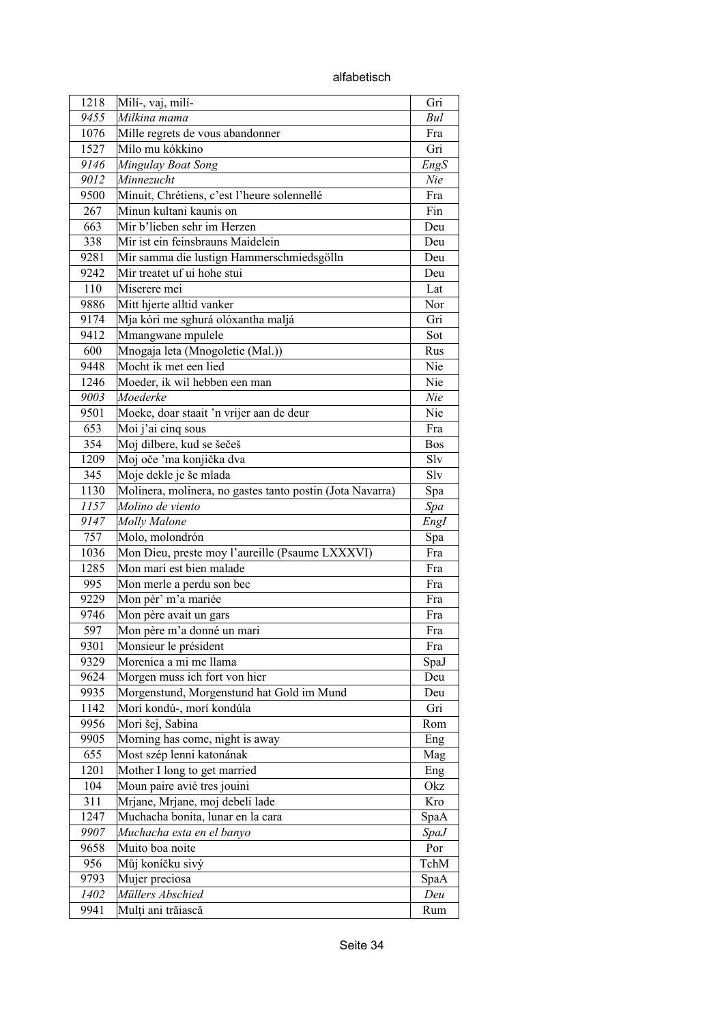alfabetisch

| 1218 | Milí-, vaj, milí-                                         | Gri                |
|------|-----------------------------------------------------------|--------------------|
| 9455 | Milkina mama                                              | Bul                |
| 1076 | Mille regrets de vous abandonner                          | Fra                |
| 1527 | Mílo mu kókkino                                           | Gri                |
| 9146 | Mingulay Boat Song                                        | EngS               |
| 9012 | Minnezucht                                                | Nie                |
| 9500 | Minuit, Chrétiens, c'est l'heure solennellé               | Fra                |
| 267  | Minun kultani kaunis on                                   | Fin                |
| 663  | Mir b'lieben sehr im Herzen                               | Deu                |
| 338  | Mir ist ein feinsbrauns Maidelein                         | Deu                |
| 9281 | Mir samma die lustign Hammerschmiedsgölln                 | Deu                |
| 9242 | Mir treatet uf ui hohe stui                               | Deu                |
| 110  | Miserere mei                                              | Lat                |
| 9886 | Mitt hjerte alltid vanker                                 | Nor                |
| 9174 | Mja kóri me sghurá olóxantha maljá                        | Gri                |
| 9412 | Mmangwane mpulele                                         | Sot                |
| 600  | Mnogaja leta (Mnogoletie (Mal.))                          | Rus                |
| 9448 | Mocht ik met een lied                                     | Nie                |
| 1246 | Moeder, ik wil hebben een man                             | Nie                |
| 9003 | Moederke                                                  | Nie                |
| 9501 | Moeke, doar staait 'n vrijer aan de deur                  | Nie                |
| 653  | Moi j'ai cinq sous                                        | Fra                |
| 354  | Moj dilbere, kud se šečeš                                 | Bos                |
| 1209 | Moj oče 'ma konjička dva                                  | Slv                |
| 345  | Moje dekle je še mlada                                    | Slv                |
| 1130 | Molinera, molinera, no gastes tanto postin (Jota Navarra) |                    |
| 1157 | Molino de viento                                          | Spa                |
| 9147 | Molly Malone                                              | Spa<br>EngI        |
| 757  | Molo, molondrón                                           | Spa                |
| 1036 | Mon Dieu, preste moy l'aureille (Psaume LXXXVI)           | Fra                |
| 1285 | Mon mari est bien malade                                  | Fra                |
| 995  | Mon merle a perdu son bec                                 | Fra                |
| 9229 | Mon pèr' m'a mariée                                       | Fra                |
| 9746 | Mon père avait un gars                                    | Fra                |
| 597  | Mon père m'a donné un mari                                | Fra                |
| 9301 | Monsieur le président                                     | Fra                |
| 9329 | Morenica a mi me llama                                    | SpaJ               |
| 9624 | Morgen muss ich fort von hier                             | Deu                |
| 9935 | Morgenstund, Morgenstund hat Gold im Mund                 | Deu                |
| 1142 | Morí kondú-, morí kondúla                                 | Gri                |
| 9956 | Mori šej, Sabina                                          | Rom                |
| 9905 | Morning has come, night is away                           | Eng                |
| 655  | Most szép lenni katonának                                 | Mag                |
| 1201 | Mother I long to get married                              | Eng                |
| 104  | Moun paire avié tres jouini                               | Okz                |
| 311  | Mrjane, Mrjane, moj debeli lade                           | Kro                |
| 1247 | Muchacha bonita, lunar en la cara                         | SpaA               |
| 9907 |                                                           |                    |
| 9658 | Muchacha esta en el banyo<br>Muito boa noite              | <i>SpaJ</i><br>Por |
| 956  | Můj koníčku sivý                                          | TchM               |
| 9793 | Mujer preciosa                                            |                    |
| 1402 | Müllers Abschied                                          | SpaA<br>Deu        |
| 9941 | Mulți ani trăiască                                        | Rum                |
|      |                                                           |                    |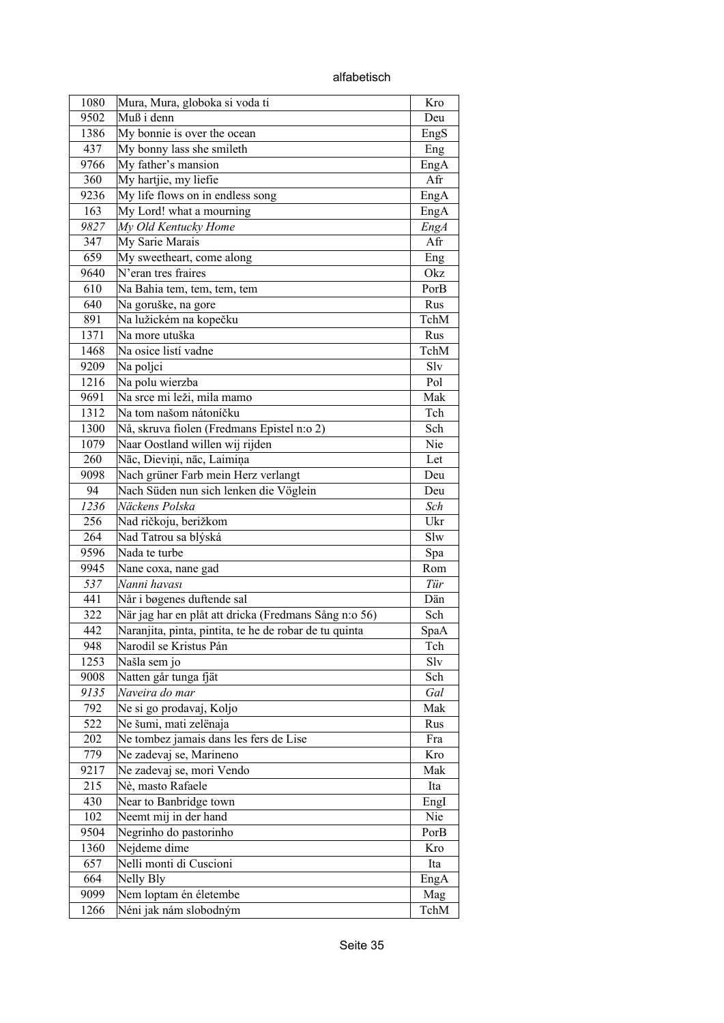| 1080 | Mura, Mura, globoka si voda ti                         | Kro         |
|------|--------------------------------------------------------|-------------|
| 9502 | Muß i denn                                             |             |
| 1386 | $\overline{\text{My}}$ bonnie is over the ocean        | EngS        |
| 437  | My bonny lass she smileth                              | Eng         |
| 9766 | My father's mansion                                    | EngA        |
| 360  | My hartjie, my liefie                                  | Afr         |
| 9236 | My life flows on in endless song                       | EngA        |
| 163  | My Lord! what a mourning                               | EngA        |
| 9827 | My Old Kentucky Home                                   | <b>EngA</b> |
| 347  | My Sarie Marais                                        | Afr         |
| 659  | My sweetheart, come along                              | Eng         |
| 9640 | N'eran tres fraires                                    | Okz         |
| 610  | Na Bahia tem, tem, tem, tem                            | PorB        |
| 640  | Na goruške, na gore                                    | Rus         |
| 891  | Na lužickém na kopečku                                 | TchM        |
| 1371 | Na more utuška                                         | Rus         |
| 1468 | Na osice listí vadne                                   | TchM        |
| 9209 | Na poljci                                              | Slv         |
| 1216 | Na polu wierzba                                        | Pol         |
| 9691 | Na srce mi leži, mila mamo                             | Mak         |
| 1312 | Na tom našom nátoníčku                                 | Tch         |
| 1300 | Nå, skruva fiolen (Fredmans Epistel n:o 2)             | Sch         |
| 1079 | Naar Oostland willen wij rijden                        | Nie         |
| 260  | Nāc, Dieviņi, nāc, Laimiņa                             | Let         |
| 9098 | Nach grüner Farb mein Herz verlangt                    | Deu         |
| 94   | Nach Süden nun sich lenken die Vöglein                 | Deu         |
| 1236 | Näckens Polska                                         | Sch         |
| 256  | Nad ričkoju, berižkom                                  | Ukr         |
| 264  | Nad Tatrou sa blýská                                   | Slw         |
| 9596 | Nada te turbe                                          | Spa         |
| 9945 | Nane coxa, nane gad                                    | Rom         |
| 537  | Nanni havası                                           | Tür         |
| 441  | Når i bøgenes duftende sal                             | Dän         |
| 322  | När jag har en plåt att dricka (Fredmans Sång n:o 56)  | Sch         |
| 442  | Naranjita, pinta, pintita, te he de robar de tu quinta | SpaA        |
| 948  | Narodil se Kristus Pán                                 | Tch         |
| 1253 | Našla sem jo                                           | Slv         |
| 9008 | Natten går tunga fjät                                  | Sch         |
| 9135 | Naveira do mar                                         | Gal         |
| 792  | Ne si go prodavaj, Koljo                               | Mak         |
| 522  | Ne šumi, mati zelënaja                                 | Rus         |
| 202  | Ne tombez jamais dans les fers de Lise                 | Fra         |
| 779  | Ne zadevaj se, Marineno                                | Kro         |
| 9217 | Ne zadevaj se, mori Vendo                              | Mak         |
| 215  | Nè, masto Rafaele                                      | Ita         |
| 430  | Near to Banbridge town                                 |             |
| 102  | Neemt mij in der hand                                  | EngI<br>Nie |
| 9504 | Negrinho do pastorinho                                 | PorB        |
| 1360 | Nejdeme dime                                           | Kro         |
| 657  | Nelli monti di Cuscioni                                | Ita         |
| 664  | Nelly Bly                                              | EngA        |
| 9099 | Nem loptam én életembe                                 | Mag         |
| 1266 | Néni jak nám slobodným                                 | TchM        |
|      |                                                        |             |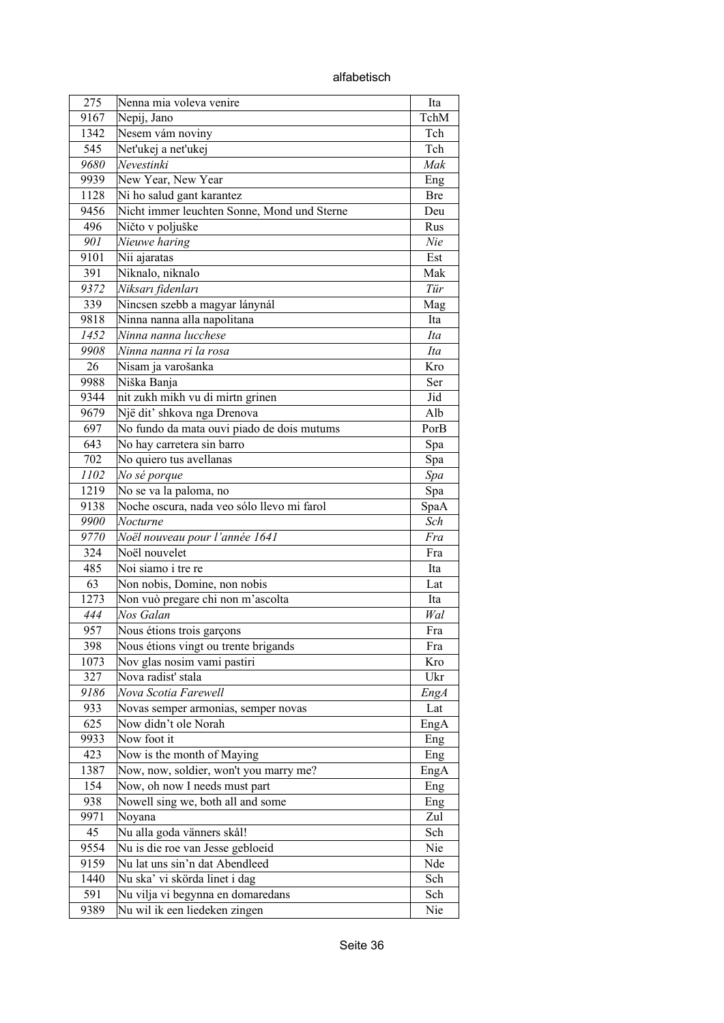alfabetisch

| 275  | Nenna mia voleva venire                     | Ita        |
|------|---------------------------------------------|------------|
| 9167 | Nepij, Jano                                 | TchM       |
| 1342 | Nesem vám noviny                            | Tch        |
| 545  | Net'ukej a net'ukej                         | Tch        |
| 9680 | Nevestinki                                  | Mak        |
| 9939 | New Year, New Year                          | Eng        |
| 1128 | Ni ho salud gant karantez                   | <b>Bre</b> |
| 9456 | Nicht immer leuchten Sonne, Mond und Sterne | Deu        |
| 496  | Ničto v poljuške                            | Rus        |
| 901  | Nieuwe haring                               | Nie        |
| 9101 | Nii ajaratas                                | Est        |
| 391  | Niknalo, niknalo                            | Mak        |
| 9372 | Niksarı fidenları                           | Tür        |
| 339  | Nincsen szebb a magyar lánynál              | Mag        |
| 9818 | Ninna nanna alla napolitana                 | Ita        |
| 1452 | Ninna nanna lucchese                        | Ita        |
| 9908 | Ninna nanna ri la rosa                      | Ita        |
| 26   | Nisam ja varošanka                          | Kro        |
| 9988 | Niška Banja                                 | Ser        |
| 9344 | nit zukh mikh vu di mirtn grinen            | Jid        |
| 9679 | Një dit' shkova nga Drenova                 | Alb        |
| 697  | No fundo da mata ouvi piado de dois mutums  | PorB       |
| 643  | No hay carretera sin barro                  | Spa        |
| 702  | No quiero tus avellanas                     | Spa        |
| 1102 | No sé porque                                | Spa        |
| 1219 | No se va la paloma, no                      | Spa        |
| 9138 | Noche oscura, nada veo sólo llevo mi farol  | SpaA       |
| 9900 | Nocturne                                    | Sch        |
| 9770 | Noël nouveau pour l'année 1641              | Fra        |
| 324  | Noël nouvelet                               | Fra        |
| 485  | Noi siamo i tre re                          | Ita        |
| 63   | Non nobis, Domine, non nobis                | Lat        |
| 1273 | Non vuò pregare chi non m'ascolta           | Ita        |
| 444  | Nos Galan                                   | Wal        |
| 957  | Nous étions trois garçons                   | Fra        |
| 398  | Nous étions vingt ou trente brigands        | Fra        |
| 1073 | Nov glas nosim vami pastiri                 | Kro        |
| 327  | Nova radist' stala                          | Ukr        |
| 9186 | Nova Scotia Farewell                        | EngA       |
| 933  | Novas semper armonias, semper novas         | Lat        |
| 625  | Now didn't ole Norah                        | EngA       |
| 9933 | Now foot it                                 | Eng        |
| 423  | Now is the month of Maying                  | Eng        |
| 1387 | Now, now, soldier, won't you marry me?      | EngA       |
| 154  |                                             |            |
| 938  | Now, oh now I needs must part               | Eng        |
| 9971 | Nowell sing we, both all and some<br>Noyana | Eng<br>Zul |
|      |                                             |            |
| 45   | Nu alla goda vänners skål!                  | Sch        |
| 9554 | Nu is die roe van Jesse gebloeid            | Nie        |
| 9159 | Nu lat uns sin'n dat Abendleed              | Nde        |
| 1440 | Nu ska' vi skörda linet i dag               | Sch        |
| 591  | Nu vilja vi begynna en domaredans           | Sch        |
| 9389 | Nu wil ik een liedeken zingen               | Nie        |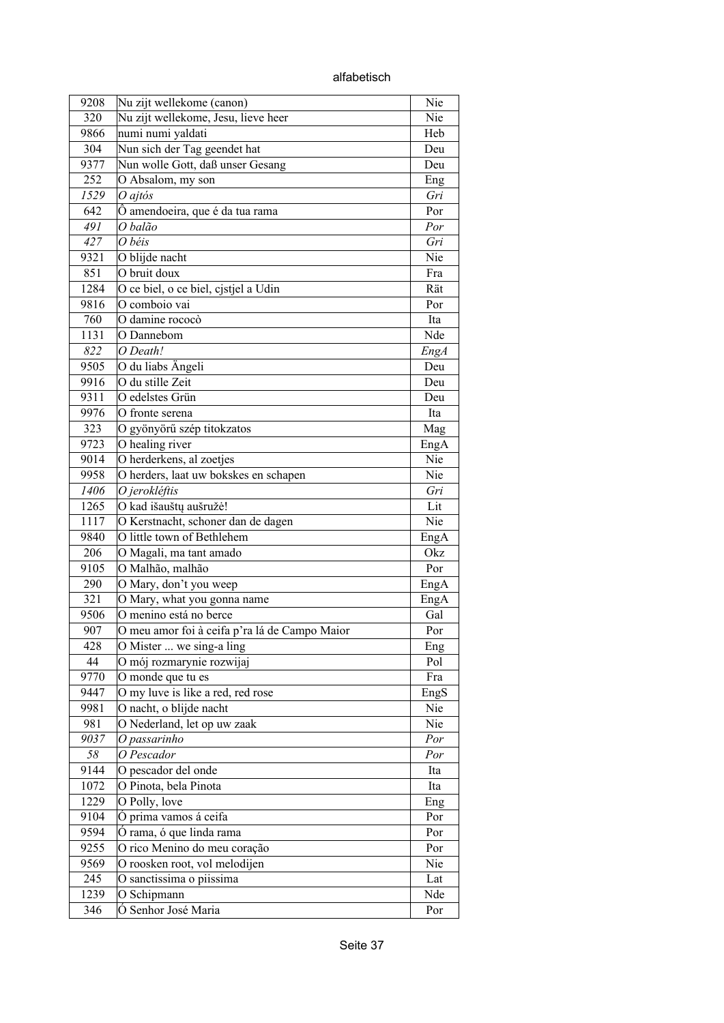| 9208 | Nu zijt wellekome (canon)                                  | Nie  |
|------|------------------------------------------------------------|------|
| 320  | Nu zijt wellekome, Jesu, lieve heer                        | Nie  |
| 9866 | numi numi yaldati                                          | Heb  |
| 304  | Nun sich der Tag geendet hat                               | Deu  |
| 9377 | Nun wolle Gott, daß unser Gesang                           | Deu  |
| 252  | O Absalom, my son                                          | Eng  |
| 1529 | $O$ ajtós                                                  | Gri  |
| 642  | Ô amendoeira, que é da tua rama                            | Por  |
| 491  | O balão                                                    | Por  |
| 427  | O béis                                                     | Gri  |
| 9321 | O blijde nacht                                             | Nie  |
| 851  | O bruit doux                                               | Fra  |
| 1284 | $\overline{\mathrm{O}}$ ce biel, o ce biel, cjstjel a Udin | Rät  |
| 9816 | O comboio vai                                              | Por  |
| 760  | O damine rococò                                            | Ita  |
| 1131 | O Dannebom                                                 | Nde  |
| 822  | O Death!                                                   | EngA |
| 9505 | O du liabs Ängeli                                          | Deu  |
| 9916 | O du stille Zeit                                           | Deu  |
|      | O edelstes Grün                                            |      |
| 9311 |                                                            | Deu  |
| 9976 | O fronte serena                                            | Ita  |
| 323  | O gyönyörű szép titokzatos                                 | Mag  |
| 9723 | O healing river                                            | EngA |
| 9014 | O herderkens, al zoetjes                                   | Nie  |
| 9958 | O herders, laat uw bokskes en schapen                      | Nie  |
| 1406 | O jerokléftis                                              | Gri  |
| 1265 | O kad išauštų aušružė!                                     | Lit  |
| 1117 | O Kerstnacht, schoner dan de dagen                         | Nie  |
| 9840 | O little town of Bethlehem                                 | EngA |
| 206  | O Magali, ma tant amado                                    | Okz  |
| 9105 | O Malhão, malhão                                           | Por  |
| 290  | O Mary, don't you weep                                     | EngA |
| 321  | O Mary, what you gonna name                                | EngA |
| 9506 | O menino está no berce                                     | Gal  |
| 907  | O meu amor foi à ceifa p'ra lá de Campo Maior              | Por  |
| 428  | O Mister  we sing-a ling                                   | Eng  |
| 44   | O mój rozmarynie rozwijaj                                  | Pol  |
| 9770 | O monde que tu es                                          | Fra  |
| 9447 | O my luve is like a red, red rose                          | EngS |
| 9981 | O nacht, o blijde nacht                                    | Nie  |
| 981  | O Nederland, let op uw zaak                                | Nie  |
| 9037 | O passarinho                                               | Por  |
| 58   | O Pescador                                                 | Por  |
| 9144 | O pescador del onde                                        | Ita  |
| 1072 | O Pinota, bela Pinota                                      | Ita  |
| 1229 | O Polly, love                                              | Eng  |
| 9104 | Ó prima vamos á ceifa                                      | Por  |
| 9594 | Ó rama, ó que linda rama                                   | Por  |
| 9255 | O rico Menino do meu coração                               | Por  |
| 9569 | O roosken root, vol melodijen                              | Nie  |
| 245  | O sanctissima o piissima                                   | Lat  |
| 1239 | O Schipmann                                                | Nde  |
| 346  | Ó Senhor José Maria                                        | Por  |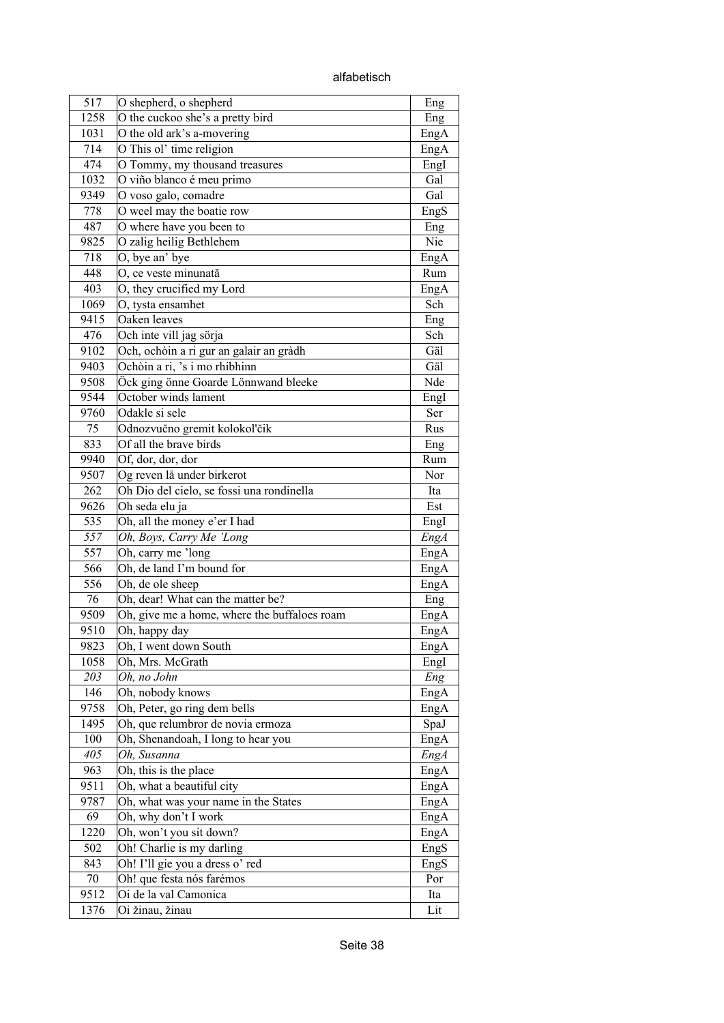alfabetisch

| 517          | O shepherd, o shepherd                                        | Eng          |
|--------------|---------------------------------------------------------------|--------------|
| 1258         | O the cuckoo she's a pretty bird                              | Eng          |
| 1031         | O the old ark's a-movering                                    | EngA         |
| 714          | O This ol' time religion                                      | EngA         |
| 474          | O Tommy, my thousand treasures                                | Engl         |
| 1032         | O viño blanco é meu primo                                     | Gal          |
| 9349         | O voso galo, comadre                                          | Gal          |
| 778          | O weel may the boatie row                                     | EngS         |
| 487          | O where have you been to                                      | Eng          |
| 9825         | O zalig heilig Bethlehem                                      | Nie          |
| 718          | $\overline{O}$ , bye an' bye                                  | EngA         |
| 448          | O, ce veste minunată                                          | Rum          |
| 403          | O, they crucified my Lord                                     | EngA         |
| 1069         | O, tysta ensamhet                                             | Sch          |
| 9415         | Oaken leaves                                                  | Eng          |
| 476          | Och inte vill jag sörja                                       | Sch          |
| 9102         | Och, ochòin a ri gur an galair an gràdh                       | Gäl          |
| 9403         | Ochòin a ri, 's i mo rhibhinn                                 | Gäl          |
| 9508         | Öck ging önne Goarde Lönnwand bleeke                          | Nde          |
| 9544         | October winds lament                                          | EngI         |
| 9760         | Odakle si sele                                                | Ser          |
| 75           | Odnozvučno gremit kolokol'čik                                 | Rus          |
| 833          | Of all the brave birds                                        |              |
| 9940         | Of, dor, dor, dor                                             | Eng<br>Rum   |
| 9507         | Og reven lå under birkerot                                    | Nor          |
| 262          | Oh Dio del cielo, se fossi una rondinella                     | Ita          |
| 9626         |                                                               |              |
| 535          | Oh seda elu ja<br>Oh, all the money e'er I had                | Est          |
| 557          | Oh, Boys, Carry Me 'Long                                      | EngI         |
|              |                                                               | <b>EngA</b>  |
| 557          | Oh, carry me 'long<br>Oh, de land I'm bound for               | EngA         |
| 566<br>556   |                                                               | EngA         |
| 76           | Oh, de ole sheep<br>Oh, dear! What can the matter be?         | EngA         |
|              |                                                               | Eng          |
| 9509<br>9510 | Oh, give me a home, where the buffaloes roam<br>Oh, happy day | EngA         |
|              |                                                               | EngA         |
| 9823         | Oh, I went down South<br>Oh, Mrs. McGrath                     | EngA         |
| 1058         |                                                               | EngI         |
| 203<br>146   | Oh, no John                                                   | Eng          |
|              | Oh, nobody knows                                              | EngA         |
| 9758         | Oh, Peter, go ring dem bells                                  | EngA         |
| 1495         | Oh, que relumbror de novia ermoza                             | SpaJ         |
| 100<br>405   | Oh, Shenandoah, I long to hear you<br>Oh, Susanna             | EngA         |
| 963          | Oh, this is the place                                         | EngA<br>EngA |
|              |                                                               |              |
| 9511         | Oh, what a beautiful city                                     | EngA         |
| 9787<br>69   | Oh, what was your name in the States                          | EngA         |
|              | Oh, why don't I work                                          | EngA         |
| 1220         | Oh, won't you sit down?                                       | EngA         |
| 502          | Oh! Charlie is my darling                                     | EngS         |
| 843          | Oh! I'll gie you a dress o' red                               | EngS         |
| 70           | Oh! que festa nós farémos                                     | Por          |
| 9512         | Oi de la val Camonica                                         | Ita          |
| 1376         | Oi žinau, žinau                                               | Lit          |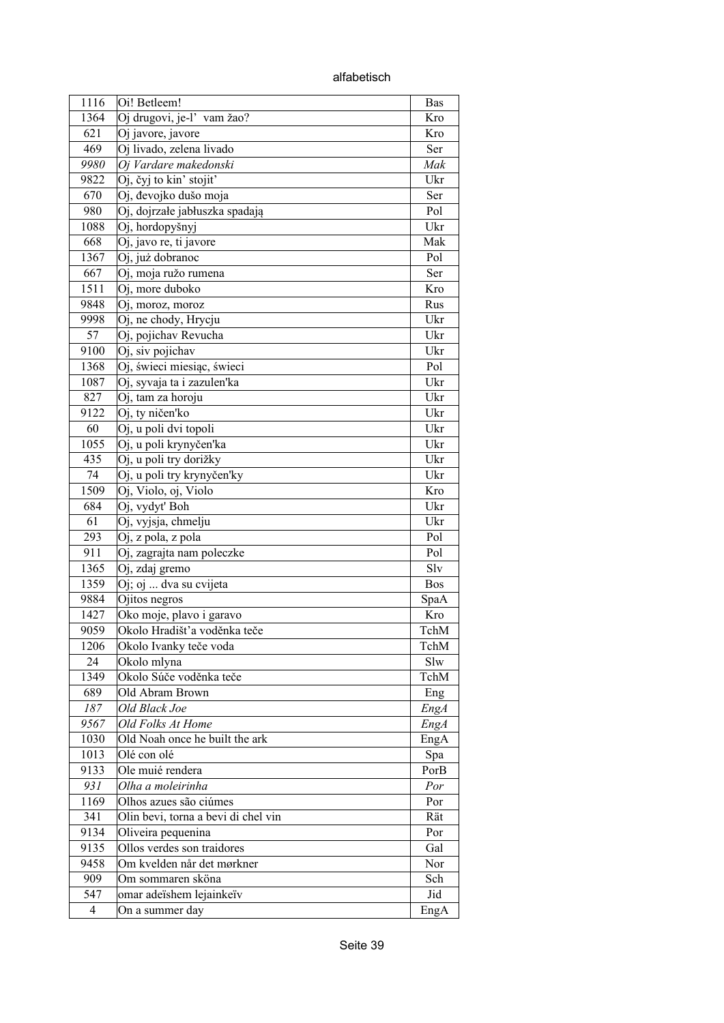alfabetisch

| 1116 | Oi! Betleem!                        | <b>Bas</b> |
|------|-------------------------------------|------------|
| 1364 | Oj drugovi, je-l' vam žao?          | Kro        |
| 621  | Oj javore, javore                   | Kro        |
| 469  | Oj livado, zelena livado            | Ser        |
| 9980 | Oj Vardare makedonski               | Mak        |
| 9822 | Oj, čyj to kin' stojit'             | Ukr        |
| 670  | Oj, đevojko dušo moja               | Ser        |
| 980  | Oj, dojrzałe jabłuszka spadają      | Pol        |
| 1088 | Oj, hordopyšnyj                     | Ukr        |
| 668  | Oj, javo re, ti javore              | Mak        |
| 1367 | Oj, już dobranoc                    | Pol        |
| 667  | Oj, moja ružo rumena                | Ser        |
| 1511 | Oj, more duboko                     | Kro        |
| 9848 | Oj, moroz, moroz                    | Rus        |
| 9998 | Oj, ne chody, Hrycju                | Ukr        |
| 57   | Oj, pojichav Revucha                | Ukr        |
| 9100 | Oj, siv pojichav                    | Ukr        |
| 1368 | Oj, świeci miesiąc, świeci          | Pol        |
| 1087 | Oj, syvaja ta i zazulen'ka          | Ukr        |
| 827  | Oj, tam za horoju                   | Ukr        |
| 9122 | Oj, ty ničen'ko                     | Ukr        |
| 60   | Oj, u poli dvi topoli               | Ukr        |
| 1055 | Oj, u poli krynyčen'ka              | Ukr        |
| 435  | Oj, u poli try dorižky              | Ukr        |
| 74   | Oj, u poli try krynyčen'ky          | Ukr        |
| 1509 | Oj, Violo, oj, Violo                | Kro        |
| 684  | Oj, vydyť Boh                       | Ukr        |
| 61   | Oj, vyjsja, chmelju                 | Ukr        |
| 293  | Oj, z pola, z pola                  | Pol        |
| 911  | Oj, zagrajta nam poleczke           | Pol        |
| 1365 | Oj, zdaj gremo                      | Slv        |
| 1359 | Oj; oj  dva su cvijeta              | Bos        |
| 9884 | Ojitos negros                       | SpaA       |
| 1427 | Oko moje, plavo i garavo            | Kro        |
| 9059 | Okolo Hradišť'a voděnka teče        | TchM       |
| 1206 | Okolo Ivanky teče voda              | TchM       |
| 24   | Okolo mlyna                         | Slw        |
| 1349 | Okolo Súče voděnka teče             | TchM       |
| 689  | Old Abram Brown                     | Eng        |
| 187  | Old Black Joe                       | EngA       |
| 9567 | Old Folks At Home                   | Eng A      |
| 1030 | Old Noah once he built the ark      | EngA       |
| 1013 | Olé con olé                         | Spa        |
| 9133 | Ole muié rendera                    | PorB       |
| 931  | Olha a moleirinha                   | Por        |
| 1169 | Olhos azues são ciúmes              | Por        |
| 341  | Olin bevi, torna a bevi di chel vin | Rät        |
| 9134 | Oliveira pequenina                  | Por        |
| 9135 | Ollos verdes son traidores          | Gal        |
| 9458 | Om kvelden når det mørkner          | Nor        |
| 909  | Om sommaren sköna                   | Sch        |
| 547  | omar adeïshem lejainkeïv            | Jid        |
| 4    | On a summer day                     | EngA       |
|      |                                     |            |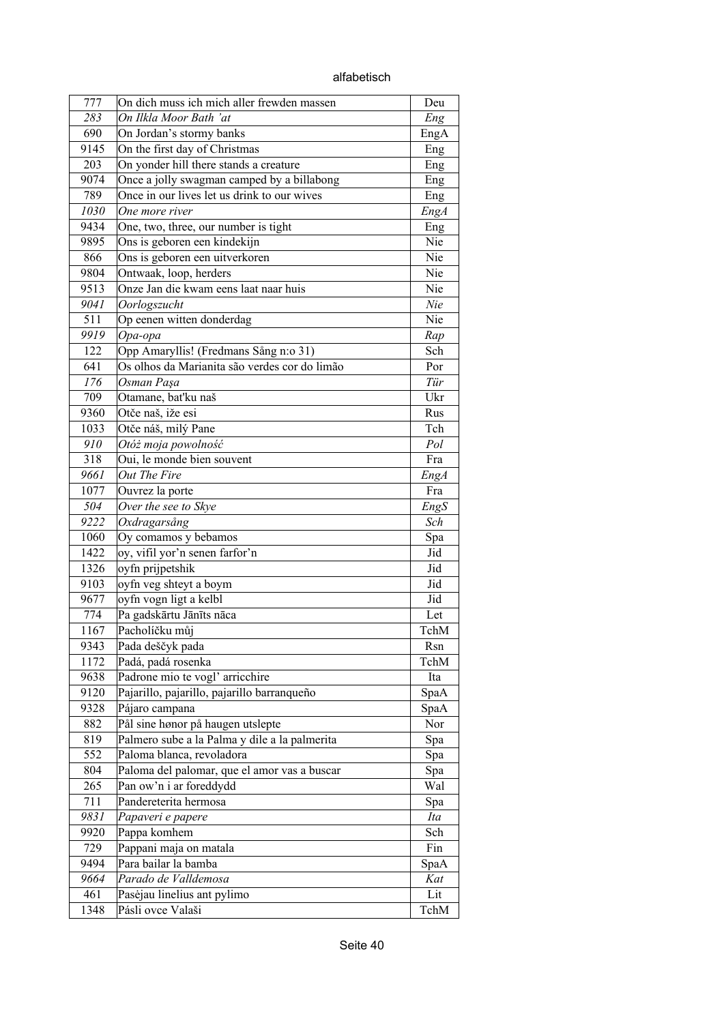|  | alfabetisch |  |
|--|-------------|--|
|  |             |  |

| 777  | On dich muss ich mich aller frewden massen       | Deu         |
|------|--------------------------------------------------|-------------|
| 283  | On Ilkla Moor Bath 'at                           | Eng         |
| 690  | On Jordan's stormy banks                         | EngA        |
| 9145 | On the first day of Christmas                    | Eng         |
| 203  | On yonder hill there stands a creature           | Eng         |
| 9074 | Once a jolly swagman camped by a billabong       | Eng         |
| 789  | Once in our lives let us drink to our wives      | Eng         |
| 1030 | One more river                                   | <b>EngA</b> |
| 9434 | One, two, three, our number is tight             | Eng         |
| 9895 | Ons is geboren een kindekijn                     | Nie         |
| 866  | Ons is geboren een uitverkoren                   | Nie         |
| 9804 | Ontwaak, loop, herders                           | Nie         |
| 9513 | Onze Jan die kwam eens laat naar huis            | Nie         |
| 9041 | Oorlogszucht                                     | Nie         |
| 511  | Op eenen witten donderdag                        | Nie         |
| 9919 | Opa-opa                                          | Rap         |
| 122  | Opp Amaryllis! (Fredmans Sång n:o 31)            | Sch         |
| 641  | Os olhos da Marianita são verdes cor do limão    | Por         |
| 176  | Osman Paşa                                       | Tür         |
| 709  | Otamane, bat'ku naš                              | Ukr         |
| 9360 | Otče naš, iže esi                                | Rus         |
| 1033 | Otče náš, milý Pane                              | Tch         |
| 910  | Otóż moja powolność                              | Pol         |
| 318  | Oui, le monde bien souvent                       | Fra         |
| 9661 | Out The Fire                                     | EngA        |
| 1077 | Ouvrez la porte                                  | Fra         |
| 504  | Over the see to Skye                             | EngS        |
| 9222 | Oxdragarsång                                     | Sch         |
| 1060 | Oy comamos y bebamos                             | Spa         |
| 1422 | oy, vifil yor'n senen farfor'n                   | Jid         |
| 1326 | oyfn prijpetshik                                 | Jid         |
| 9103 | oyfn veg shteyt a boym                           | Jid         |
| 9677 | oyfn vogn ligt a kelbl                           | Jid         |
| 774  | Pa gadskārtu Jānīts nāca                         | Let         |
| 1167 | Pacholíčku můj                                   | TchM        |
| 9343 | Pada deščyk pada                                 | Rsn         |
| 1172 | Padá, padá rosenka                               | TchM        |
| 9638 | Padrone mio te vogl' arricchire                  | Ita         |
| 9120 | Pajarillo, pajarillo, pajarillo barranqueño      | SpaA        |
| 9328 | Pájaro campana                                   | SpaA        |
| 882  | Pål sine hønor på haugen utslepte                | Nor         |
| 819  | Palmero sube a la Palma y dile a la palmerita    | Spa         |
| 552  | Paloma blanca, revoladora                        | Spa         |
| 804  | Paloma del palomar, que el amor vas a buscar     | Spa         |
| 265  | Pan ow'n i ar foreddydd                          | Wal         |
| 711  | Pandereterita hermosa                            |             |
| 9831 | Papaveri e papere                                | Spa<br>Ita  |
| 9920 | Pappa komhem                                     | Sch         |
| 729  |                                                  | Fin         |
| 9494 | Pappani maja on matala<br>Para bailar la bamba   |             |
| 9664 | Parado de Valldemosa                             | SpaA<br>Kat |
| 461  |                                                  | Lit         |
|      | Pasėjau linelius ant pylimo<br>Pásli ovce Valaši |             |
| 1348 |                                                  | TchM        |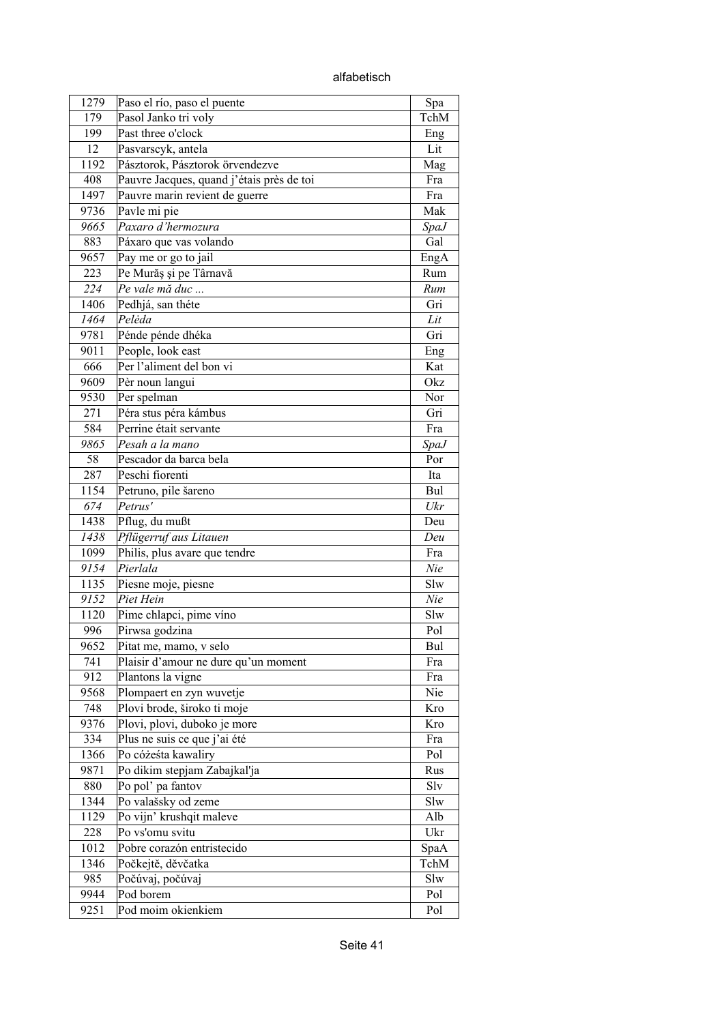alfabetisch

| 1279        | Paso el río, paso el puente               | Spa         |
|-------------|-------------------------------------------|-------------|
| 179         | Pasol Janko tri voly                      | TchM        |
| 199         | Past three o'clock                        | Eng         |
| 12          | Pasvarscyk, antela                        | Lit         |
| 1192        | Pásztorok, Pásztorok örvendezve           | Mag         |
| 408         | Pauvre Jacques, quand j'étais près de toi | Fra         |
| 1497        | Pauvre marin revient de guerre            | Fra         |
| 9736        | Pavle mi pie                              | Mak         |
| 9665        | Paxaro d'hermozura                        | <b>SpaJ</b> |
| 883         | Páxaro que vas volando                    | Gal         |
| 9657        | Pay me or go to jail                      | EngA        |
| 223         | Pe Murăș și pe Târnavă                    | Rum         |
| 224         | Pe vale mă duc                            | Rum         |
| 1406        | Pedhjá, san théte                         | Gri         |
| 1464        | Pelėda                                    | Lit         |
| 9781        | Pénde pénde dhéka                         | Gri         |
| 9011        | People, look east                         | Eng         |
| 666         | Per l'aliment del bon vi                  | Kat         |
| 9609        | Pèr noun langui                           | Okz         |
| 9530        | Per spelman                               | Nor         |
| 271         | Péra stus péra kámbus                     | Gri         |
| 584         | Perrine était servante                    | Fra         |
| 9865        | Pesah a la mano                           | <i>SpaJ</i> |
| 58          | Pescador da barca bela                    | Por         |
| 287         | Peschi fiorenti                           | Ita         |
| 1154        | Petruno, pile šareno                      | Bul         |
| 674         | Petrus'                                   | Ukr         |
| 1438        | Pflug, du mußt                            | Deu         |
| 1438        | Pflügerruf aus Litauen                    | Deu         |
| 1099        | Philis, plus avare que tendre             | Fra         |
| 9154        | Pierlala                                  | Nie         |
| 1135        | Piesne moje, piesne                       | Slw         |
| 9152        | Piet Hein                                 | Nie         |
| 1120        | Pime chlapci, pime víno                   | Slw         |
| 996         | Pirwsa godzina                            | Pol         |
| 9652        | Pitat me, mamo, v selo                    | Bul         |
| 741         | Plaisir d'amour ne dure qu'un moment      | Fra         |
| 912         | Plantons la vigne                         | Fra         |
| 9568        | Plompaert en zyn wuvetje                  | Nie         |
| 748         | Plovi brode, široko ti moje               | Kro         |
| 9376        | Plovi, plovi, duboko je more              | Kro         |
| 334         | Plus ne suis ce que j'ai été              | Fra         |
| 1366        | Po cóżeśta kawaliry                       | Pol         |
| 9871        | Po dikim stepjam Zabajkal'ja              | Rus         |
| 880         | Po pol' pa fantov                         | Slv         |
| 1344        | Po valašsky od zeme                       | Slw         |
| 1129        | Po vijn' krushqit maleve                  | Alb         |
| 228         | Po vs'omu svitu                           | Ukr         |
| 1012        | Pobre corazón entristecido                |             |
|             |                                           | SpaA        |
| 1346<br>985 | Počkejtě, děvčatka                        | TchM<br>Slw |
|             | Počúvaj, počúvaj<br>Pod borem             |             |
| 9944        |                                           | Pol         |
| 9251        | Pod moim okienkiem                        | Pol         |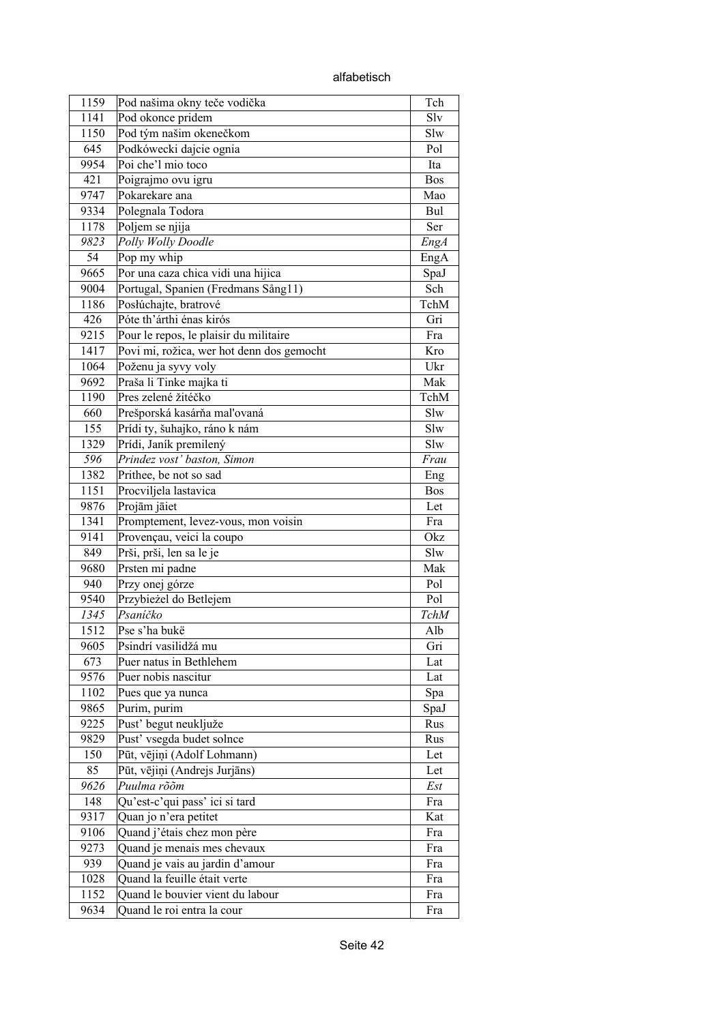| 1159 | Pod našima okny teče vodička              | Tch        |
|------|-------------------------------------------|------------|
| 1141 | Pod okonce pridem                         | Slv        |
| 1150 | Pod tým našim okenečkom                   | Slw        |
| 645  | Podkówecki dajcie ognia                   | Pol        |
| 9954 | Poi che'l mio toco                        | Ita        |
| 421  | Poigrajmo ovu igru                        | <b>Bos</b> |
| 9747 | Pokarekare ana                            | Mao        |
| 9334 | Polegnala Todora                          | Bul        |
| 1178 | Poljem se njija                           | Ser        |
| 9823 | Polly Wolly Doodle                        | EngA       |
| 54   | Pop my whip                               | EngA       |
| 9665 | Por una caza chica vidi una hijica        | SpaJ       |
| 9004 | Portugal, Spanien (Fredmans Sång11)       | Sch        |
| 1186 | Posłúchajte, bratrové                     | TchM       |
| 426  | Póte th'árthi énas kirós                  | Gri        |
| 9215 | Pour le repos, le plaisir du militaire    | Fra        |
| 1417 | Povi mi, rožica, wer hot denn dos gemocht | Kro        |
| 1064 | Poženu ja syvy voly                       | Ukr        |
| 9692 | Praša li Tinke majka ti                   | Mak        |
| 1190 | Pres zelené žitéčko                       | TchM       |
| 660  | Prešporská kasárňa maľovaná               | Slw        |
| 155  | Prídi ty, šuhajko, ráno k nám             | Slw        |
| 1329 | Prídi, Janík premilený                    | Slw        |
| 596  | Prindez vost' baston, Simon               | Frau       |
| 1382 | Prithee, be not so sad                    | Eng        |
| 1151 | Procviljela lastavica                     | <b>Bos</b> |
| 9876 | Projām jāiet                              | Let        |
| 1341 | Promptement, levez-vous, mon voisin       | Fra        |
| 9141 | Provençau, veici la coupo                 | Okz        |
| 849  | Prši, prši, len sa le je                  | Slw        |
| 9680 | Prsten mi padne                           | Mak        |
| 940  | Przy onej górze                           | Pol        |
| 9540 | Przybieżel do Betlejem                    | Pol        |
| 1345 | Psaníčko                                  | TchM       |
| 1512 | Pse s'ha bukë                             | Alb        |
| 9605 | Psindrí vasilidžá mu                      | Gri        |
| 673  | Puer natus in Bethlehem                   | Lat        |
| 9576 | Puer nobis nascitur                       | Lat        |
| 1102 | Pues que ya nunca                         | Spa        |
| 9865 | Purim, purim                              | SpaJ       |
| 9225 | Pust' begut neukljuže                     | Rus        |
| 9829 | Pust' vsegda budet solnce                 | Rus        |
| 150  | Pūt, vējiņi (Adolf Lohmann)               | Let        |
| 85   | Pūt, vējiņi (Andrejs Jurjāns)             | Let        |
| 9626 | Puulma rõõm                               | Est        |
| 148  | Qu'est-c'qui pass' ici si tard            | Fra        |
| 9317 | Quan jo n'era petitet                     | Kat        |
| 9106 | Quand j'étais chez mon père               | Fra        |
| 9273 | Quand je menais mes chevaux               | Fra        |
| 939  | Quand je vais au jardin d'amour           | Fra        |
| 1028 | Quand la feuille était verte              | Fra        |
| 1152 | Quand le bouvier vient du labour          | Fra        |
| 9634 | Quand le roi entra la cour                | Fra        |
|      |                                           |            |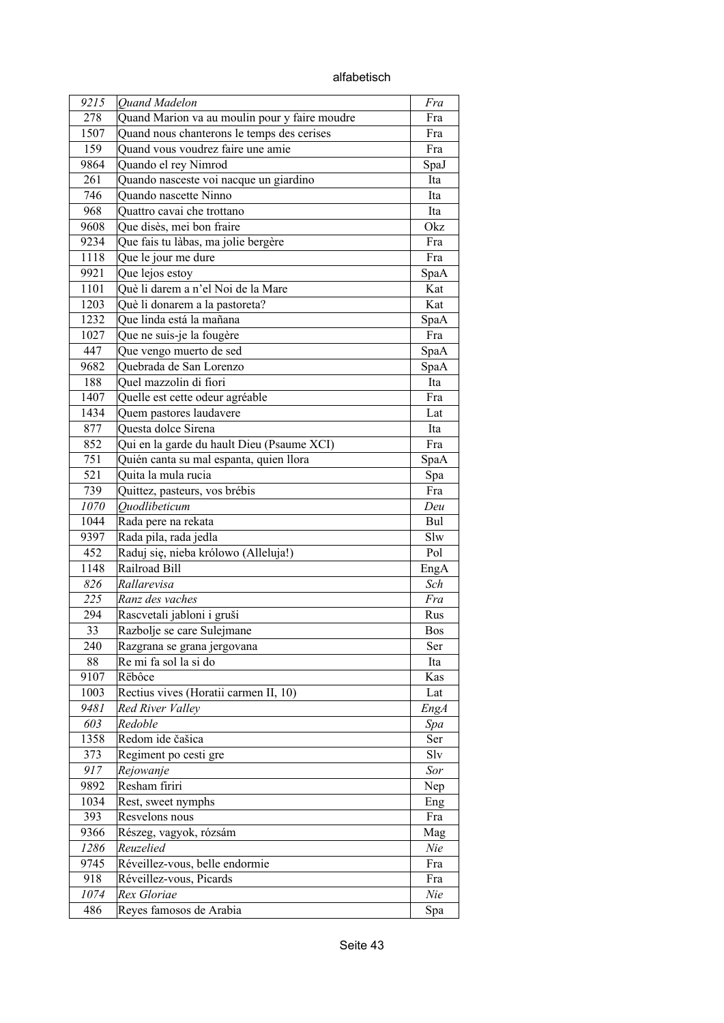| 9215 | <b>Ouand Madelon</b>                          | Fra        |
|------|-----------------------------------------------|------------|
| 278  | Quand Marion va au moulin pour y faire moudre | Fra        |
| 1507 | Quand nous chanterons le temps des cerises    | Fra        |
| 159  | Quand vous voudrez faire une amie             | Fra        |
| 9864 | Quando el rey Nimrod                          | SpaJ       |
| 261  | Quando nasceste voi nacque un giardino        | Ita        |
| 746  | Quando nascette Ninno                         | Ita        |
| 968  | Quattro cavai che trottano                    | Ita        |
| 9608 | Que disès, mei bon fraire                     | Okz        |
| 9234 | Que fais tu làbas, ma jolie bergère           | Fra        |
| 1118 | Que le jour me dure                           | Fra        |
| 9921 | Que lejos estoy                               | SpaA       |
| 1101 | Què li darem a n'el Noi de la Mare            | Kat        |
| 1203 | Què li donarem a la pastoreta?                | Kat        |
| 1232 | Que linda está la mañana                      | SpaA       |
| 1027 | Que ne suis-je la fougère                     | Fra        |
| 447  | Que vengo muerto de sed                       | SpaA       |
| 9682 | Quebrada de San Lorenzo                       | SpaA       |
| 188  | Quel mazzolin di fiori                        | Ita        |
| 1407 | Quelle est cette odeur agréable               | Fra        |
| 1434 | Quem pastores laudavere                       | Lat        |
| 877  | Questa dolce Sirena                           | Ita        |
| 852  | Qui en la garde du hault Dieu (Psaume XCI)    | Fra        |
| 751  | Quién canta su mal espanta, quien llora       | SpaA       |
| 521  | Quita la mula rucia                           | Spa        |
| 739  | Quittez, pasteurs, vos brébis                 | Fra        |
| 1070 | Ouodlibeticum                                 | Deu        |
| 1044 | Rada pere na rekata                           | Bul        |
| 9397 | Rada pila, rada jedla                         | Slw        |
| 452  | Raduj się, nieba królowo (Alleluja!)          | Pol        |
| 1148 | Railroad Bill                                 | EngA       |
| 826  | Rallarevisa                                   | Sch        |
| 225  | Ranz des vaches                               | Fra        |
| 294  | Rascvetali jabloni i gruši                    | Rus        |
| 33   | Razbolje se care Sulejmane                    | <b>Bos</b> |
| 240  | Razgrana se grana jergovana                   | Ser        |
| 88   | Re mi fa sol la si do                         | Ita        |
| 9107 | Rëbôce                                        | Kas        |
| 1003 | Rectius vives (Horatii carmen II, 10)         | Lat        |
| 9481 | Red River Valley                              | EngA       |
| 603  | Redoble                                       | Spa        |
| 1358 | Redom ide čašica                              | Ser        |
| 373  | Regiment po cesti gre                         | Slv        |
| 917  | Rejowanje                                     | Sor        |
| 9892 | Resham firiri                                 | Nep        |
| 1034 | Rest, sweet nymphs                            | Eng        |
| 393  | Resvelons nous                                | Fra        |
| 9366 | Részeg, vagyok, rózsám                        | Mag        |
| 1286 | Reuzelied                                     | Nie        |
| 9745 | Réveillez-vous, belle endormie                | Fra        |
| 918  | Réveillez-vous, Picards                       | Fra        |
| 1074 | Rex Gloriae                                   | Nie        |
| 486  | Reyes famosos de Arabia                       | Spa        |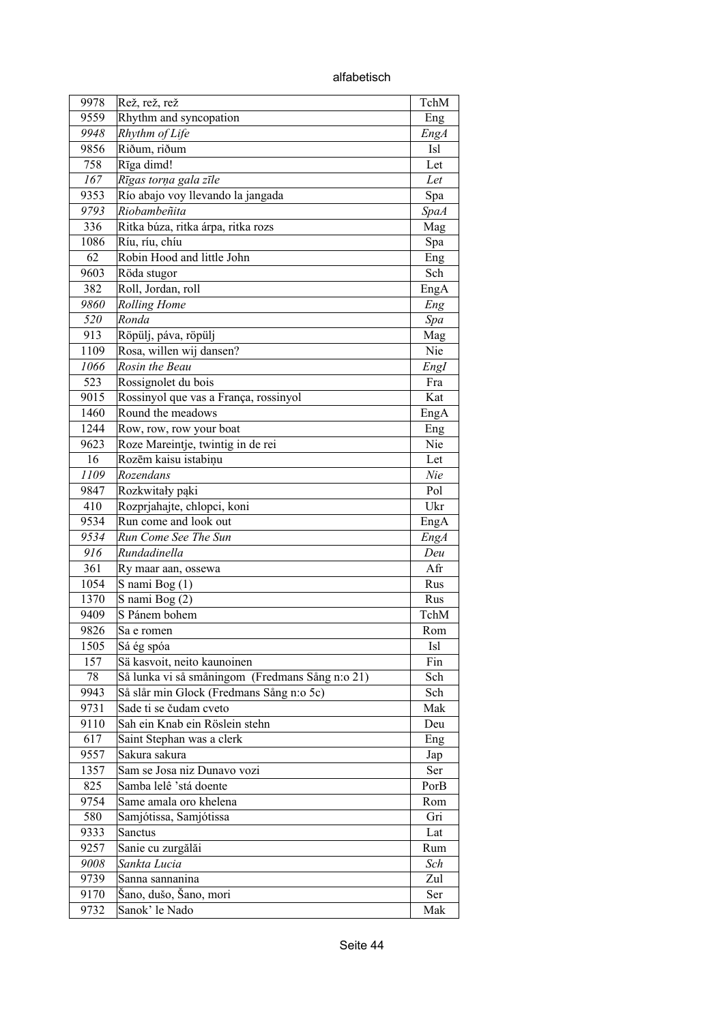alfabetisch

| 9978 | Rež, rež, rež                                                      | TchM        |
|------|--------------------------------------------------------------------|-------------|
| 9559 | Rhythm and syncopation                                             | Eng         |
| 9948 | Rhythm of Life                                                     | <b>EngA</b> |
| 9856 | Riðum, riðum                                                       | <b>Isl</b>  |
| 758  | Rīga dimd!                                                         | Let         |
| 167  | Rīgas torņa gala zīle                                              | Let         |
| 9353 | Río abajo voy llevando la jangada                                  | Spa         |
| 9793 | Riobambeñita                                                       | <b>SpaA</b> |
| 336  | Ritka búza, ritka árpa, ritka rozs                                 | Mag         |
| 1086 | Ríu, ríu, chíu                                                     | Spa         |
| 62   | Robin Hood and little John                                         | Eng         |
| 9603 | Röda stugor                                                        | Sch         |
| 382  | Roll, Jordan, roll                                                 | EngA        |
| 9860 | <b>Rolling Home</b>                                                | Eng         |
| 520  | Ronda                                                              | Spa         |
| 913  | Röpülj, páva, röpülj                                               | Mag         |
| 1109 | Rosa, willen wij dansen?                                           | Nie         |
| 1066 | Rosin the Beau                                                     | EngI        |
| 523  | Rossignolet du bois                                                | Fra         |
| 9015 | Rossinyol que vas a França, rossinyol                              | Kat         |
| 1460 | Round the meadows                                                  | EngA        |
| 1244 | Row, row, row your boat                                            | Eng         |
| 9623 | Roze Mareintje, twintig in de rei                                  | Nie         |
| 16   | Rozēm kaisu istabinu                                               | Let         |
| 1109 | Rozendans                                                          | Nie         |
| 9847 | Rozkwitały pąki                                                    | Pol         |
| 410  | Rozprjahajte, chlopci, koni                                        | Ukr         |
| 9534 | Run come and look out                                              | EngA        |
| 9534 | Run Come See The Sun                                               | <b>EngA</b> |
| 916  | Rundadinella                                                       | Deu         |
| 361  | Ry maar aan, ossewa                                                | Afr         |
| 1054 | S nami Bog (1)                                                     | Rus         |
| 1370 | S nami Bog (2)                                                     | Rus         |
| 9409 | S Pánem bohem                                                      | TchM        |
| 9826 | Sa e romen                                                         | Rom         |
| 1505 | Sá ég spóa                                                         | <b>Isl</b>  |
| 157  | Sä kasvoit, neito kaunoinen                                        | Fin         |
| 78   | Så lunka vi så småningom (Fredmans Sång n:o 21)                    | Sch         |
| 9943 |                                                                    | Sch         |
| 9731 | Så slår min Glock (Fredmans Sång n:o 5c)<br>Sade ti se čudam cveto | Mak         |
| 9110 | Sah ein Knab ein Röslein stehn                                     |             |
| 617  |                                                                    | Deu         |
|      | Saint Stephan was a clerk<br>Sakura sakura                         | Eng         |
| 9557 | Sam se Josa niz Dunavo vozi                                        | Jap         |
| 1357 |                                                                    | Ser         |
| 825  | Samba lelê 'stá doente                                             | PorB        |
| 9754 | Same amala oro khelena                                             | Rom         |
| 580  | Samjótissa, Samjótissa                                             | Gri         |
| 9333 | Sanctus                                                            | Lat         |
| 9257 | Sanie cu zurgălăi                                                  | Rum         |
| 9008 | Sankta Lucia                                                       | Sch         |
| 9739 | Sanna sannanina                                                    | Zul         |
| 9170 | Šano, dušo, Šano, mori                                             | Ser         |
| 9732 | Sanok' le Nado                                                     | Mak         |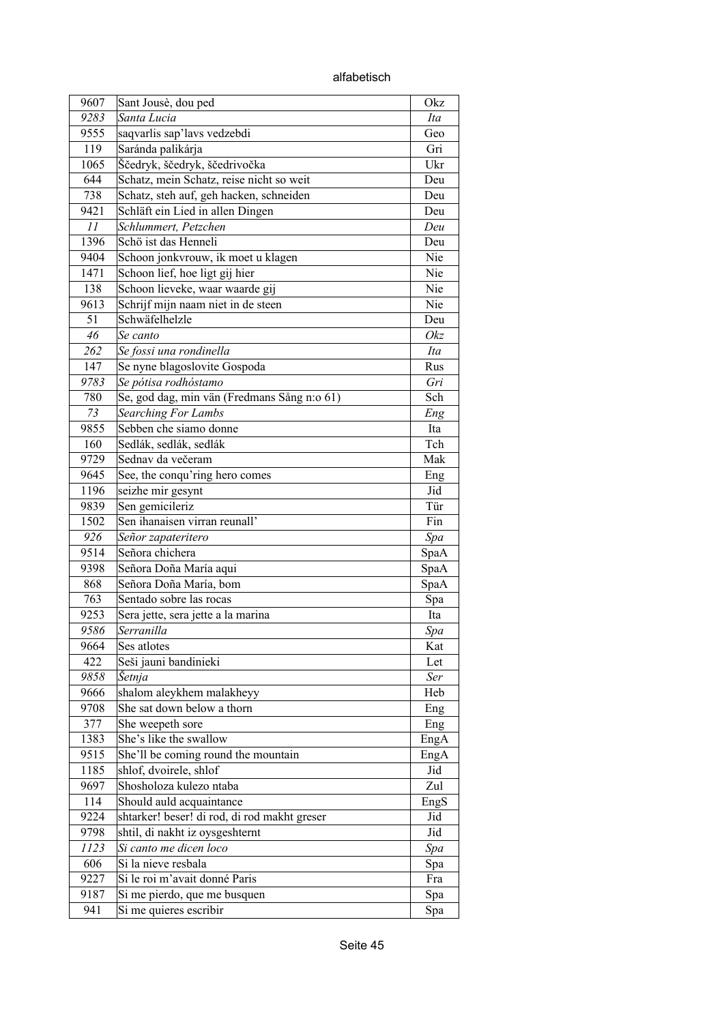alfabetisch

| 9607 | Sant Jousè, dou ped                          | Okz  |
|------|----------------------------------------------|------|
| 9283 | Santa Lucia                                  | Ita  |
| 9555 | saqvarlis sap'lavs vedzebdi                  | Geo  |
| 119  | Saránda palikárja                            | Gri  |
| 1065 | Ščedryk, ščedryk, ščedrivočka                | Ukr  |
| 644  | Schatz, mein Schatz, reise nicht so weit     | Deu  |
| 738  | Schatz, steh auf, geh hacken, schneiden      | Deu  |
| 9421 | Schläft ein Lied in allen Dingen             | Deu  |
| 11   | Schlummert, Petzchen                         | Deu  |
| 1396 | Schö ist das Henneli                         | Deu  |
| 9404 |                                              | Nie  |
|      | Schoon jonkvrouw, ik moet u klagen           |      |
| 1471 | Schoon lief, hoe ligt gij hier               | Nie  |
| 138  | Schoon lieveke, waar waarde gij              | Nie  |
| 9613 | Schrijf mijn naam niet in de steen           | Nie  |
| 51   | Schwäfelhelzle                               | Deu  |
| 46   | Se canto                                     | Okz  |
| 262  | Se fossi una rondinella                      | Ita  |
| 147  | Se nyne blagoslovite Gospoda                 | Rus  |
| 9783 | Se pótisa rodhóstamo                         | Gri  |
| 780  | Se, god dag, min vän (Fredmans Sång n:o 61)  | Sch  |
| 73   | Searching For Lambs                          | Eng  |
| 9855 | Sebben che siamo donne                       | Ita  |
| 160  | Sedlák, sedlák, sedlák                       | Tch  |
| 9729 | Sednav da večeram                            | Mak  |
| 9645 | See, the conqu'ring hero comes               | Eng  |
| 1196 | seizhe mir gesynt                            | Jid  |
| 9839 | Sen gemicileriz                              | Tür  |
| 1502 | Sen ihanaisen virran reunall'                | Fin  |
| 926  | Señor zapateritero                           | Spa  |
| 9514 | Señora chichera                              | SpaA |
| 9398 | Señora Doña María aqui                       | SpaA |
| 868  | Señora Doña María, bom                       | SpaA |
| 763  | Sentado sobre las rocas                      | Spa  |
| 9253 | Sera jette, sera jette a la marina           | Ita  |
| 9586 | Serranilla                                   | Spa  |
| 9664 | Ses atlotes                                  | Kat  |
| 422  | Seši jauni bandinieki                        | Let  |
| 9858 | Šetnja                                       | Ser  |
| 9666 | shalom aleykhem malakheyy                    | Heb  |
| 9708 | She sat down below a thorn                   | Eng  |
| 377  | She weepeth sore                             | Eng  |
| 1383 | She's like the swallow                       | EngA |
| 9515 | She'll be coming round the mountain          | EngA |
| 1185 | shlof, dvoirele, shlof                       | Jid  |
|      | Shosholoza kulezo ntaba                      | Zul  |
| 9697 |                                              |      |
| 114  | Should auld acquaintance                     | EngS |
| 9224 | shtarker! beser! di rod, di rod makht greser | Jid  |
| 9798 | shtil, di nakht iz oysgeshternt              | Jid  |
| 1123 | Si canto me dicen loco                       | Spa  |
| 606  | Si la nieve resbala                          | Spa  |
| 9227 | Si le roi m'avait donné Paris                | Fra  |
| 9187 | Si me pierdo, que me busquen                 | Spa  |
| 941  | Si me quieres escribir                       | Spa  |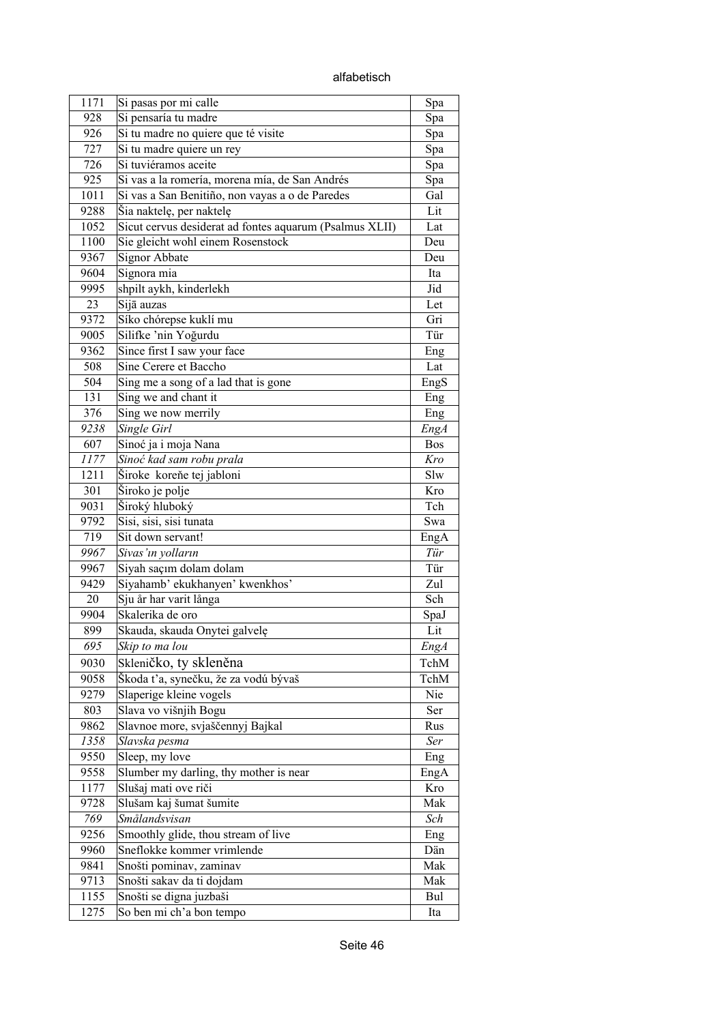alfabetisch

| 1171       | Si pasas por mi calle<br>Si pensaría tu madre           | Spa        |
|------------|---------------------------------------------------------|------------|
| 928<br>926 |                                                         | Spa        |
|            | Si tu madre no quiere que té visite                     | Spa        |
| 727<br>726 | Si tu madre quiere un rey<br>Si tuviéramos aceite       | Spa        |
|            |                                                         | Spa        |
| 925        | Si vas a la romería, morena mía, de San Andrés          | Spa        |
| 1011       | Si vas a San Benitiño, non vayas a o de Paredes         | Gal        |
| 9288       | Šia naktelę, per naktelę                                | Lit        |
| 1052       | Sicut cervus desiderat ad fontes aquarum (Psalmus XLII) | Lat        |
| 1100       | Sie gleicht wohl einem Rosenstock                       | Deu        |
| 9367       | <b>Signor Abbate</b>                                    | Deu        |
| 9604       | Signora mia                                             | Ita        |
| 9995       | shpilt aykh, kinderlekh                                 | Jid        |
| 23         | Sijā auzas                                              | Let        |
| 9372       | Síko chórepse kuklí mu                                  | Gri        |
| 9005       | Silifke 'nin Yoğurdu                                    | Tür        |
| 9362       | Since first I saw your face                             | Eng        |
| 508        | Sine Cerere et Baccho                                   | Lat        |
| 504        | Sing me a song of a lad that is gone                    | EngS       |
| 131        | Sing we and chant it                                    | Eng        |
| 376        | Sing we now merrily                                     | Eng        |
| 9238       | Single Girl                                             | EngA       |
| 607        | Sinoć ja i moja Nana                                    | <b>Bos</b> |
| 1177       | Sinoć kad sam robu prala                                | Kro        |
| 1211       | Široke koreňe tej jabloni                               | Slw        |
| 301        | Široko je polje                                         | Kro        |
| 9031       | Široký hluboký                                          | Tch        |
| 9792       | Sisi, sisi, sisi tunata                                 | Swa        |
| 719        | Sit down servant!                                       | EngA       |
| 9967       | Sivas'ın yolların                                       | Tür        |
| 9967       | Siyah saçım dolam dolam                                 | Tür        |
| 9429       | Siyahamb' ekukhanyen' kwenkhos'                         | Zul        |
| 20         | Sju år har varit långa                                  | Sch        |
| 9904       | Skalerika de oro                                        | SpaJ       |
| 899        | Skauda, skauda Onytei galvelę                           | Lit        |
| 695        | Skip to ma lou                                          | EngA       |
| 9030       | Skleničko, ty skleněna                                  | TchM       |
| 9058       | Škoda ťa, synečku, že za vodú bývaš                     | TchM       |
| 9279       | Slaperige kleine vogels                                 | Nie        |
| 803        | Slava vo višnjih Bogu                                   | Ser        |
| 9862       | Slavnoe more, svjaščennyj Bajkal                        | Rus        |
| 1358       | Slavska pesma                                           | Ser        |
| 9550       | Sleep, my love                                          | Eng        |
| 9558       | Slumber my darling, thy mother is near                  | EngA       |
| 1177       | Slušaj mati ove riči                                    | Kro        |
| 9728       | Slušam kaj šumat šumite                                 | Mak        |
| 769        | Smålandsvisan                                           | Sch        |
| 9256       | Smoothly glide, thou stream of live                     | Eng        |
| 9960       | Sneflokke kommer vrimlende                              | Dän        |
| 9841       | Snošti pominav, zaminav                                 | Mak        |
| 9713       | Snošti sakav da ti dojdam                               | Mak        |
| 1155       | Snošti se digna juzbaši                                 | Bul        |
| 1275       | So ben mi ch'a bon tempo                                | Ita        |
|            |                                                         |            |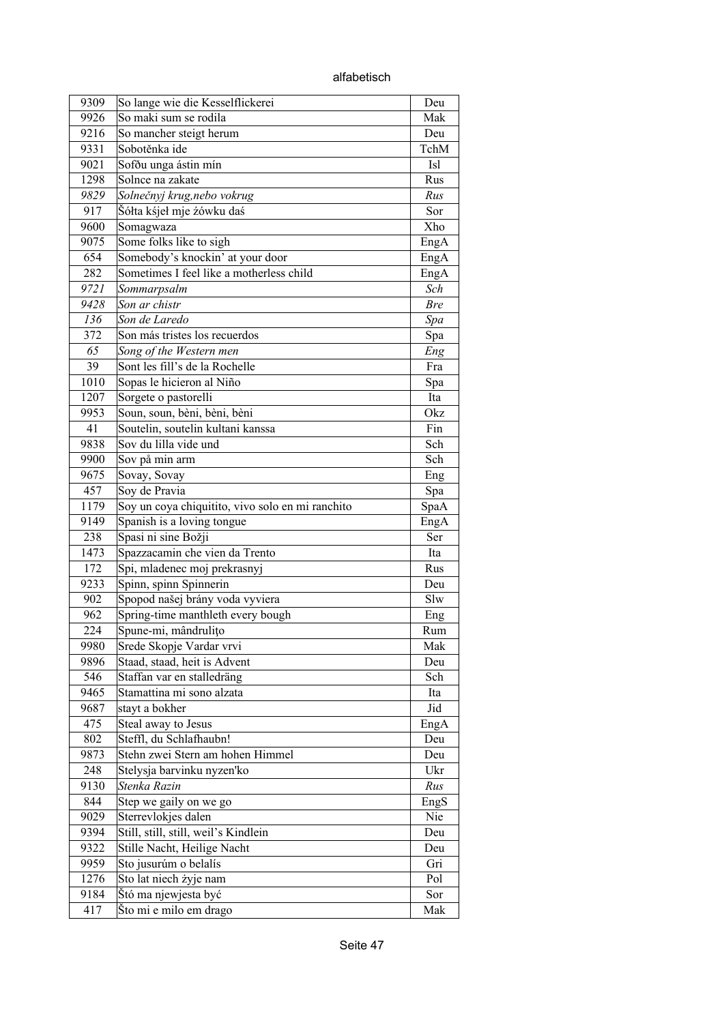| 9309 | So lange wie die Kesselflickerei                 | Deu        |
|------|--------------------------------------------------|------------|
| 9926 | So maki sum se rodila                            | Mak        |
| 9216 | So mancher steigt herum                          | Deu        |
| 9331 | Sobotěnka ide                                    | TchM       |
| 9021 | Sofðu unga ástin mín                             | Isl        |
| 1298 | Solnce na zakate                                 | Rus        |
| 9829 | Solnečnyj krug,nebo vokrug                       | Rus        |
| 917  | Šółta kśjeł mje źówku daś                        | Sor        |
| 9600 | Somagwaza                                        | Xho        |
| 9075 | Some folks like to sigh                          | EngA       |
| 654  | Somebody's knockin' at your door                 | EngA       |
| 282  | Sometimes I feel like a motherless child         | EngA       |
| 9721 | Sommarpsalm                                      | Sch        |
| 9428 | Son ar chistr                                    | <b>Bre</b> |
| 136  | Son de Laredo                                    | Spa        |
| 372  | Son más tristes los recuerdos                    | Spa        |
| 65   | Song of the Western men                          | Eng        |
| 39   | Sont les fill's de la Rochelle                   | Fra        |
| 1010 | Sopas le hicieron al Niño                        | Spa        |
| 1207 | Sorgete o pastorelli                             | Ita        |
| 9953 | Soun, soun, bèni, bèni, bèni                     | Okz        |
| 41   | Soutelin, soutelin kultani kanssa                | Fin        |
| 9838 | Sov du lilla vide und                            | Sch        |
| 9900 | Sov på min arm                                   | Sch        |
| 9675 | Sovay, Sovay                                     | Eng        |
| 457  | Soy de Pravia                                    | Spa        |
| 1179 | Soy un coya chiquitito, vivo solo en mi ranchito | SpaA       |
| 9149 | Spanish is a loving tongue                       | EngA       |
| 238  | Spasi ni sine Božji                              | Ser        |
| 1473 | Spazzacamin che vien da Trento                   | Ita        |
| 172  | Spi, mladenec moj prekrasnyj                     | Rus        |
| 9233 | Spinn, spinn Spinnerin                           | Deu        |
| 902  | Spopod našej brány voda vyviera                  | Slw        |
| 962  | Spring-time manthleth every bough                | Eng        |
| 224  | Spune-mi, mândrulițo                             | Rum        |
| 9980 | Srede Skopje Vardar vrvi                         | Mak        |
| 9896 | Staad, staad, heit is Advent                     | Deu        |
| 546  | Staffan var en stalledräng                       | Sch        |
| 9465 | Stamattina mi sono alzata                        | Ita        |
| 9687 | stayt a bokher                                   | Jid        |
| 475  | Steal away to Jesus                              | EngA       |
| 802  | Steffl, du Schlafhaubn!                          | Deu        |
| 9873 | Stehn zwei Stern am hohen Himmel                 | Deu        |
| 248  | Stelysja barvinku nyzen'ko                       | Ukr        |
| 9130 | Stenka Razin                                     | Rus        |
| 844  | Step we gaily on we go                           | EngS       |
| 9029 | Sterrevlokjes dalen                              | Nie        |
| 9394 | Still, still, still, weil's Kindlein             | Deu        |
| 9322 | Stille Nacht, Heilige Nacht                      | Deu        |
| 9959 | Sto jusurúm o belalís                            | Gri        |
| 1276 | Sto lat niech żyje nam                           | Pol        |
| 9184 | Štó ma njewjesta być                             | Sor        |
| 417  | Što mi e milo em drago                           | Mak        |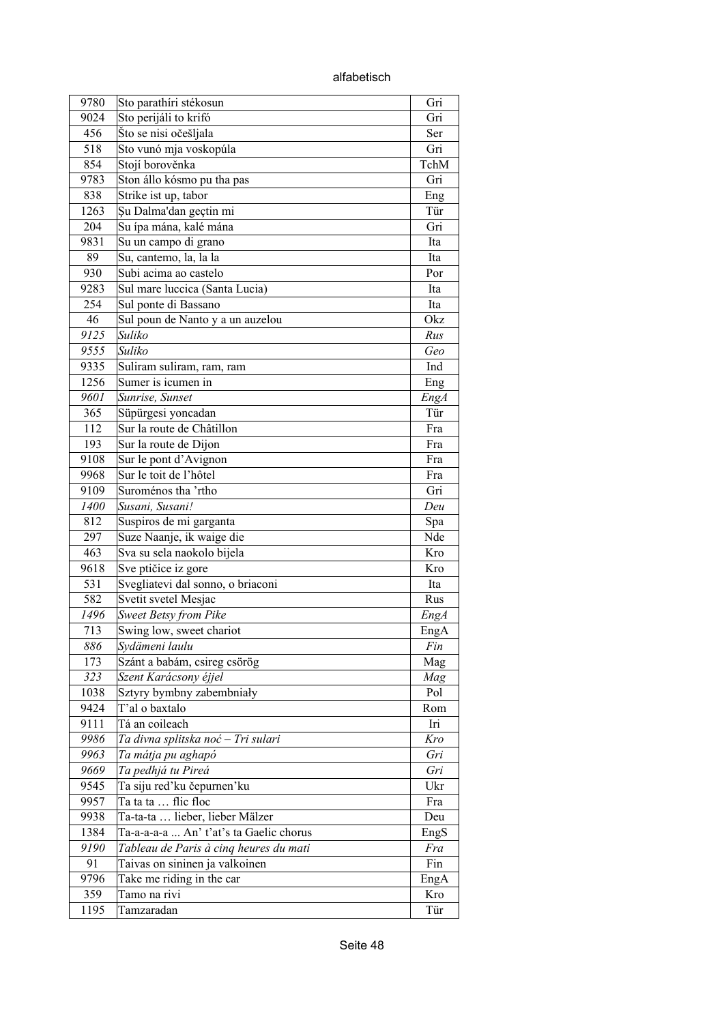alfabetisch

| 9780 | Sto parathíri stékosun                  | Gri         |
|------|-----------------------------------------|-------------|
| 9024 | Sto perijáli to krifó                   | Gri         |
| 456  | Što se nisi očešljala                   | Ser         |
| 518  | Sto vunó mja voskopúla                  | Gri         |
| 854  | Stojí borověnka                         | TchM        |
| 9783 | Ston állo kósmo pu tha pas              | Gri         |
| 838  | Strike ist up, tabor                    | Eng         |
| 1263 | Şu Dalma'dan geçtin mi                  | Tür         |
| 204  | Su ípa mána, kalé mána                  | Gri         |
| 9831 | Su un campo di grano                    | Ita         |
| 89   | Su, cantemo, la, la la                  | Ita         |
| 930  | Subi acima ao castelo                   | Por         |
|      |                                         |             |
| 9283 | Sul mare luccica (Santa Lucia)          | Ita         |
| 254  | Sul ponte di Bassano                    | Ita         |
| 46   | Sul poun de Nanto y a un auzelou        | Okz         |
| 9125 | Suliko                                  | Rus         |
| 9555 | Suliko                                  | Geo         |
| 9335 | Suliram suliram, ram, ram               | Ind         |
| 1256 | Sumer is icumen in                      | Eng         |
| 9601 | Sunrise, Sunset                         | <b>EngA</b> |
| 365  | Süpürgesi yoncadan                      | Tür         |
| 112  | Sur la route de Châtillon               | Fra         |
| 193  | Sur la route de Dijon                   | Fra         |
| 9108 | Sur le pont d'Avignon                   | Fra         |
| 9968 | Sur le toit de l'hôtel                  | Fra         |
| 9109 | Suroménos tha 'rtho                     | Gri         |
| 1400 | Susani, Susani!                         | Deu         |
| 812  | Suspiros de mi garganta                 | Spa         |
| 297  | Suze Naanje, ik waige die               | Nde         |
| 463  | Sva su sela naokolo bijela              | Kro         |
| 9618 | Sve ptičice iz gore                     | Kro         |
| 531  | Svegliatevi dal sonno, o briaconi       | Ita         |
| 582  | Svetit svetel Mesjac                    | Rus         |
| 1496 | Sweet Betsy from Pike                   | EngA        |
| 713  | Swing low, sweet chariot                | EngA        |
| 886  | Sydämeni laulu                          | Fin         |
| 173  | Szánt a babám, csireg csörög            | Mag         |
| 323  |                                         |             |
|      | Szent Karácsony éjjel                   | Mag<br>Pol  |
| 1038 | Sztyry bymbny zabembniały               |             |
| 9424 | T'al o baxtalo                          | Rom         |
| 9111 | Tá an coileach                          | Iri         |
| 9986 | Ta divna splitska noć - Tri sulari      | Kro         |
| 9963 | Ta mátja pu aghapó                      | Gri         |
| 9669 | Ta pedhjá tu Pireá                      | Gri         |
| 9545 | Ta siju red'ku čepurnen'ku              | Ukr         |
| 9957 | Ta ta ta  flic floc                     | Fra         |
| 9938 | Ta-ta-ta  lieber, lieber Mälzer         | Deu         |
| 1384 | Ta-a-a-a-a  An' t'at's ta Gaelic chorus | EngS        |
| 9190 | Tableau de Paris à cinq heures du mati  | Fra         |
| 91   | Taivas on sininen ja valkoinen          | Fin         |
| 9796 | Take me riding in the car               | EngA        |
| 359  | Tamo na rivi                            | Kro         |
| 1195 | Tamzaradan                              | Tür         |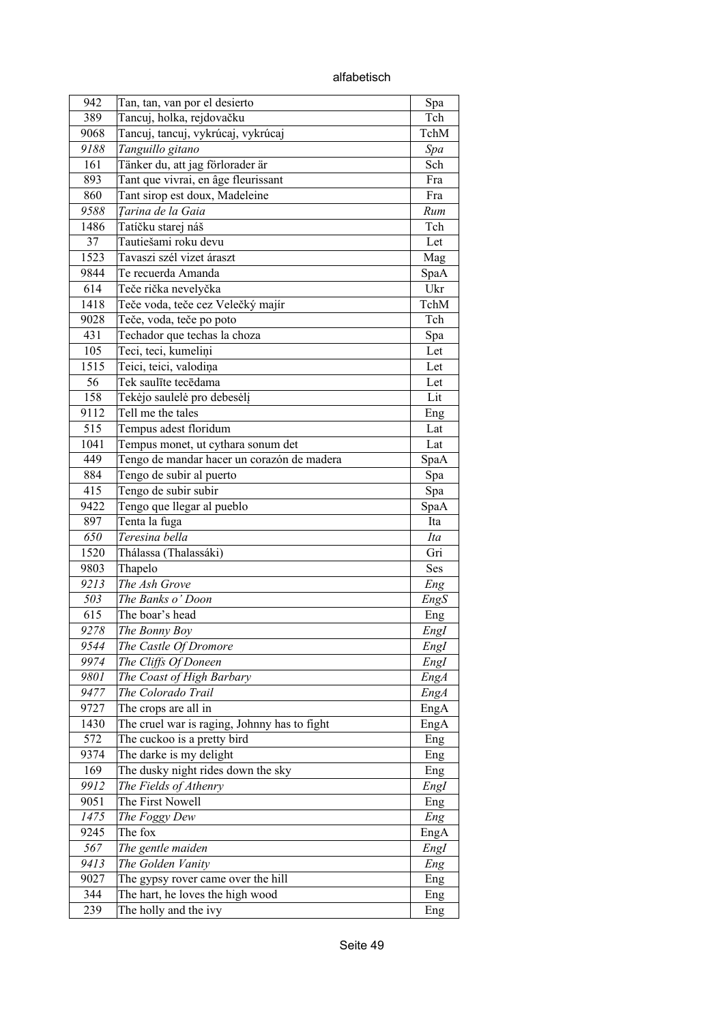alfabetisch

| 942      | Tan, tan, van por el desierto                | Spa         |
|----------|----------------------------------------------|-------------|
| 389      | Tancuj, holka, rejdovačku                    | Tch         |
| 9068     | Tancuj, tancuj, vykrúcaj, vykrúcaj           | TchM        |
| 9188     | Tanguillo gitano                             | Spa         |
| 161      | Tänker du, att jag förlorader är             | Sch         |
| 893      | Tant que vivrai, en âge fleurissant          | Fra         |
| 860      | Tant sirop est doux, Madeleine               | Fra         |
| 9588     | Tarina de la Gaia                            | Rum         |
| 1486     | Tatíčku starej náš                           | Tch         |
| 37       | Tautiešami roku devu                         |             |
|          |                                              | Let         |
| 1523     | Tavaszi szél vizet áraszt                    | Mag         |
| 9844     | Te recuerda Amanda                           | SpaA        |
| 614      | Teče rička nevelyčka                         | Ukr         |
| 1418     | Teče voda, teče cez Velečký majír            | TchM        |
| 9028     | Teče, voda, teče po poto                     | Tch         |
| 431      | Techador que techas la choza                 | Spa         |
| 105      | Teci, teci, kumeliņi                         | Let         |
| 1515     | Teici, teici, valodiņa                       | Let         |
| 56       | Tek saulīte tecēdama                         | Let         |
| 158      | Tekėjo saulelė pro debesėlį                  | Lit         |
| 9112     | Tell me the tales                            | Eng         |
| 515      | Tempus adest floridum                        | Lat         |
| 1041     | Tempus monet, ut cythara sonum det           | Lat         |
| 449      | Tengo de mandar hacer un corazón de madera   | SpaA        |
| 884      | Tengo de subir al puerto                     | Spa         |
| 415      | Tengo de subir subir                         | Spa         |
| 9422     | Tengo que llegar al pueblo                   | SpaA        |
| 897      | Tenta la fuga                                | Ita         |
| 650      | Teresina bella                               | Ita         |
| 1520     | Thálassa (Thalassáki)                        | Gri         |
| 9803     | Thapelo                                      | <b>Ses</b>  |
| 9213     | The Ash Grove                                | Eng         |
| 503      | The Banks o' Doon                            | EngS        |
| 615      | The boar's head                              | Eng         |
| 9278     | The Bonny Boy                                | Engl        |
| 9544     | The Castle Of Dromore                        |             |
|          |                                              | EngI        |
| 9974     | The Cliffs Of Doneen                         | EngI        |
| 9801     | The Coast of High Barbary                    | EngA        |
| 9477     | The Colorado Trail                           | <b>EngA</b> |
| 9727     | The crops are all in                         | EngA        |
| 1430     | The cruel war is raging, Johnny has to fight | EngA        |
| 572      | The cuckoo is a pretty bird                  | Eng         |
| 9374     | The darke is my delight                      | Eng         |
| 169      | The dusky night rides down the sky           | Eng         |
| 9912     | The Fields of Athenry                        | EngI        |
| 9051     | The First Nowell                             | Eng         |
| $1475\,$ | The Foggy Dew                                | Eng         |
| 9245     | The fox                                      | EngA        |
| 567      | The gentle maiden                            | EngI        |
| 9413     | The Golden Vanity                            | Eng         |
| 9027     | The gypsy rover came over the hill           | Eng         |
| 344      | The hart, he loves the high wood             | Eng         |
| 239      | The holly and the ivy                        | Eng         |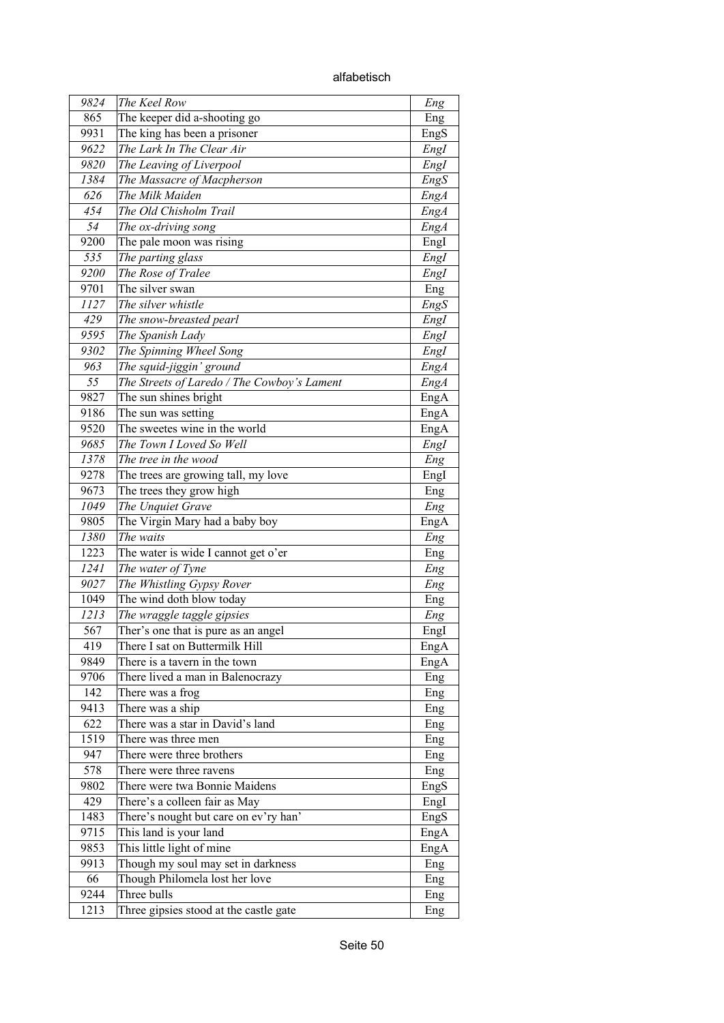alfabetisch

| 9824        | The Keel Row                                            | Eng         |
|-------------|---------------------------------------------------------|-------------|
| 865         | The keeper did a-shooting go                            | Eng         |
| 9931        | The king has been a prisoner                            | EngS        |
| 9622        | The Lark In The Clear Air                               | EngI        |
| 9820        | The Leaving of Liverpool                                | EngI        |
| 1384        | The Massacre of Macpherson                              | EngS        |
| 626         | The Milk Maiden                                         | EngA        |
| 454         | The Old Chisholm Trail                                  | EngA        |
| 54          | The ox-driving song                                     | EngA        |
| 9200        | The pale moon was rising                                | EngI        |
| 535         | The parting glass                                       | EngI        |
| 9200        | The Rose of Tralee                                      | EngI        |
| 9701        | The silver swan                                         | Eng         |
| 1127        | The silver whistle                                      | EngS        |
| 429         | The snow-breasted pearl                                 | Engl        |
| 9595        | The Spanish Lady                                        | Engl        |
| 9302        | The Spinning Wheel Song                                 | EngI        |
| 963         | The squid-jiggin' ground                                | EngA        |
| 55          | The Streets of Laredo / The Cowboy's Lament             | <b>EngA</b> |
| 9827        | The sun shines bright                                   | EngA        |
| 9186        | The sun was setting                                     | EngA        |
| 9520        | The sweetes wine in the world                           | EngA        |
| 9685        | The Town I Loved So Well                                | EngI        |
| 1378        | The tree in the wood                                    | Eng         |
| 9278        | The trees are growing tall, my love                     | Engl        |
| 9673        | The trees they grow high                                | Eng         |
| 1049        | The Unquiet Grave                                       | Eng         |
| 9805        | The Virgin Mary had a baby boy                          | EngA        |
| 1380        | The waits                                               | Eng         |
| 1223        | The water is wide I cannot get o'er                     | Eng         |
| 1241        | The water of Tyne                                       | Eng         |
| 9027        | The Whistling Gypsy Rover                               | Eng         |
| 1049        | The wind doth blow today                                | Eng         |
| 1213        | The wraggle taggle gipsies                              |             |
| 567         | Ther's one that is pure as an angel                     | Eng         |
| 419         | There I sat on Buttermilk Hill                          | Engl        |
| 9849        | There is a tavern in the town                           | EngA        |
|             |                                                         | EngA        |
| 9706        | There lived a man in Balenocrazy                        | Eng         |
| 142<br>9413 | There was a frog<br>There was a ship                    | Eng         |
|             |                                                         | Eng         |
| 622<br>1519 | There was a star in David's land<br>There was three men | Eng         |
|             |                                                         | Eng         |
| 947         | There were three brothers                               | Eng         |
| 578         | There were three ravens                                 | Eng         |
| 9802        | There were twa Bonnie Maidens                           | EngS        |
| 429         | There's a colleen fair as May                           | EngI        |
| 1483        | There's nought but care on ev'ry han'                   | EngS        |
| 9715        | This land is your land                                  | EngA        |
| 9853        | This little light of mine                               | EngA        |
| 9913        | Though my soul may set in darkness                      | Eng         |
| 66          | Though Philomela lost her love                          | Eng         |
| 9244        | Three bulls                                             | Eng         |
| 1213        | Three gipsies stood at the castle gate                  | Eng         |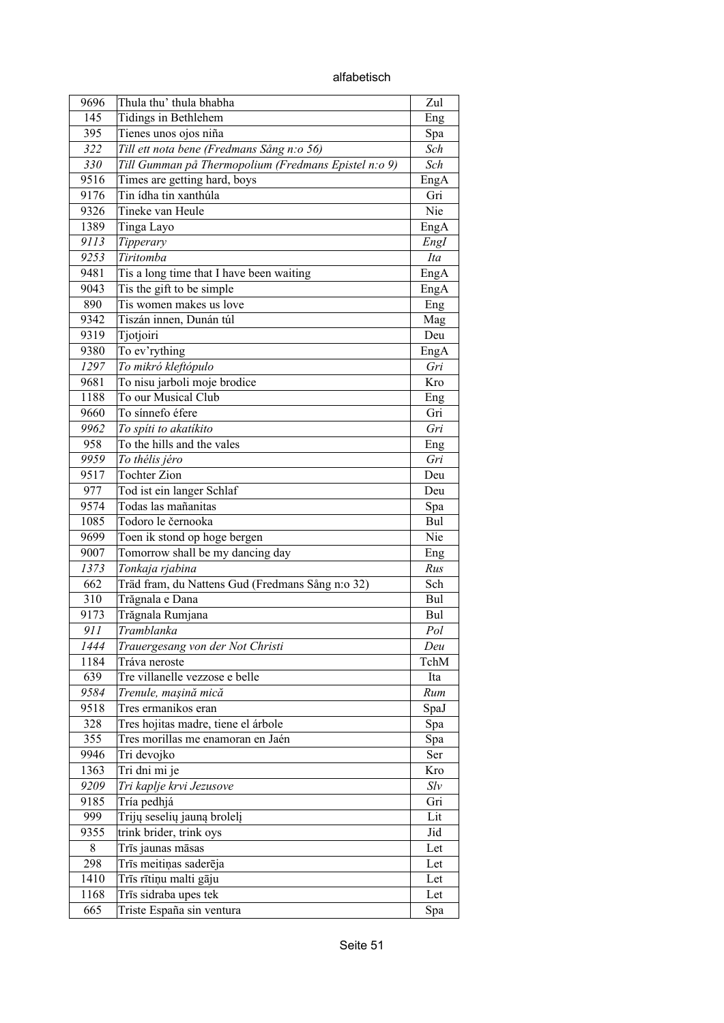alfabetisch

| 9696 | Thula thu' thula bhabha                              | Zul  |
|------|------------------------------------------------------|------|
| 145  | Tidings in Bethlehem                                 | Eng  |
| 395  | Tienes unos ojos niña                                | Spa  |
| 322  | Till ett nota bene (Fredmans Sång n:o 56)            | Sch  |
| 330  | Till Gumman på Thermopolium (Fredmans Epistel n:o 9) | Sch  |
| 9516 | Times are getting hard, boys                         | EngA |
| 9176 | Tin ídha tin xanthúla                                | Gri  |
| 9326 | Tineke van Heule                                     | Nie  |
| 1389 | Tinga Layo                                           | EngA |
| 9113 | Tipperary                                            | EngI |
| 9253 | Tiritomba                                            | Ita  |
| 9481 | Tis a long time that I have been waiting             | EngA |
| 9043 | Tis the gift to be simple                            | EngA |
| 890  | Tis women makes us love                              | Eng  |
| 9342 | Tiszán innen, Dunán túl                              | Mag  |
| 9319 | Tjotjoiri                                            | Deu  |
| 9380 | To ev'rything                                        | EngA |
| 1297 | To mikró kleftópulo                                  | Gri  |
| 9681 | To nisu jarboli moje brodice                         | Kro  |
| 1188 | To our Musical Club                                  | Eng  |
| 9660 | To sínnefo éfere                                     | Gri  |
| 9962 | To spíti to akatíkito                                | Gri  |
| 958  | To the hills and the vales                           | Eng  |
| 9959 | To thélis jéro                                       | Gri  |
| 9517 | <b>Tochter Zion</b>                                  | Deu  |
| 977  | Tod ist ein langer Schlaf                            | Deu  |
| 9574 | Todas las mañanitas                                  | Spa  |
| 1085 | Todoro le černooka                                   | Bul  |
| 9699 | Toen ik stond op hoge bergen                         | Nie  |
| 9007 | Tomorrow shall be my dancing day                     | Eng  |
| 1373 | Tonkaja rjabina                                      | Rus  |
| 662  | Träd fram, du Nattens Gud (Fredmans Sång n:o 32)     | Sch  |
| 310  | Trăgnala e Dana                                      | Bul  |
| 9173 | Trăgnala Rumjana                                     | Bul  |
| 911  | Tramblanka                                           | Pol  |
| 1444 | Trauergesang von der Not Christi                     | Deu  |
| 1184 | Tráva neroste                                        | TchM |
| 639  | Tre villanelle vezzose e belle                       | Ita  |
| 9584 | Trenule, mașină mică                                 | Rum  |
| 9518 | Tres ermanikos eran                                  | SpaJ |
| 328  | Tres hojitas madre, tiene el árbole                  | Spa  |
| 355  | Tres morillas me enamoran en Jaén                    | Spa  |
| 9946 | Tri devojko                                          | Ser  |
| 1363 | Tri dni mi je                                        | Kro  |
| 9209 | Tri kaplje krvi Jezusove                             | Slv  |
| 9185 | Tría pedhjá                                          | Gri  |
| 999  | Trijų seselių jauną brolelį                          | Lit  |
| 9355 | trink brider, trink oys                              | Jid  |
| 8    | Trīs jaunas māsas                                    | Let  |
| 298  | Trīs meitiņas saderēja                               | Let  |
| 1410 | Trīs rītiņu malti gāju                               | Let  |
| 1168 | Trīs sidraba upes tek                                | Let  |
| 665  | Triste España sin ventura                            |      |
|      |                                                      | Spa  |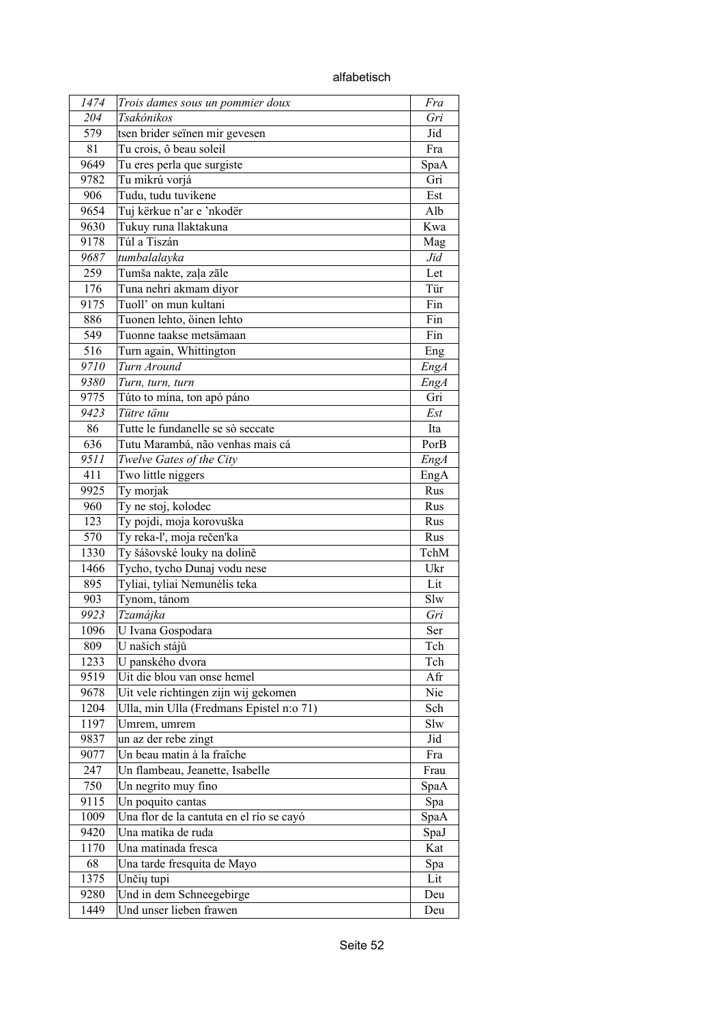| 1474 | Trois dames sous un pommier doux         | Fra         |
|------|------------------------------------------|-------------|
| 204  | Tsakónikos                               | Gri         |
| 579  | tsen brider seïnen mir gevesen           | Jid         |
| 81   | Tu crois, ô beau soleil                  | Fra         |
| 9649 | Tu eres perla que surgiste               | SpaA        |
| 9782 | Tu mikrú vorjá                           | Gri         |
| 906  | Tudu, tudu tuvikene                      | Est         |
| 9654 | Tuj kërkue n'ar e 'nkodër                | Alb         |
| 9630 | Tukuy runa llaktakuna                    | Kwa         |
| 9178 | Túl a Tiszán                             | Mag         |
| 9687 | tumbalalayka                             | Jid         |
| 259  | Tumša nakte, zaļa zāle                   | Let         |
| 176  | Tuna nehri akmam diyor                   | Tür         |
| 9175 | Tuoll' on mun kultani                    | Fin         |
| 886  | Tuonen lehto, öinen lehto                | Fin         |
| 549  | Tuonne taakse metsämaan                  | Fin         |
| 516  | Turn again, Whittington                  | Eng         |
| 9710 | Turn Around                              | <b>EngA</b> |
| 9380 | Turn, turn, turn                         | EngA        |
| 9775 | Túto to mína, ton apó páno               | Gri         |
| 9423 | Tütre tänu                               | Est         |
| 86   | Tutte le fundanelle se sò seccate        | Ita         |
| 636  | Tutu Marambá, não venhas mais cá         | PorB        |
| 9511 | Twelve Gates of the City                 | EngA        |
| 411  | Two little niggers                       | EngA        |
| 9925 | Ty morjak                                | Rus         |
| 960  | Ty ne stoj, kolodec                      | Rus         |
| 123  | Ty pojdi, moja korovuška                 | Rus         |
| 570  | Ty reka-l', moja rečen'ka                | Rus         |
| 1330 | Ty šášovské louky na dolině              | TchM        |
| 1466 | Tycho, tycho Dunaj vodu nese             | Ukr         |
| 895  | Tyliai, tyliai Nemunėlis teka            | Lit         |
| 903  | Tynom, tánom                             | Slw         |
| 9923 | Tzamájka                                 | Gri         |
| 1096 | U Ivana Gospodara                        | Ser         |
| 809  | U našich stájů                           | Tch         |
| 1233 | U panského dvora                         | Tch         |
| 9519 | Uit die blou van onse hemel              | Afr         |
| 9678 | Uit vele richtingen zijn wij gekomen     | Nie         |
| 1204 | Ulla, min Ulla (Fredmans Epistel n:o 71) | Sch         |
| 1197 | Umrem, umrem                             | Slw         |
| 9837 | un az der rebe zingt                     | Jid         |
| 9077 | Un beau matin à la fraîche               | Fra         |
| 247  | Un flambeau, Jeanette, Isabelle          | Frau        |
| 750  | Un negrito muy fino                      | SpaA        |
| 9115 | Un poquito cantas                        | Spa         |
| 1009 | Una flor de la cantuta en el río se cayó | SpaA        |
| 9420 | Una matika de ruda                       | SpaJ        |
| 1170 | Una matinada fresca                      | Kat         |
| 68   | Una tarde fresquita de Mayo              | Spa         |
| 1375 | Unčių tupi                               | Lit         |
| 9280 | Und in dem Schneegebirge                 | Deu         |
| 1449 | Und unser lieben frawen                  | Deu         |
|      |                                          |             |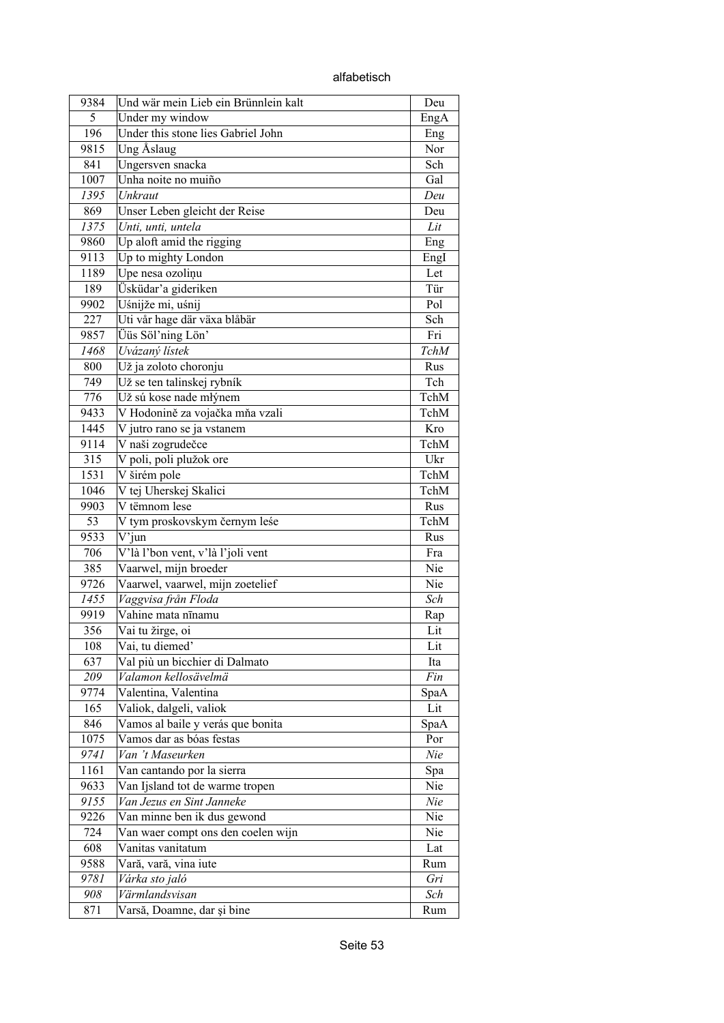| 9384         |                                                               |            |
|--------------|---------------------------------------------------------------|------------|
| 5            | Und wär mein Lieb ein Brünnlein kalt                          | Deu        |
| 196          | Under my window<br>Under this stone lies Gabriel John         | EngA       |
| 9815         | Ung Åslaug                                                    | Eng<br>Nor |
| 841          | Ungersven snacka                                              | Sch        |
| 1007         | Unha noite no muiño                                           | Gal        |
|              | Unkraut                                                       |            |
| 1395<br>869  |                                                               | Deu<br>Deu |
| 1375         | Unser Leben gleicht der Reise<br>Unti, unti, untela           | Lit        |
| 9860         | Up aloft amid the rigging                                     |            |
|              |                                                               | Eng        |
| 9113         | Up to mighty London                                           | EngI       |
| 1189<br>189  | Upe nesa ozoliņu                                              | Let<br>Tür |
|              | Üsküdar'a gideriken                                           |            |
| 9902         | Uśnijže mi, uśnij                                             | Pol<br>Sch |
| 227          | Uti vår hage där växa blåbär<br>Üüs Söl'ning Lön'             |            |
| 9857<br>1468 |                                                               | Fri        |
|              | Uvázaný lístek                                                | TchM       |
| 800          | Už ja zoloto choronju                                         | Rus        |
| 749          | Už se ten talinskej rybník                                    | Tch        |
| 776          | Už sú kose nade młýnem                                        | TchM       |
| 9433         | V Hodonině za vojačka mňa vzali                               | TchM       |
| 1445         | V jutro rano se ja vstanem                                    | Kro        |
| 9114         | V naši zogrudečce                                             | TchM       |
| 315          | V poli, poli plužok ore                                       | Ukr        |
| 1531         | $\bar{V}$ širém pole                                          | TchM       |
| 1046         | V tej Uherskej Skalici                                        | TchM       |
| 9903         | V tëmnom lese                                                 | Rus        |
| 53           | V tym proskovskym černym leśe                                 | TchM       |
| 9533         | $V'$ jun                                                      | Rus        |
| 706          | V'là l'bon vent, v'là l'joli vent                             | Fra        |
| 385          | Vaarwel, mijn broeder                                         | Nie        |
| 9726         | Vaarwel, vaarwel, mijn zoetelief                              | Nie        |
| 1455         | Vaggvisa från Floda                                           | Sch        |
| 9919         | Vahine mata nīnamu                                            | Rap        |
| 356          | Vai tu žirge, oi                                              | Lit        |
| 108          | Vai, tu diemed'                                               | Lit        |
| 637          | Val più un bicchier di Dalmato                                | Ita        |
| 209          | Valamon kellosävelmä<br>Valentina, Valentina                  | Fin        |
| 9774         |                                                               | SpaA       |
| 165<br>846   | Valiok, dalgeli, valiok                                       | Lit        |
|              | Vamos al baile y verás que bonita<br>Vamos dar as bóas festas | SpaA       |
| 1075         | Van 't Maseurken                                              | Por        |
| 9741<br>1161 |                                                               | Nie        |
| 9633         | Van cantando por la sierra<br>Van Ijsland tot de warme tropen | Spa<br>Nie |
|              | Van Jezus en Sint Janneke                                     |            |
| 9155<br>9226 |                                                               | Nie<br>Nie |
| 724          | Van minne ben ik dus gewond                                   | Nie        |
| 608          | Van waer compt ons den coelen wijn<br>Vanitas vanitatum       |            |
| 9588         |                                                               | Lat        |
| 9781         | Vară, vară, vina iute                                         | Rum<br>Gri |
|              | Várka sto jaló<br>Värmlandsvisan                              | Sch        |
| 908          |                                                               |            |
| 871          | Varsă, Doamne, dar și bine                                    | Rum        |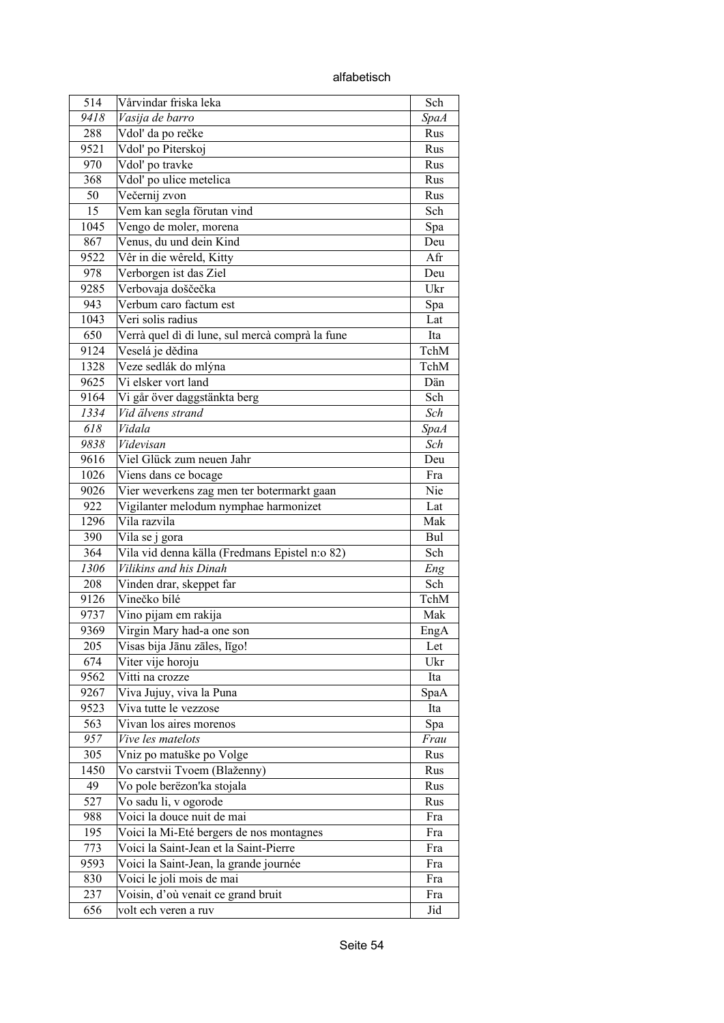alfabetisch

| 514  | Vårvindar friska leka                           | Sch         |
|------|-------------------------------------------------|-------------|
| 9418 | Vasija de barro                                 | <b>SpaA</b> |
| 288  | Vdol' da po rečke                               | Rus         |
| 9521 | Vdol' po Piterskoj                              | Rus         |
| 970  | Vdol' po travke                                 | Rus         |
| 368  | Vdol' po ulice metelica                         | Rus         |
| 50   | Večernij zvon                                   | Rus         |
| 15   | Vem kan segla förutan vind                      | Sch         |
| 1045 | Vengo de moler, morena                          | Spa         |
| 867  | Venus, du und dein Kind                         | Deu         |
| 9522 | Vêr in die wêreld, Kitty                        | Afr         |
| 978  | Verborgen ist das Ziel                          | Deu         |
| 9285 | Verbovaja doščečka                              | Ukr         |
| 943  | Verbum caro factum est                          | Spa         |
| 1043 | Veri solis radius                               | Lat         |
| 650  | Verrà quel dì di lune, sul mercà comprà la fune | Ita         |
| 9124 | Veselá je dědina                                | TchM        |
| 1328 | Veze sedlák do mlýna                            | TchM        |
| 9625 | Vi elsker vort land                             | Dän         |
| 9164 | Vi går över daggstänkta berg                    | Sch         |
| 1334 | Vid älvens strand                               | Sch         |
| 618  | Vidala                                          | <b>SpaA</b> |
| 9838 | Videvisan                                       | Sch         |
| 9616 | Viel Glück zum neuen Jahr                       | Deu         |
| 1026 | Viens dans ce bocage                            | Fra         |
| 9026 | Vier weverkens zag men ter botermarkt gaan      | Nie         |
| 922  | Vigilanter melodum nymphae harmonizet           | Lat         |
| 1296 | Vila razvila                                    | Mak         |
| 390  | Vila se j gora                                  | Bul         |
| 364  | Vila vid denna källa (Fredmans Epistel n:o 82)  | Sch         |
| 1306 | Vilikins and his Dinah                          | Eng         |
| 208  | Vinden drar, skeppet far                        | Sch         |
| 9126 | Vinečko bílé                                    | TchM        |
| 9737 | Vino pijam em rakija                            | Mak         |
| 9369 | Virgin Mary had-a one son                       | EngA        |
| 205  | Visas bija Jānu zāles, līgo!                    | Let         |
| 674  | Viter vije horoju                               | Ukr         |
| 9562 | Vitti na crozze                                 | Ita         |
| 9267 | Viva Jujuy, viva la Puna                        | SpaA        |
| 9523 | Viva tutte le vezzose                           | Ita         |
| 563  | Vivan los aires morenos                         | Spa         |
| 957  | Vive les matelots                               | Frau        |
| 305  | Vniz po matuške po Volge                        | Rus         |
| 1450 | Vo carstvii Tvoem (Blaženny)                    | Rus         |
| 49   | Vo pole berëzon'ka stojala                      | Rus         |
| 527  | Vo sadu li, v ogorode                           | Rus         |
| 988  | Voici la douce nuit de mai                      | Fra         |
| 195  | Voici la Mi-Eté bergers de nos montagnes        | Fra         |
| 773  | Voici la Saint-Jean et la Saint-Pierre          | Fra         |
| 9593 | Voici la Saint-Jean, la grande journée          | Fra         |
| 830  | Voici le joli mois de mai                       | Fra         |
| 237  | Voisin, d'où venait ce grand bruit              | Fra         |
| 656  | volt ech veren a ruv                            | Jid         |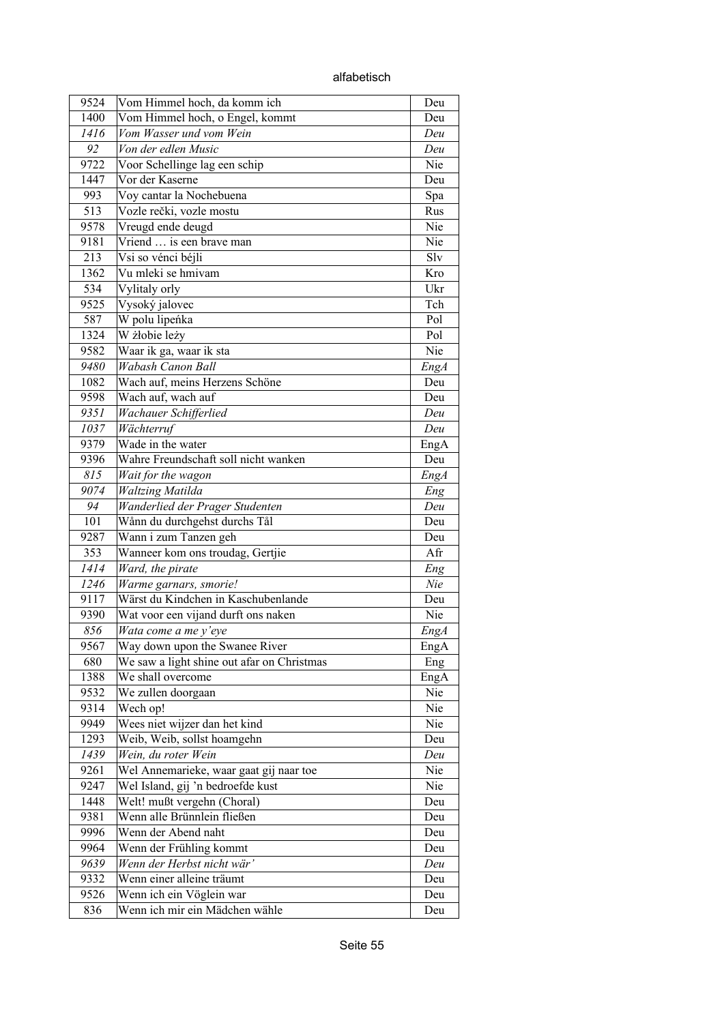| 9524        | Vom Himmel hoch, da komm ich                                                 | Deu         |
|-------------|------------------------------------------------------------------------------|-------------|
| 1400        | Vom Himmel hoch, o Engel, kommt                                              | Deu         |
| 1416        | Vom Wasser und vom Wein                                                      | Deu         |
| 92          | Von der edlen Music                                                          | Deu         |
| 9722        | Voor Schellinge lag een schip                                                | Nie         |
| 1447        | Vor der Kaserne                                                              | Deu         |
| 993         | Voy cantar la Nochebuena                                                     | Spa         |
| 513         | Vozle rečki, vozle mostu                                                     | Rus         |
| 9578        | Vreugd ende deugd                                                            | Nie         |
| 9181        | Vriend  is een brave man                                                     | Nie         |
| 213         | Vsi so vénci béjli                                                           | Slv         |
| 1362        | $\overline{Vu}$ mleki se hmivam                                              | Kro         |
| 534         | Vylitaly orly                                                                | Ukr         |
| 9525        | Vysoký jalovec                                                               | Tch         |
| 587         | W polu lipeńka                                                               | Pol         |
| 1324        | W żłobie leży                                                                | Pol         |
| 9582        | Waar ik ga, waar ik sta                                                      | Nie         |
| 9480        | Wabash Canon Ball                                                            | EngA        |
| 1082        | Wach auf, meins Herzens Schöne                                               | Deu         |
| 9598        | Wach auf, wach auf                                                           | Deu         |
| 9351        | Wachauer Schifferlied                                                        | Deu         |
| 1037        | Wächterruf                                                                   | Deu         |
| 9379        | Wade in the water                                                            | EngA        |
| 9396        | Wahre Freundschaft soll nicht wanken                                         | Deu         |
| 815         | Wait for the wagon                                                           | EngA        |
| 9074        | <b>Waltzing Matilda</b>                                                      | Eng         |
| 94          | Wanderlied der Prager Studenten                                              | Deu         |
| 101         | Wånn du durchgehst durchs Tål                                                | Deu         |
| 9287        | Wann i zum Tanzen geh                                                        | Deu         |
| 353         | Wanneer kom ons troudag, Gertjie                                             | Afr         |
| 1414        | Ward, the pirate                                                             | Eng         |
| 1246        | Warme garnars, smorie!                                                       | Nie         |
| 9117        | Wärst du Kindchen in Kaschubenlande                                          | Deu         |
| 9390        | Wat voor een vijand durft ons naken                                          | Nie         |
| 856         |                                                                              |             |
|             | Wata come a me y'eye                                                         | EngA        |
| 9567<br>680 | Way down upon the Swanee River<br>We saw a light shine out afar on Christmas | EngA        |
|             | We shall overcome                                                            | Eng         |
| 1388        |                                                                              | EngA<br>Nie |
| 9532        | We zullen doorgaan                                                           | Nie         |
| 9314        | Wech op!                                                                     |             |
| 9949        | Wees niet wijzer dan het kind<br>Weib, Weib, sollst hoamgehn                 | Nie         |
| 1293        |                                                                              | Deu         |
| 1439        | Wein, du roter Wein                                                          | Deu         |
| 9261        | Wel Annemarieke, waar gaat gij naar toe                                      | Nie         |
| 9247        | Wel Island, gij 'n bedroefde kust                                            | Nie         |
| 1448        | Welt! mußt vergehn (Choral)                                                  | Deu         |
| 9381        | Wenn alle Brünnlein fließen                                                  | Deu         |
| 9996        | Wenn der Abend naht                                                          | Deu         |
| 9964        | Wenn der Frühling kommt                                                      | Deu         |
| 9639        | Wenn der Herbst nicht wär'                                                   | Deu         |
| 9332        | Wenn einer alleine träumt                                                    | Deu         |
| 9526        | Wenn ich ein Vöglein war                                                     | Deu         |
| 836         | Wenn ich mir ein Mädchen wähle                                               | Deu         |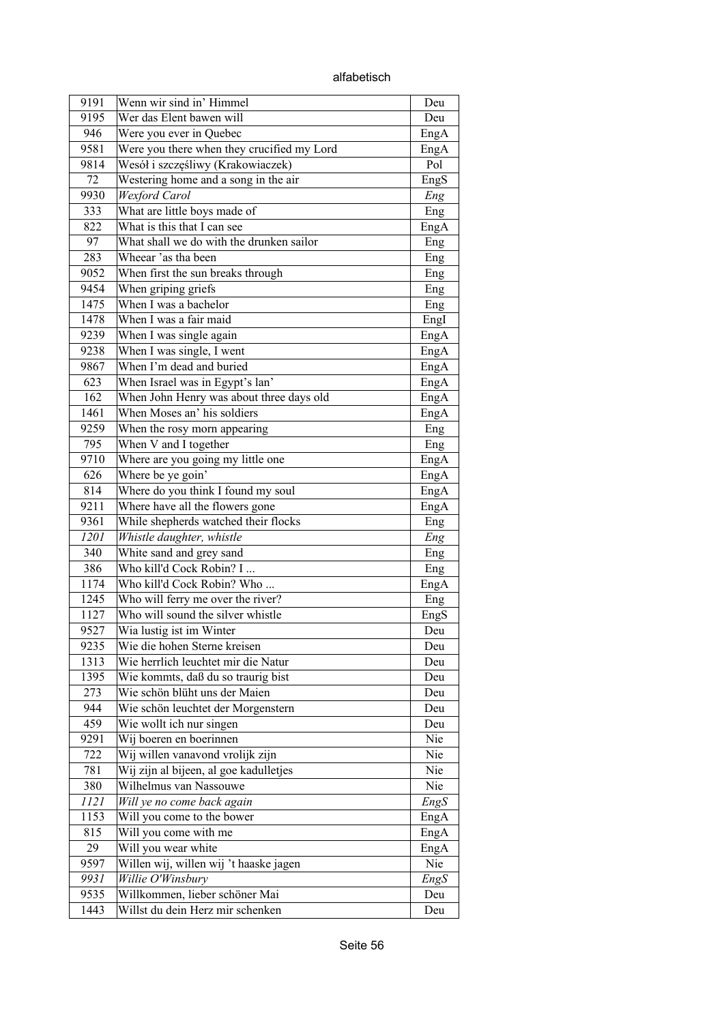alfabetisch

| 9191 | Wenn wir sind in' Himmel                   | Deu  |
|------|--------------------------------------------|------|
| 9195 | Wer das Elent bawen will                   | Deu  |
| 946  | Were you ever in Quebec                    | EngA |
| 9581 | Were you there when they crucified my Lord | EngA |
| 9814 | Wesół i szczęśliwy (Krakowiaczek)          | Pol  |
| 72   | Westering home and a song in the air       | EngS |
| 9930 | Wexford Carol                              | Eng  |
| 333  | What are little boys made of               | Eng  |
| 822  | What is this that I can see                | EngA |
| 97   | What shall we do with the drunken sailor   | Eng  |
| 283  | Wheear 'as tha been                        | Eng  |
| 9052 | When first the sun breaks through          | Eng  |
| 9454 | When griping griefs                        | Eng  |
| 1475 | When I was a bachelor                      | Eng  |
| 1478 | When I was a fair maid                     | EngI |
| 9239 | When I was single again                    | EngA |
| 9238 | When I was single, I went                  | EngA |
| 9867 | When I'm dead and buried                   | EngA |
| 623  | When Israel was in Egypt's lan'            | EngA |
| 162  | When John Henry was about three days old   | EngA |
| 1461 | When Moses an' his soldiers                | EngA |
| 9259 | When the rosy morn appearing               | Eng  |
| 795  | When V and I together                      | Eng  |
| 9710 | Where are you going my little one          | EngA |
| 626  | Where be ye goin'                          | EngA |
| 814  | Where do you think I found my soul         | EngA |
| 9211 | Where have all the flowers gone            | EngA |
| 9361 | While shepherds watched their flocks       | Eng  |
| 1201 | Whistle daughter, whistle                  | Eng  |
| 340  | White sand and grey sand                   | Eng  |
| 386  | Who kill'd Cock Robin? I                   | Eng  |
| 1174 | Who kill'd Cock Robin? Who                 | EngA |
| 1245 | Who will ferry me over the river?          | Eng  |
| 1127 | Who will sound the silver whistle          | EngS |
| 9527 | Wia lustig ist im Winter                   | Deu  |
| 9235 | Wie die hohen Sterne kreisen               | Deu  |
| 1313 | Wie herrlich leuchtet mir die Natur        | Deu  |
| 1395 | Wie kommts, daß du so traurig bist         | Deu  |
| 273  | Wie schön blüht uns der Maien              | Deu  |
| 944  | Wie schön leuchtet der Morgenstern         | Deu  |
| 459  | Wie wollt ich nur singen                   | Deu  |
| 9291 | Wij boeren en boerinnen                    | Nie  |
| 722  | Wij willen vanavond vrolijk zijn           | Nie  |
| 781  | Wij zijn al bijeen, al goe kadulletjes     | Nie  |
| 380  | Wilhelmus van Nassouwe                     | Nie  |
| 1121 |                                            |      |
| 1153 | Will ye no come back again                 | EngS |
|      | Will you come to the bower                 | EngA |
| 815  | Will you come with me                      | EngA |
| 29   | Will you wear white                        | EngA |
| 9597 | Willen wij, willen wij 't haaske jagen     | Nie  |
| 9931 | Willie O'Winsbury                          | EngS |
| 9535 | Willkommen, lieber schöner Mai             | Deu  |
| 1443 | Willst du dein Herz mir schenken           | Deu  |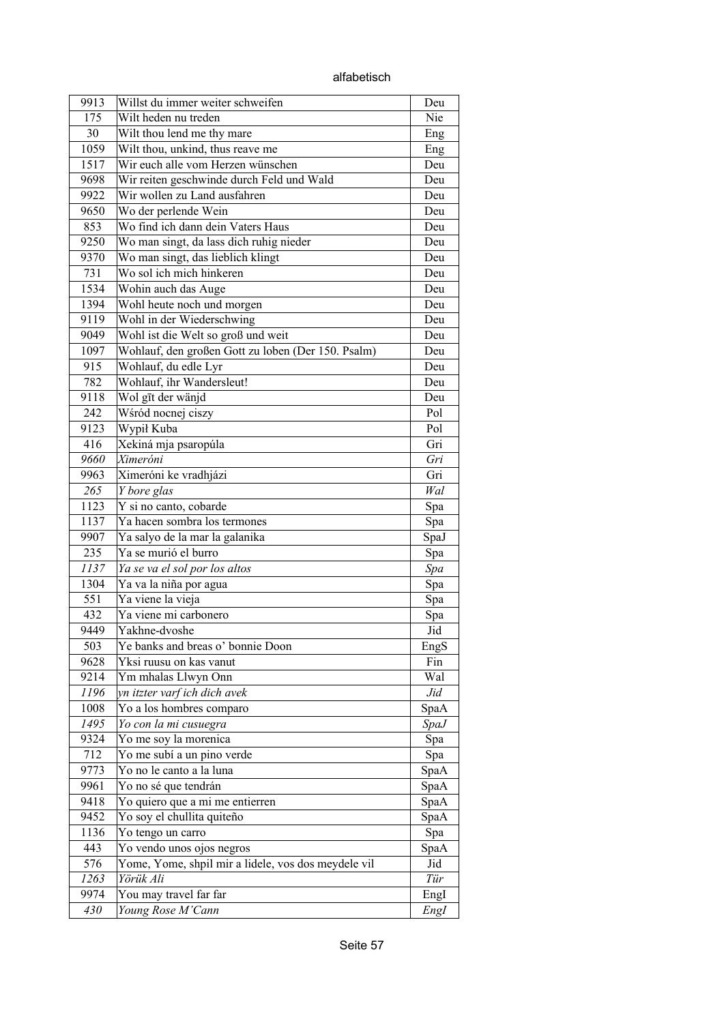alfabetisch

| 9913 | Willst du immer weiter schweifen                    | Deu         |
|------|-----------------------------------------------------|-------------|
| 175  | Wilt heden nu treden                                | Nie         |
| 30   | Wilt thou lend me thy mare                          | Eng         |
| 1059 | Wilt thou, unkind, thus reave me                    | Eng         |
| 1517 | Wir euch alle vom Herzen wünschen                   | Deu         |
| 9698 | Wir reiten geschwinde durch Feld und Wald           | Deu         |
| 9922 | Wir wollen zu Land ausfahren                        | Deu         |
| 9650 | Wo der perlende Wein                                | Deu         |
| 853  | Wo find ich dann dein Vaters Haus                   | Deu         |
| 9250 | Wo man singt, da lass dich ruhig nieder             | Deu         |
| 9370 | Wo man singt, das lieblich klingt                   | Deu         |
| 731  | Wo sol ich mich hinkeren                            | Deu         |
| 1534 | Wohin auch das Auge                                 | Deu         |
| 1394 | Wohl heute noch und morgen                          | Deu         |
| 9119 | Wohl in der Wiederschwing                           | Deu         |
| 9049 | Wohl ist die Welt so groß und weit                  | Deu         |
| 1097 | Wohlauf, den großen Gott zu loben (Der 150. Psalm)  | Deu         |
| 915  | Wohlauf, du edle Lyr                                | Deu         |
| 782  | Wohlauf, ihr Wandersleut!                           | Deu         |
| 9118 | Wol gīt der wänjd                                   | Deu         |
| 242  | Wśród nocnej ciszy                                  | Pol         |
| 9123 | Wypił Kuba                                          | Pol         |
| 416  | Xekiná mja psaropúla                                | Gri         |
| 9660 | Ximeróni                                            | Gri         |
| 9963 | Ximeróni ke vradhjázi                               | Gri         |
| 265  | Y bore glas                                         | Wal         |
| 1123 | Y si no canto, cobarde                              | Spa         |
| 1137 | Ya hacen sombra los termones                        | Spa         |
| 9907 | Ya salyo de la mar la galanika                      | SpaJ        |
| 235  | Ya se murió el burro                                | Spa         |
| 1137 | Ya se va el sol por los altos                       | Spa         |
| 1304 | Ya va la niña por agua                              | Spa         |
| 551  | Ya viene la vieja                                   | Spa         |
| 432  | Ya viene mi carbonero                               | Spa         |
| 9449 | Yakhne-dvoshe                                       | Jid         |
| 503  | Ye banks and breas o' bonnie Doon                   | EngS        |
| 9628 | Yksi ruusu on kas vanut                             | Fin         |
| 9214 | Ym mhalas Llwyn Onn                                 | Wal         |
| 1196 | yn itzter varf ich dich avek                        | Jid         |
| 1008 | Yo a los hombres comparo                            | SpaA        |
| 1495 | Yo con la mi cusuegra                               | <i>SpaJ</i> |
| 9324 | Yo me soy la morenica                               | Spa         |
| 712  | Yo me subí a un pino verde                          | Spa         |
| 9773 | Yo no le canto a la luna                            | SpaA        |
| 9961 | Yo no sé que tendrán                                | SpaA        |
| 9418 | Yo quiero que a mi me entierren                     | SpaA        |
| 9452 | Yo soy el chullita quiteño                          | SpaA        |
| 1136 | Yo tengo un carro                                   | Spa         |
| 443  | Yo vendo unos ojos negros                           | SpaA        |
| 576  | Yome, Yome, shpil mir a lidele, vos dos meydele vil | Jid         |
| 1263 | Yörük Ali                                           | Tür         |
| 9974 | You may travel far far                              | EngI        |
| 430  | Young Rose M'Cann                                   |             |
|      |                                                     | Engl        |